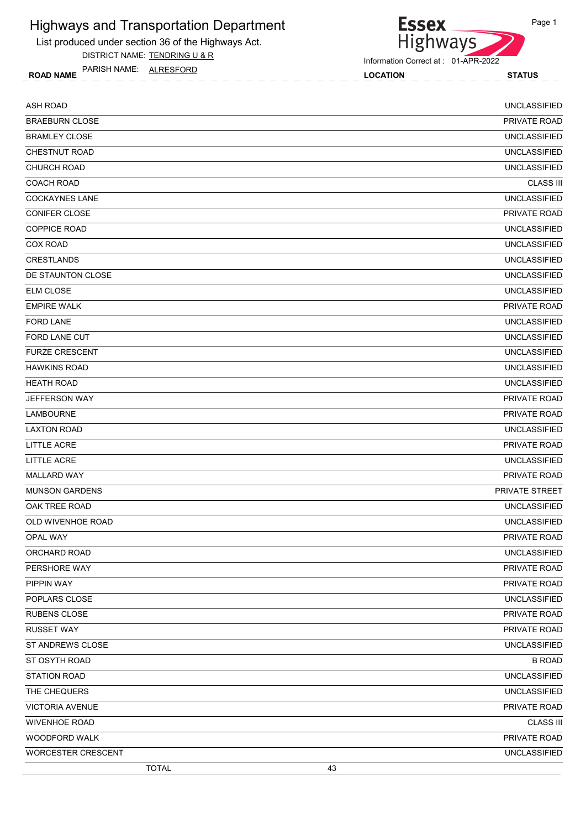

List produced under section 36 of the Highways Act. DISTRICT NAME: TENDRING U & R

Information Correct at : 01-APR-2022

ROAD NAME LOCATION STATUS PARISH NAME: ALRESFORD

| <b>ASH ROAD</b>           | <b>UNCLASSIFIED</b> |
|---------------------------|---------------------|
| <b>BRAEBURN CLOSE</b>     | PRIVATE ROAD        |
| <b>BRAMLEY CLOSE</b>      | <b>UNCLASSIFIED</b> |
| CHESTNUT ROAD             | <b>UNCLASSIFIED</b> |
| CHURCH ROAD               | <b>UNCLASSIFIED</b> |
| <b>COACH ROAD</b>         | <b>CLASS III</b>    |
| <b>COCKAYNES LANE</b>     | <b>UNCLASSIFIED</b> |
| <b>CONIFER CLOSE</b>      | PRIVATE ROAD        |
| <b>COPPICE ROAD</b>       | <b>UNCLASSIFIED</b> |
| <b>COX ROAD</b>           | <b>UNCLASSIFIED</b> |
| <b>CRESTLANDS</b>         | <b>UNCLASSIFIED</b> |
| DE STAUNTON CLOSE         | <b>UNCLASSIFIED</b> |
| <b>ELM CLOSE</b>          | <b>UNCLASSIFIED</b> |
| <b>EMPIRE WALK</b>        | PRIVATE ROAD        |
| <b>FORD LANE</b>          | <b>UNCLASSIFIED</b> |
| FORD LANE CUT             | <b>UNCLASSIFIED</b> |
| <b>FURZE CRESCENT</b>     | <b>UNCLASSIFIED</b> |
| <b>HAWKINS ROAD</b>       | <b>UNCLASSIFIED</b> |
| <b>HEATH ROAD</b>         | <b>UNCLASSIFIED</b> |
| JEFFERSON WAY             | PRIVATE ROAD        |
| LAMBOURNE                 | PRIVATE ROAD        |
| <b>LAXTON ROAD</b>        | <b>UNCLASSIFIED</b> |
| LITTLE ACRE               | PRIVATE ROAD        |
| <b>LITTLE ACRE</b>        | <b>UNCLASSIFIED</b> |
| <b>MALLARD WAY</b>        | PRIVATE ROAD        |
| <b>MUNSON GARDENS</b>     | PRIVATE STREET      |
| OAK TREE ROAD             | <b>UNCLASSIFIED</b> |
| OLD WIVENHOE ROAD         | <b>UNCLASSIFIED</b> |
| OPAL WAY                  | PRIVATE ROAD        |
| ORCHARD ROAD              | <b>UNCLASSIFIED</b> |
| PERSHORE WAY              | PRIVATE ROAD        |
| PIPPIN WAY                | PRIVATE ROAD        |
| POPLARS CLOSE             | <b>UNCLASSIFIED</b> |
| <b>RUBENS CLOSE</b>       | PRIVATE ROAD        |
| <b>RUSSET WAY</b>         | PRIVATE ROAD        |
| ST ANDREWS CLOSE          | <b>UNCLASSIFIED</b> |
| ST OSYTH ROAD             | <b>B ROAD</b>       |
| STATION ROAD              | <b>UNCLASSIFIED</b> |
| THE CHEQUERS              | <b>UNCLASSIFIED</b> |
| <b>VICTORIA AVENUE</b>    | PRIVATE ROAD        |
| <b>WIVENHOE ROAD</b>      | <b>CLASS III</b>    |
| WOODFORD WALK             | PRIVATE ROAD        |
| <b>WORCESTER CRESCENT</b> | <b>UNCLASSIFIED</b> |
| <b>TOTAL</b>              | 43                  |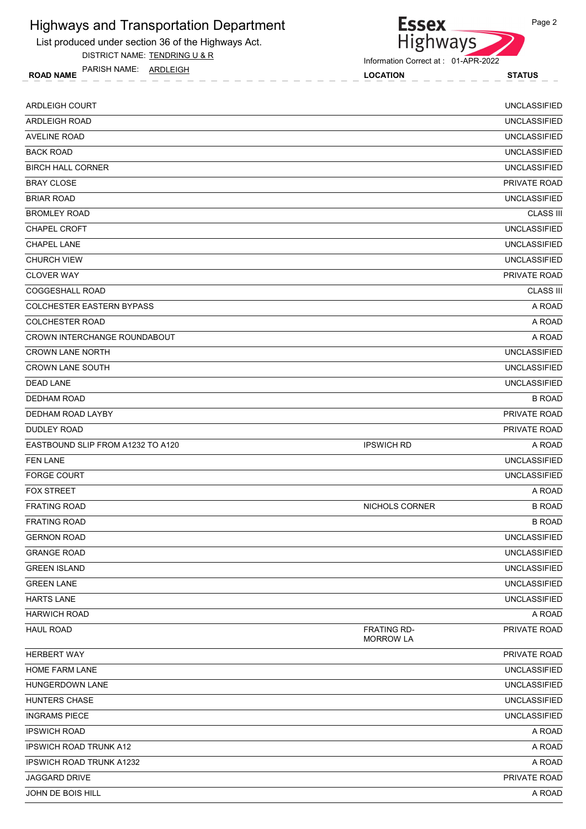

DISTRICT NAME: TENDRING U & R

ROAD NAME LOCATION STATUS PARISH NAME: ARDLEIGH



Information Correct at : 01-APR-2022

| <b>ARDLEIGH COURT</b>             |                                        | <b>UNCLASSIFIED</b> |
|-----------------------------------|----------------------------------------|---------------------|
| <b>ARDLEIGH ROAD</b>              |                                        | <b>UNCLASSIFIED</b> |
| <b>AVELINE ROAD</b>               |                                        | <b>UNCLASSIFIED</b> |
| <b>BACK ROAD</b>                  |                                        | <b>UNCLASSIFIED</b> |
| <b>BIRCH HALL CORNER</b>          |                                        | <b>UNCLASSIFIED</b> |
| <b>BRAY CLOSE</b>                 |                                        | PRIVATE ROAD        |
| <b>BRIAR ROAD</b>                 |                                        | <b>UNCLASSIFIED</b> |
| <b>BROMLEY ROAD</b>               |                                        | <b>CLASS III</b>    |
| CHAPEL CROFT                      |                                        | <b>UNCLASSIFIED</b> |
| <b>CHAPEL LANE</b>                |                                        | <b>UNCLASSIFIED</b> |
| <b>CHURCH VIEW</b>                |                                        | <b>UNCLASSIFIED</b> |
| <b>CLOVER WAY</b>                 |                                        | PRIVATE ROAD        |
| COGGESHALL ROAD                   |                                        | <b>CLASS III</b>    |
| <b>COLCHESTER EASTERN BYPASS</b>  |                                        | A ROAD              |
| <b>COLCHESTER ROAD</b>            |                                        | A ROAD              |
| CROWN INTERCHANGE ROUNDABOUT      |                                        | A ROAD              |
| <b>CROWN LANE NORTH</b>           |                                        | <b>UNCLASSIFIED</b> |
| <b>CROWN LANE SOUTH</b>           |                                        | <b>UNCLASSIFIED</b> |
| <b>DEAD LANE</b>                  |                                        | <b>UNCLASSIFIED</b> |
| DEDHAM ROAD                       |                                        | <b>B ROAD</b>       |
| DEDHAM ROAD LAYBY                 |                                        | PRIVATE ROAD        |
| DUDLEY ROAD                       |                                        | PRIVATE ROAD        |
| EASTBOUND SLIP FROM A1232 TO A120 | <b>IPSWICH RD</b>                      | A ROAD              |
| <b>FEN LANE</b>                   |                                        | <b>UNCLASSIFIED</b> |
| <b>FORGE COURT</b>                |                                        | <b>UNCLASSIFIED</b> |
| <b>FOX STREET</b>                 |                                        | A ROAD              |
| <b>FRATING ROAD</b>               | NICHOLS CORNER                         | <b>B ROAD</b>       |
| <b>FRATING ROAD</b>               |                                        | <b>B ROAD</b>       |
| <b>GERNON ROAD</b>                |                                        | <b>UNCLASSIFIED</b> |
| <b>GRANGE ROAD</b>                |                                        | <b>UNCLASSIFIED</b> |
| <b>GREEN ISLAND</b>               |                                        | <b>UNCLASSIFIED</b> |
| <b>GREEN LANE</b>                 |                                        | <b>UNCLASSIFIED</b> |
| <b>HARTS LANE</b>                 |                                        | <b>UNCLASSIFIED</b> |
| <b>HARWICH ROAD</b>               |                                        | A ROAD              |
| <b>HAUL ROAD</b>                  | <b>FRATING RD-</b><br><b>MORROW LA</b> | PRIVATE ROAD        |
| HERBERT WAY                       |                                        | PRIVATE ROAD        |
| HOME FARM LANE                    |                                        | <b>UNCLASSIFIED</b> |
| HUNGERDOWN LANE                   |                                        | <b>UNCLASSIFIED</b> |
| HUNTERS CHASE                     |                                        | <b>UNCLASSIFIED</b> |
| <b>INGRAMS PIECE</b>              |                                        | <b>UNCLASSIFIED</b> |
| <b>IPSWICH ROAD</b>               |                                        | A ROAD              |
| <b>IPSWICH ROAD TRUNK A12</b>     |                                        | A ROAD              |
| <b>IPSWICH ROAD TRUNK A1232</b>   |                                        | A ROAD              |
| <b>JAGGARD DRIVE</b>              |                                        | PRIVATE ROAD        |
| JOHN DE BOIS HILL                 |                                        | A ROAD              |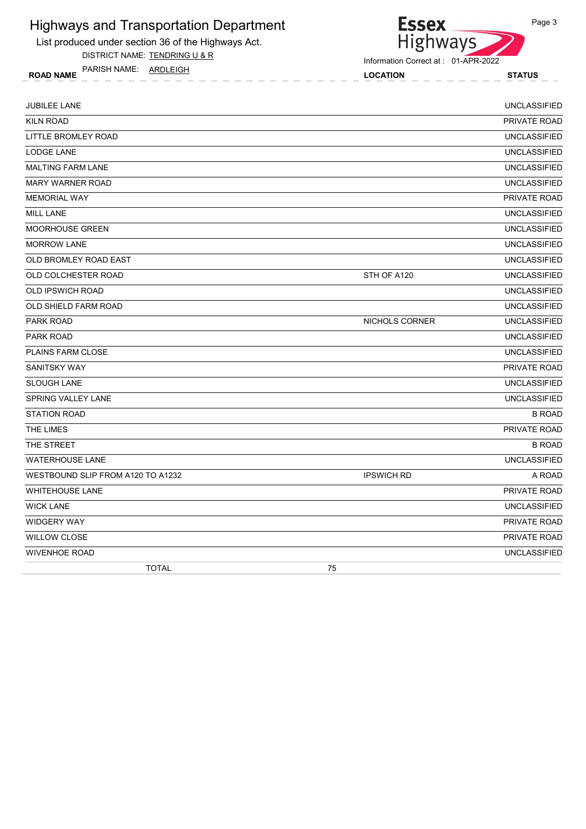

List produced under section 36 of the Highways Act.

DISTRICT NAME: TENDRING U & R

ROAD NAME LOCATION STATUS PARISH NAME: ARDLEIGH

| <b>JUBILEE LANE</b>               |                   | <b>UNCLASSIFIED</b> |
|-----------------------------------|-------------------|---------------------|
| <b>KILN ROAD</b>                  |                   | PRIVATE ROAD        |
| LITTLE BROMLEY ROAD               |                   | <b>UNCLASSIFIED</b> |
| <b>LODGE LANE</b>                 |                   | <b>UNCLASSIFIED</b> |
| <b>MALTING FARM LANE</b>          |                   | <b>UNCLASSIFIED</b> |
| <b>MARY WARNER ROAD</b>           |                   | <b>UNCLASSIFIED</b> |
| <b>MEMORIAL WAY</b>               |                   | PRIVATE ROAD        |
| <b>MILL LANE</b>                  |                   | <b>UNCLASSIFIED</b> |
| <b>MOORHOUSE GREEN</b>            |                   | <b>UNCLASSIFIED</b> |
| <b>MORROW LANE</b>                |                   | <b>UNCLASSIFIED</b> |
| OLD BROMLEY ROAD EAST             |                   | <b>UNCLASSIFIED</b> |
| OLD COLCHESTER ROAD               | STH OF A120       | <b>UNCLASSIFIED</b> |
| <b>OLD IPSWICH ROAD</b>           |                   | <b>UNCLASSIFIED</b> |
| OLD SHIELD FARM ROAD              |                   | <b>UNCLASSIFIED</b> |
| PARK ROAD                         | NICHOLS CORNER    | <b>UNCLASSIFIED</b> |
| <b>PARK ROAD</b>                  |                   | <b>UNCLASSIFIED</b> |
| <b>PLAINS FARM CLOSE</b>          |                   | <b>UNCLASSIFIED</b> |
| <b>SANITSKY WAY</b>               |                   | PRIVATE ROAD        |
| <b>SLOUGH LANE</b>                |                   | <b>UNCLASSIFIED</b> |
| SPRING VALLEY LANE                |                   | <b>UNCLASSIFIED</b> |
| <b>STATION ROAD</b>               |                   | <b>B ROAD</b>       |
| THE LIMES                         |                   | PRIVATE ROAD        |
| THE STREET                        |                   | <b>B ROAD</b>       |
| <b>WATERHOUSE LANE</b>            |                   | <b>UNCLASSIFIED</b> |
| WESTBOUND SLIP FROM A120 TO A1232 | <b>IPSWICH RD</b> | A ROAD              |
| <b>WHITEHOUSE LANE</b>            |                   | PRIVATE ROAD        |
| <b>WICK LANE</b>                  |                   | <b>UNCLASSIFIED</b> |
| <b>WIDGERY WAY</b>                |                   | PRIVATE ROAD        |
| <b>WILLOW CLOSE</b>               |                   | PRIVATE ROAD        |
| <b>WIVENHOE ROAD</b>              |                   | <b>UNCLASSIFIED</b> |
| <b>TOTAL</b>                      | 75                |                     |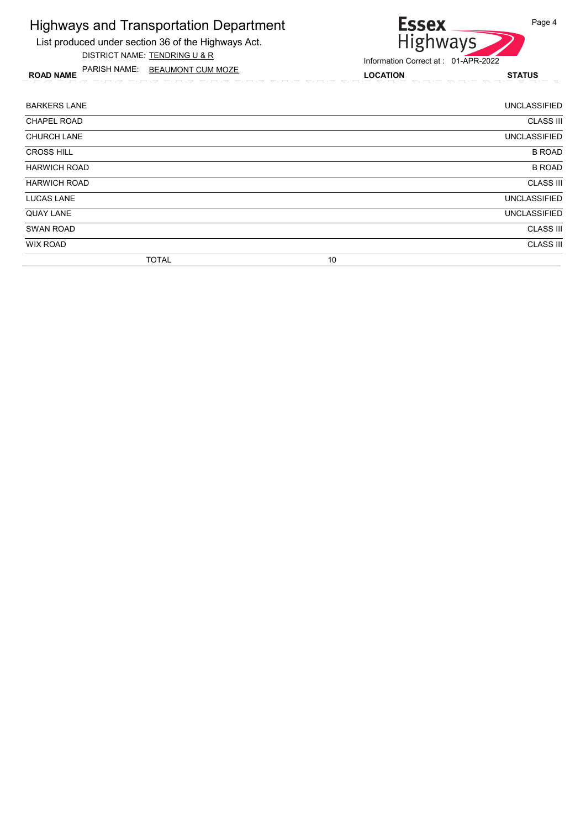

ROAD NAME LOCATION STATUS PARISH NAME: BEAUMONT CUM MOZE



| <b>BARKERS LANE</b> |              |    | <b>UNCLASSIFIED</b> |
|---------------------|--------------|----|---------------------|
| <b>CHAPEL ROAD</b>  |              |    | <b>CLASS III</b>    |
| <b>CHURCH LANE</b>  |              |    | <b>UNCLASSIFIED</b> |
| <b>CROSS HILL</b>   |              |    | <b>B ROAD</b>       |
| <b>HARWICH ROAD</b> |              |    | <b>B ROAD</b>       |
| <b>HARWICH ROAD</b> |              |    | <b>CLASS III</b>    |
| <b>LUCAS LANE</b>   |              |    | <b>UNCLASSIFIED</b> |
| <b>QUAY LANE</b>    |              |    | <b>UNCLASSIFIED</b> |
| <b>SWAN ROAD</b>    |              |    | <b>CLASS III</b>    |
| <b>WIX ROAD</b>     |              |    | <b>CLASS III</b>    |
|                     | <b>TOTAL</b> | 10 |                     |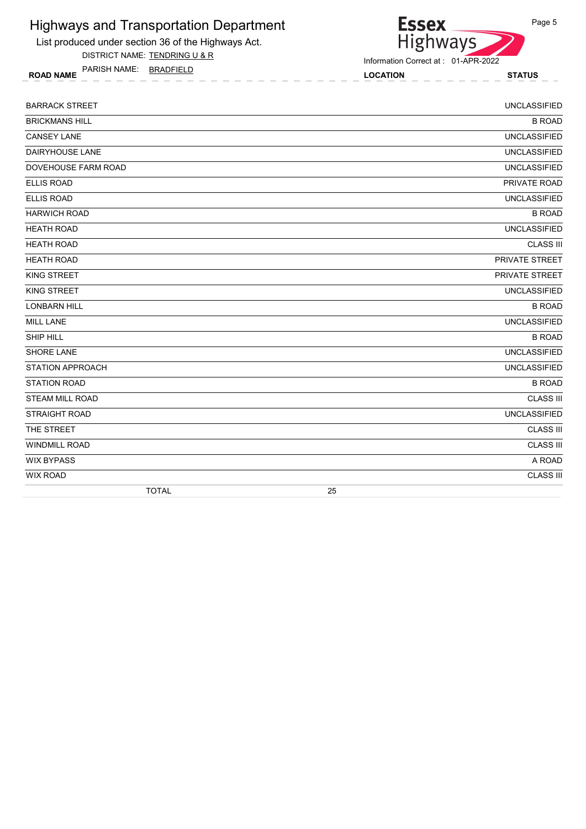

List produced under section 36 of the Highways Act. DISTRICT NAME: TENDRING U & R

Information Correct at : 01-APR-2022

ROAD NAME LOCATION STATUS PARISH NAME: BRADFIELD

Page 5

BARRACK STREET **EXECUTIVE STREET AND STREET ASSESSED FOR A SECOND ASSESSED FOR A SECOND STREET AND STREET AND STREET AND STREET AND STREET AND STREET AND STREET AND STREET AND STREET AND STREET AND STREET AND STREET AND ST** BRICKMANS HILL BROAD BROAD BROAD BROAD BROAD BROAD BROAD BROAD BROAD BROAD BROAD CANSEY LANE UNCLASSIFIED DAIRYHOUSE LANE UNCLASSIFIED DOVEHOUSE FARM ROAD UNCLASSIFIED ELLIS ROAD PRIVATE ROAD ELLIS ROAD UNCLASSIFIED HARWICH ROAD B ROAD HEATH ROAD UNCLASSIFIED HEATH ROAD CLASS III HEATH ROAD PRIVATE STREET KING STREET PRIVATE STREET AND INTERNATIONAL CONTINUES. THE CONTINUES OF THE CONTINUES OF THE CONTINUES OF THE CONTINUES OF THE CONTINUES OF THE CONTINUES OF THE CONTINUES OF THE CONTINUES OF THE CONTINUES OF THE CONTINUES KING STREET **EXECUTE IS A RELEASE OF A RELEASE OF A RELEASE OF A RELEASE OF A RELEASE OF A RELEASE OF A RELEASE OF A RELEASE OF A RELEASE OF A RELEASE OF A RELEASE OF A RELEASE OF A RELEASE OF A RELEASE OF A RELEASE OF A R** LONBARN HILL BROAD AND THE SERVICE OF THE SERVICE OF THE SERVICE OF THE SERVICE OF THE BROAD BROAD BROAD BROAD MILL LANE UNCLASSIFIED SHIP HILL BROAD BROAD AND THE SHIP HILL BROAD BROAD AND THE SHIP HILL BROAD BROAD BROAD BROAD BROAD BROAD BROAD SHORE LANE UNCLASSIFIED STATION APPROACH UNCLASSIFIED STATION ROAD B ROAD AND STATION ROAD B ROAD B ROAD B ROAD B ROAD B ROAD B ROAD B ROAD B ROAD B ROAD B ROAD B ROAD STEAM MILL ROAD CLASS III STRAIGHT ROAD UNCLASSIFIED THE STREET CLASS III AND THE STREET CLASS III AND THE STREET CLASS III AND THE STREET CLASS III WINDMILL ROAD CLASS III WIX BYPASS A ROAD WIX ROAD CLASS III TOTAL 25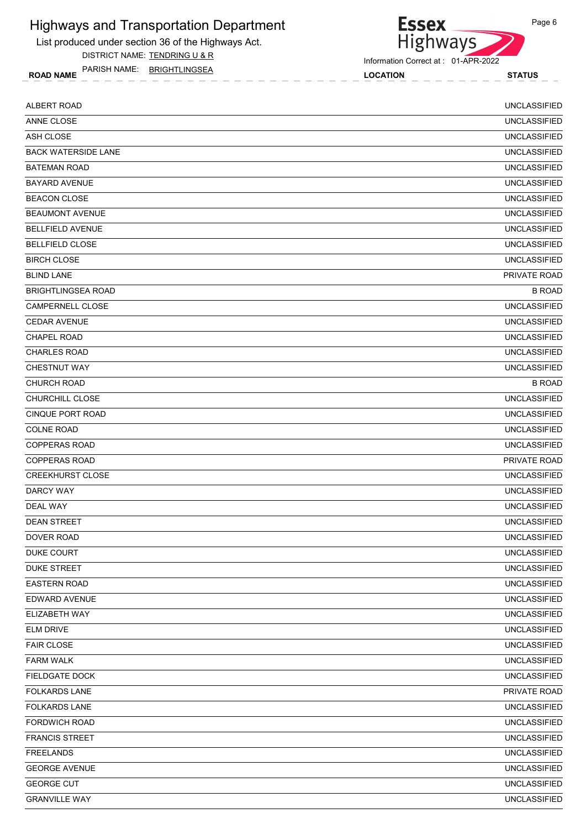List produced under section 36 of the Highways Act. DISTRICT NAME: TENDRING U & R

ROAD NAME LOCATION STATUS PARISH NAME: BRIGHTLINGSEA

Highways Information Correct at : 01-APR-2022

**Essex** 

| <b>ALBERT ROAD</b>         | <b>UNCLASSIFIED</b> |
|----------------------------|---------------------|
| ANNE CLOSE                 | <b>UNCLASSIFIED</b> |
| ASH CLOSE                  | <b>UNCLASSIFIED</b> |
| <b>BACK WATERSIDE LANE</b> | <b>UNCLASSIFIED</b> |
| <b>BATEMAN ROAD</b>        | <b>UNCLASSIFIED</b> |
| <b>BAYARD AVENUE</b>       | <b>UNCLASSIFIED</b> |
| <b>BEACON CLOSE</b>        | <b>UNCLASSIFIED</b> |
| <b>BEAUMONT AVENUE</b>     | <b>UNCLASSIFIED</b> |
| <b>BELLFIELD AVENUE</b>    | <b>UNCLASSIFIED</b> |
| <b>BELLFIELD CLOSE</b>     | <b>UNCLASSIFIED</b> |
| <b>BIRCH CLOSE</b>         | <b>UNCLASSIFIED</b> |
| <b>BLIND LANE</b>          | PRIVATE ROAD        |
| <b>BRIGHTLINGSEA ROAD</b>  | <b>B ROAD</b>       |
| CAMPERNELL CLOSE           | <b>UNCLASSIFIED</b> |
| <b>CEDAR AVENUE</b>        | <b>UNCLASSIFIED</b> |
| <b>CHAPEL ROAD</b>         | <b>UNCLASSIFIED</b> |
| <b>CHARLES ROAD</b>        | <b>UNCLASSIFIED</b> |
| <b>CHESTNUT WAY</b>        | <b>UNCLASSIFIED</b> |
| <b>CHURCH ROAD</b>         | <b>B ROAD</b>       |
| CHURCHILL CLOSE            | <b>UNCLASSIFIED</b> |
| CINQUE PORT ROAD           | <b>UNCLASSIFIED</b> |
| <b>COLNE ROAD</b>          | <b>UNCLASSIFIED</b> |
| <b>COPPERAS ROAD</b>       | <b>UNCLASSIFIED</b> |
| <b>COPPERAS ROAD</b>       | PRIVATE ROAD        |
| <b>CREEKHURST CLOSE</b>    | <b>UNCLASSIFIED</b> |
| DARCY WAY                  | <b>UNCLASSIFIED</b> |
| <b>DEAL WAY</b>            | <b>UNCLASSIFIED</b> |
| <b>DEAN STREET</b>         | <b>UNCLASSIFIED</b> |
| DOVER ROAD                 | <b>UNCLASSIFIED</b> |
| DUKE COURT                 | <b>UNCLASSIFIED</b> |
| DUKE STREET                | <b>UNCLASSIFIED</b> |
| <b>EASTERN ROAD</b>        | <b>UNCLASSIFIED</b> |
| <b>EDWARD AVENUE</b>       | <b>UNCLASSIFIED</b> |
| ELIZABETH WAY              | <b>UNCLASSIFIED</b> |
| <b>ELM DRIVE</b>           | <b>UNCLASSIFIED</b> |
| <b>FAIR CLOSE</b>          | UNCLASSIFIED        |
| <b>FARM WALK</b>           | <b>UNCLASSIFIED</b> |
| <b>FIELDGATE DOCK</b>      | <b>UNCLASSIFIED</b> |
| <b>FOLKARDS LANE</b>       | PRIVATE ROAD        |
| <b>FOLKARDS LANE</b>       | <b>UNCLASSIFIED</b> |
| <b>FORDWICH ROAD</b>       | <b>UNCLASSIFIED</b> |
| <b>FRANCIS STREET</b>      | <b>UNCLASSIFIED</b> |
| <b>FREELANDS</b>           | <b>UNCLASSIFIED</b> |
| <b>GEORGE AVENUE</b>       | <b>UNCLASSIFIED</b> |
| <b>GEORGE CUT</b>          | <b>UNCLASSIFIED</b> |
| <b>GRANVILLE WAY</b>       | <b>UNCLASSIFIED</b> |
|                            |                     |

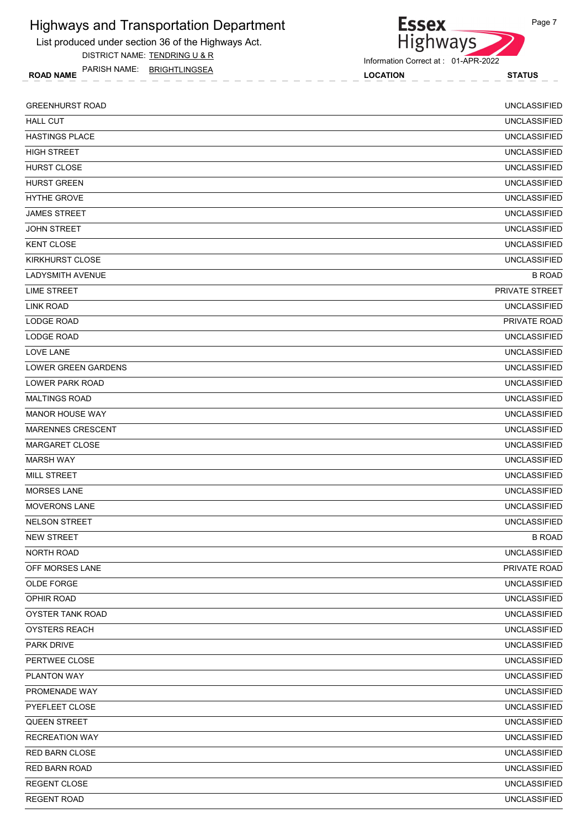List produced under section 36 of the Highways Act.

DISTRICT NAME: TENDRING U & R

ROAD NAME LOCATION STATUS PARISH NAME: BRIGHTLINGSEA



Information Correct at : 01-APR-2022

| <b>GREENHURST ROAD</b>     | <b>UNCLASSIFIED</b>   |
|----------------------------|-----------------------|
| <b>HALL CUT</b>            | <b>UNCLASSIFIED</b>   |
| HASTINGS PLACE             | <b>UNCLASSIFIED</b>   |
| <b>HIGH STREET</b>         | <b>UNCLASSIFIED</b>   |
| <b>HURST CLOSE</b>         | <b>UNCLASSIFIED</b>   |
| <b>HURST GREEN</b>         | <b>UNCLASSIFIED</b>   |
| <b>HYTHE GROVE</b>         | <b>UNCLASSIFIED</b>   |
| <b>JAMES STREET</b>        | <b>UNCLASSIFIED</b>   |
| <b>JOHN STREET</b>         | <b>UNCLASSIFIED</b>   |
| <b>KENT CLOSE</b>          | <b>UNCLASSIFIED</b>   |
| <b>KIRKHURST CLOSE</b>     | <b>UNCLASSIFIED</b>   |
| <b>LADYSMITH AVENUE</b>    | <b>B ROAD</b>         |
| LIME STREET                | <b>PRIVATE STREET</b> |
| LINK ROAD                  | <b>UNCLASSIFIED</b>   |
| <b>LODGE ROAD</b>          | PRIVATE ROAD          |
| LODGE ROAD                 | <b>UNCLASSIFIED</b>   |
| <b>LOVE LANE</b>           | <b>UNCLASSIFIED</b>   |
| <b>LOWER GREEN GARDENS</b> | <b>UNCLASSIFIED</b>   |
| <b>LOWER PARK ROAD</b>     | <b>UNCLASSIFIED</b>   |
| <b>MALTINGS ROAD</b>       | <b>UNCLASSIFIED</b>   |
| <b>MANOR HOUSE WAY</b>     | <b>UNCLASSIFIED</b>   |
| <b>MARENNES CRESCENT</b>   | <b>UNCLASSIFIED</b>   |
| <b>MARGARET CLOSE</b>      | <b>UNCLASSIFIED</b>   |
| <b>MARSH WAY</b>           | <b>UNCLASSIFIED</b>   |
| <b>MILL STREET</b>         | <b>UNCLASSIFIED</b>   |
| <b>MORSES LANE</b>         | <b>UNCLASSIFIED</b>   |
| <b>MOVERONS LANE</b>       | <b>UNCLASSIFIED</b>   |
| <b>NELSON STREET</b>       | <b>UNCLASSIFIED</b>   |
| <b>NEW STREET</b>          | <b>B ROAD</b>         |
| NORTH ROAD                 | <b>UNCLASSIFIED</b>   |
| OFF MORSES LANE            | PRIVATE ROAD          |
| OLDE FORGE                 | <b>UNCLASSIFIED</b>   |
| OPHIR ROAD                 | <b>UNCLASSIFIED</b>   |
| OYSTER TANK ROAD           | <b>UNCLASSIFIED</b>   |
| <b>OYSTERS REACH</b>       | <b>UNCLASSIFIED</b>   |
| <b>PARK DRIVE</b>          | <b>UNCLASSIFIED</b>   |
| PERTWEE CLOSE              | <b>UNCLASSIFIED</b>   |
| PLANTON WAY                | <b>UNCLASSIFIED</b>   |
| PROMENADE WAY              | <b>UNCLASSIFIED</b>   |
| PYEFLEET CLOSE             | <b>UNCLASSIFIED</b>   |
| QUEEN STREET               | <b>UNCLASSIFIED</b>   |
| <b>RECREATION WAY</b>      | <b>UNCLASSIFIED</b>   |
| RED BARN CLOSE             | <b>UNCLASSIFIED</b>   |
| <b>RED BARN ROAD</b>       | <b>UNCLASSIFIED</b>   |
| <b>REGENT CLOSE</b>        | <b>UNCLASSIFIED</b>   |
| <b>REGENT ROAD</b>         | <b>UNCLASSIFIED</b>   |
|                            |                       |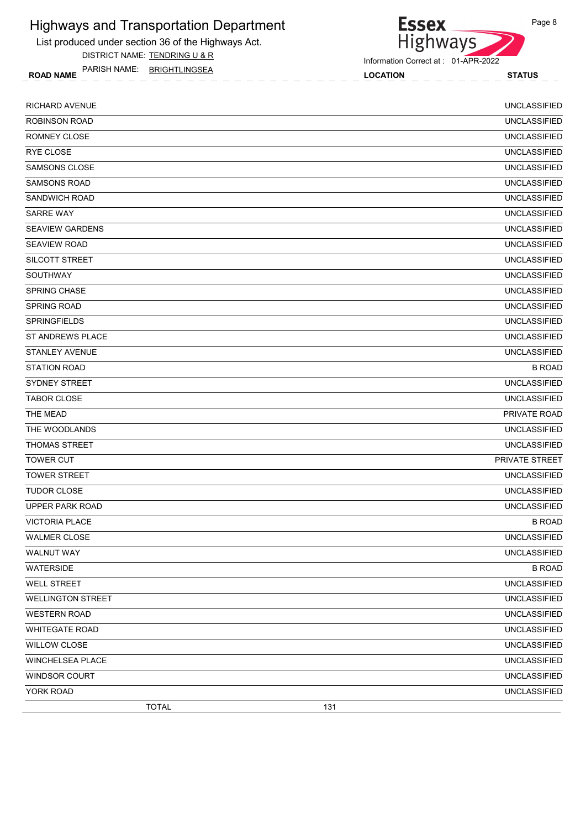List produced under section 36 of the Highways Act.

DISTRICT NAME: TENDRING U & R

ROAD NAME LOCATION STATUS PARISH NAME: BRIGHTLINGSEA

Information Correct at : 01-APR-2022

| <b>RICHARD AVENUE</b>    | <b>UNCLASSIFIED</b> |
|--------------------------|---------------------|
| <b>ROBINSON ROAD</b>     | <b>UNCLASSIFIED</b> |
| ROMNEY CLOSE             | <b>UNCLASSIFIED</b> |
| <b>RYE CLOSE</b>         | <b>UNCLASSIFIED</b> |
| <b>SAMSONS CLOSE</b>     | <b>UNCLASSIFIED</b> |
| <b>SAMSONS ROAD</b>      | <b>UNCLASSIFIED</b> |
| SANDWICH ROAD            | <b>UNCLASSIFIED</b> |
| <b>SARRE WAY</b>         | <b>UNCLASSIFIED</b> |
| <b>SEAVIEW GARDENS</b>   | <b>UNCLASSIFIED</b> |
| <b>SEAVIEW ROAD</b>      | <b>UNCLASSIFIED</b> |
| SILCOTT STREET           | <b>UNCLASSIFIED</b> |
| <b>SOUTHWAY</b>          | <b>UNCLASSIFIED</b> |
| SPRING CHASE             | <b>UNCLASSIFIED</b> |
| <b>SPRING ROAD</b>       | <b>UNCLASSIFIED</b> |
| <b>SPRINGFIELDS</b>      | <b>UNCLASSIFIED</b> |
| <b>ST ANDREWS PLACE</b>  | <b>UNCLASSIFIED</b> |
| <b>STANLEY AVENUE</b>    | <b>UNCLASSIFIED</b> |
| <b>STATION ROAD</b>      | <b>B ROAD</b>       |
| SYDNEY STREET            | <b>UNCLASSIFIED</b> |
| <b>TABOR CLOSE</b>       | <b>UNCLASSIFIED</b> |
| THE MEAD                 | <b>PRIVATE ROAD</b> |
| THE WOODLANDS            | <b>UNCLASSIFIED</b> |
| <b>THOMAS STREET</b>     | <b>UNCLASSIFIED</b> |
| <b>TOWER CUT</b>         | PRIVATE STREET      |
| <b>TOWER STREET</b>      | <b>UNCLASSIFIED</b> |
| <b>TUDOR CLOSE</b>       | <b>UNCLASSIFIED</b> |
| <b>UPPER PARK ROAD</b>   | <b>UNCLASSIFIED</b> |
| <b>VICTORIA PLACE</b>    | <b>B ROAD</b>       |
| <b>WALMER CLOSE</b>      | <b>UNCLASSIFIED</b> |
| WALNUT WAY               | <b>UNCLASSIFIED</b> |
| <b>WATERSIDE</b>         | <b>B ROAD</b>       |
| <b>WELL STREET</b>       | <b>UNCLASSIFIED</b> |
| <b>WELLINGTON STREET</b> | <b>UNCLASSIFIED</b> |
| <b>WESTERN ROAD</b>      | <b>UNCLASSIFIED</b> |
| <b>WHITEGATE ROAD</b>    | <b>UNCLASSIFIED</b> |
| <b>WILLOW CLOSE</b>      | <b>UNCLASSIFIED</b> |
| WINCHELSEA PLACE         | <b>UNCLASSIFIED</b> |
| WINDSOR COURT            | <b>UNCLASSIFIED</b> |
| YORK ROAD                | <b>UNCLASSIFIED</b> |
| <b>TOTAL</b>             | 131                 |

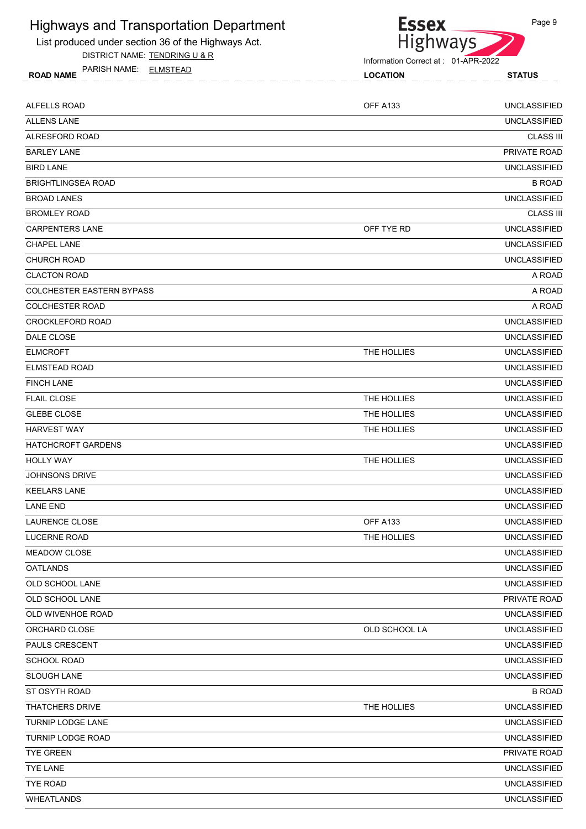

List produced under section 36 of the Highways Act.

DISTRICT NAME: TENDRING U & R

ROAD NAME LOCATION STATUS PARISH NAME: ELMSTEAD

Information Correct at : 01-APR-2022

| ALFELLS ROAD                     | OFF A133        | <b>UNCLASSIFIED</b> |
|----------------------------------|-----------------|---------------------|
| <b>ALLENS LANE</b>               |                 | <b>UNCLASSIFIED</b> |
| ALRESFORD ROAD                   |                 | <b>CLASS III</b>    |
| <b>BARLEY LANE</b>               |                 | PRIVATE ROAD        |
| <b>BIRD LANE</b>                 |                 | <b>UNCLASSIFIED</b> |
| <b>BRIGHTLINGSEA ROAD</b>        |                 | <b>B ROAD</b>       |
| <b>BROAD LANES</b>               |                 | <b>UNCLASSIFIED</b> |
| <b>BROMLEY ROAD</b>              |                 | <b>CLASS III</b>    |
| <b>CARPENTERS LANE</b>           | OFF TYE RD      | <b>UNCLASSIFIED</b> |
| <b>CHAPEL LANE</b>               |                 | <b>UNCLASSIFIED</b> |
| <b>CHURCH ROAD</b>               |                 | <b>UNCLASSIFIED</b> |
| <b>CLACTON ROAD</b>              |                 | A ROAD              |
| <b>COLCHESTER EASTERN BYPASS</b> |                 | A ROAD              |
| <b>COLCHESTER ROAD</b>           |                 | A ROAD              |
| <b>CROCKLEFORD ROAD</b>          |                 | <b>UNCLASSIFIED</b> |
| DALE CLOSE                       |                 | <b>UNCLASSIFIED</b> |
| <b>ELMCROFT</b>                  | THE HOLLIES     | <b>UNCLASSIFIED</b> |
| <b>ELMSTEAD ROAD</b>             |                 | <b>UNCLASSIFIED</b> |
| <b>FINCH LANE</b>                |                 | <b>UNCLASSIFIED</b> |
| <b>FLAIL CLOSE</b>               | THE HOLLIES     | <b>UNCLASSIFIED</b> |
| <b>GLEBE CLOSE</b>               | THE HOLLIES     | <b>UNCLASSIFIED</b> |
| <b>HARVEST WAY</b>               | THE HOLLIES     | <b>UNCLASSIFIED</b> |
| <b>HATCHCROFT GARDENS</b>        |                 | <b>UNCLASSIFIED</b> |
| <b>HOLLY WAY</b>                 | THE HOLLIES     | <b>UNCLASSIFIED</b> |
| <b>JOHNSONS DRIVE</b>            |                 | <b>UNCLASSIFIED</b> |
| <b>KEELARS LANE</b>              |                 | <b>UNCLASSIFIED</b> |
| <b>LANE END</b>                  |                 | <b>UNCLASSIFIED</b> |
| <b>LAURENCE CLOSE</b>            | <b>OFF A133</b> | <b>UNCLASSIFIED</b> |
| <b>LUCERNE ROAD</b>              | THE HOLLIES     | <b>UNCLASSIFIED</b> |
| MEADOW CLOSE                     |                 | <b>UNCLASSIFIED</b> |
| OATLANDS                         |                 | <b>UNCLASSIFIED</b> |
| OLD SCHOOL LANE                  |                 | <b>UNCLASSIFIED</b> |
| OLD SCHOOL LANE                  |                 | PRIVATE ROAD        |
| OLD WIVENHOE ROAD                |                 | <b>UNCLASSIFIED</b> |
| ORCHARD CLOSE                    | OLD SCHOOL LA   | <b>UNCLASSIFIED</b> |
| PAULS CRESCENT                   |                 | <b>UNCLASSIFIED</b> |
| <b>SCHOOL ROAD</b>               |                 | <b>UNCLASSIFIED</b> |
| SLOUGH LANE                      |                 | <b>UNCLASSIFIED</b> |
| ST OSYTH ROAD                    |                 | <b>B ROAD</b>       |
| THATCHERS DRIVE                  | THE HOLLIES     | <b>UNCLASSIFIED</b> |
| TURNIP LODGE LANE                |                 | <b>UNCLASSIFIED</b> |
| TURNIP LODGE ROAD                |                 | <b>UNCLASSIFIED</b> |
| <b>TYE GREEN</b>                 |                 | PRIVATE ROAD        |
| <b>TYE LANE</b>                  |                 | <b>UNCLASSIFIED</b> |
| <b>TYE ROAD</b>                  |                 | <b>UNCLASSIFIED</b> |
| WHEATLANDS                       |                 | <b>UNCLASSIFIED</b> |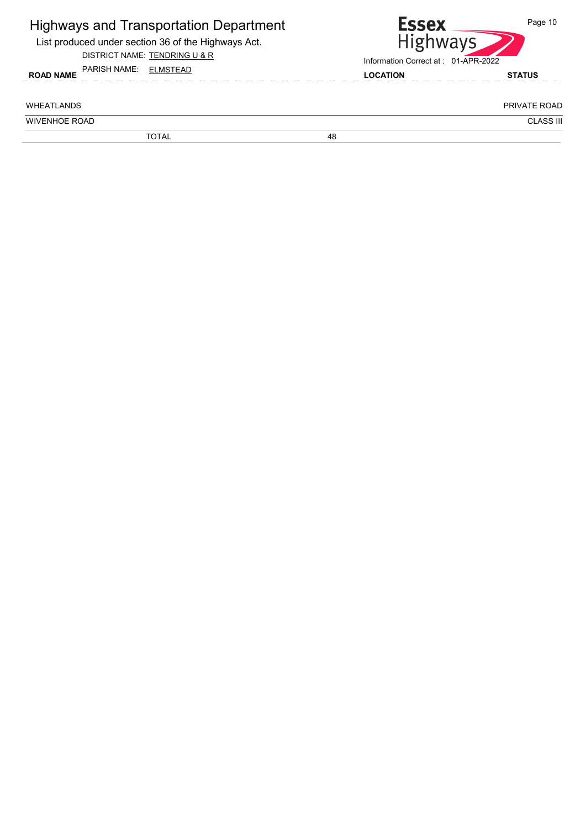| <b>Highways and Transportation Department</b><br>List produced under section 36 of the Highways Act.<br>DISTRICT NAME: TENDRING U & R<br>PARISH NAME: ELMSTEAD |    | <b>Essex</b><br><b>Highways</b><br>Information Correct at: 01-APR-2022 | Page 10          |
|----------------------------------------------------------------------------------------------------------------------------------------------------------------|----|------------------------------------------------------------------------|------------------|
| <b>ROAD NAME</b>                                                                                                                                               |    | <b>LOCATION</b>                                                        | <b>STATUS</b>    |
| <b>WHEATI ANDS</b>                                                                                                                                             |    |                                                                        | PRIVATE ROAD     |
| <b>WIVENHOE ROAD</b>                                                                                                                                           |    |                                                                        | <b>CLASS III</b> |
| <b>TOTAL</b>                                                                                                                                                   | 48 |                                                                        |                  |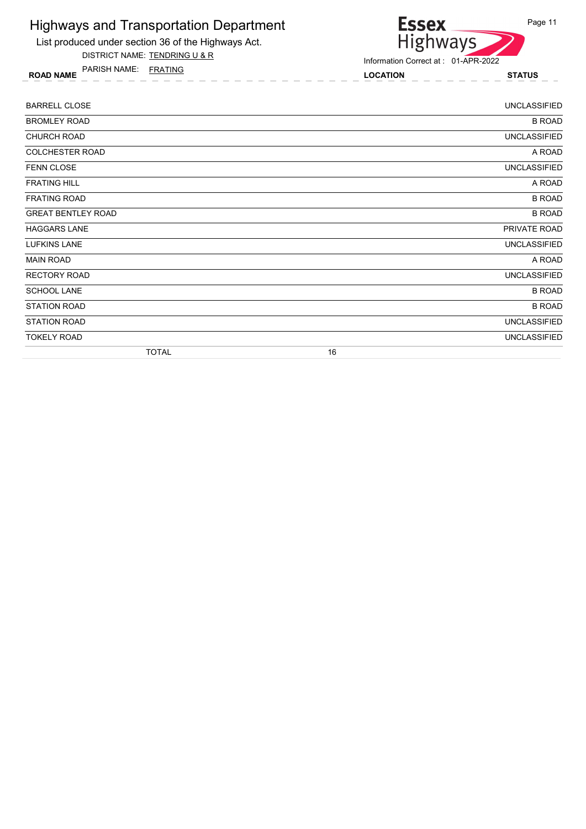

List produced under section 36 of the Highways Act. DISTRICT NAME: TENDRING U & R

ROAD NAME LOCATION STATUS PARISH NAME: FRATING

| <b>BARRELL CLOSE</b>      | <b>UNCLASSIFIED</b> |
|---------------------------|---------------------|
| <b>BROMLEY ROAD</b>       | <b>B ROAD</b>       |
| <b>CHURCH ROAD</b>        | <b>UNCLASSIFIED</b> |
| COLCHESTER ROAD           | A ROAD              |
| <b>FENN CLOSE</b>         | <b>UNCLASSIFIED</b> |
| <b>FRATING HILL</b>       | A ROAD              |
| <b>FRATING ROAD</b>       | <b>B ROAD</b>       |
| <b>GREAT BENTLEY ROAD</b> | <b>B ROAD</b>       |
| <b>HAGGARS LANE</b>       | PRIVATE ROAD        |
| <b>LUFKINS LANE</b>       | <b>UNCLASSIFIED</b> |
| <b>MAIN ROAD</b>          | A ROAD              |
| <b>RECTORY ROAD</b>       | <b>UNCLASSIFIED</b> |
| <b>SCHOOL LANE</b>        | <b>B ROAD</b>       |
| <b>STATION ROAD</b>       | <b>B ROAD</b>       |
| <b>STATION ROAD</b>       | <b>UNCLASSIFIED</b> |
| <b>TOKELY ROAD</b>        | <b>UNCLASSIFIED</b> |
| <b>TOTAL</b>              | 16                  |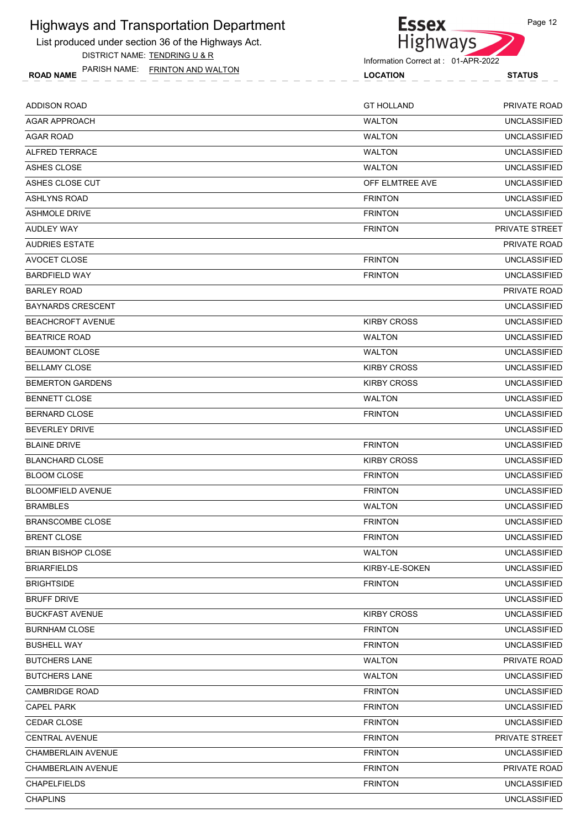List produced under section 36 of the Highways Act. DISTRICT NAME: TENDRING U & R

ROAD NAME LOCATION STATUS PARISH NAME: FRINTON AND WALTON



Page 12

| <b>LOCATION</b> | <b>STATUS</b>    |  |  |
|-----------------|------------------|--|--|
|                 |                  |  |  |
| $C$ TIIOII AND  | $DDI/ATTF$ $DQI$ |  |  |

| <b>ADDISON ROAD</b>       | <b>GT HOLLAND</b>  | PRIVATE ROAD        |
|---------------------------|--------------------|---------------------|
| <b>AGAR APPROACH</b>      | <b>WALTON</b>      | <b>UNCLASSIFIED</b> |
| <b>AGAR ROAD</b>          | <b>WALTON</b>      | <b>UNCLASSIFIED</b> |
| <b>ALFRED TERRACE</b>     | <b>WALTON</b>      | <b>UNCLASSIFIED</b> |
| ASHES CLOSE               | <b>WALTON</b>      | <b>UNCLASSIFIED</b> |
| ASHES CLOSE CUT           | OFF ELMTREE AVE    | <b>UNCLASSIFIED</b> |
| <b>ASHLYNS ROAD</b>       | <b>FRINTON</b>     | <b>UNCLASSIFIED</b> |
| <b>ASHMOLE DRIVE</b>      | <b>FRINTON</b>     | <b>UNCLASSIFIED</b> |
| AUDLEY WAY                | <b>FRINTON</b>     | PRIVATE STREET      |
| <b>AUDRIES ESTATE</b>     |                    | <b>PRIVATE ROAD</b> |
| AVOCET CLOSE              | <b>FRINTON</b>     | <b>UNCLASSIFIED</b> |
| <b>BARDFIELD WAY</b>      | <b>FRINTON</b>     | <b>UNCLASSIFIED</b> |
| <b>BARLEY ROAD</b>        |                    | <b>PRIVATE ROAD</b> |
| <b>BAYNARDS CRESCENT</b>  |                    | <b>UNCLASSIFIED</b> |
| <b>BEACHCROFT AVENUE</b>  | <b>KIRBY CROSS</b> | <b>UNCLASSIFIED</b> |
| <b>BEATRICE ROAD</b>      | <b>WALTON</b>      | <b>UNCLASSIFIED</b> |
| <b>BEAUMONT CLOSE</b>     | <b>WALTON</b>      | <b>UNCLASSIFIED</b> |
| <b>BELLAMY CLOSE</b>      | <b>KIRBY CROSS</b> | <b>UNCLASSIFIED</b> |
| <b>BEMERTON GARDENS</b>   | <b>KIRBY CROSS</b> | <b>UNCLASSIFIED</b> |
| <b>BENNETT CLOSE</b>      | <b>WALTON</b>      | <b>UNCLASSIFIED</b> |
| <b>BERNARD CLOSE</b>      | <b>FRINTON</b>     | <b>UNCLASSIFIED</b> |
| <b>BEVERLEY DRIVE</b>     |                    | <b>UNCLASSIFIED</b> |
| <b>BLAINE DRIVE</b>       | <b>FRINTON</b>     | <b>UNCLASSIFIED</b> |
| <b>BLANCHARD CLOSE</b>    | <b>KIRBY CROSS</b> | <b>UNCLASSIFIED</b> |
| <b>BLOOM CLOSE</b>        | <b>FRINTON</b>     | <b>UNCLASSIFIED</b> |
| <b>BLOOMFIELD AVENUE</b>  | <b>FRINTON</b>     | <b>UNCLASSIFIED</b> |
| <b>BRAMBLES</b>           | <b>WALTON</b>      | <b>UNCLASSIFIED</b> |
| <b>BRANSCOMBE CLOSE</b>   | <b>FRINTON</b>     | <b>UNCLASSIFIED</b> |
| <b>BRENT CLOSE</b>        | <b>FRINTON</b>     | <b>UNCLASSIFIED</b> |
| <b>BRIAN BISHOP CLOSE</b> | <b>WALTON</b>      | <b>UNCLASSIFIED</b> |
| <b>BRIARFIELDS</b>        | KIRBY-LE-SOKEN     | <b>UNCLASSIFIED</b> |
| <b>BRIGHTSIDE</b>         | <b>FRINTON</b>     | <b>UNCLASSIFIED</b> |
| <b>BRUFF DRIVE</b>        |                    | <b>UNCLASSIFIED</b> |
| <b>BUCKFAST AVENUE</b>    | <b>KIRBY CROSS</b> | <b>UNCLASSIFIED</b> |
| <b>BURNHAM CLOSE</b>      | <b>FRINTON</b>     | <b>UNCLASSIFIED</b> |
| <b>BUSHELL WAY</b>        | <b>FRINTON</b>     | <b>UNCLASSIFIED</b> |
| <b>BUTCHERS LANE</b>      | <b>WALTON</b>      | PRIVATE ROAD        |
| <b>BUTCHERS LANE</b>      | <b>WALTON</b>      | <b>UNCLASSIFIED</b> |
| <b>CAMBRIDGE ROAD</b>     | <b>FRINTON</b>     | <b>UNCLASSIFIED</b> |
| CAPEL PARK                | <b>FRINTON</b>     | <b>UNCLASSIFIED</b> |
| CEDAR CLOSE               | <b>FRINTON</b>     | <b>UNCLASSIFIED</b> |
| <b>CENTRAL AVENUE</b>     | <b>FRINTON</b>     | PRIVATE STREET      |
| CHAMBERLAIN AVENUE        | <b>FRINTON</b>     | <b>UNCLASSIFIED</b> |
| <b>CHAMBERLAIN AVENUE</b> | <b>FRINTON</b>     | PRIVATE ROAD        |
| <b>CHAPELFIELDS</b>       | <b>FRINTON</b>     | <b>UNCLASSIFIED</b> |
| <b>CHAPLINS</b>           |                    | <b>UNCLASSIFIED</b> |
|                           |                    |                     |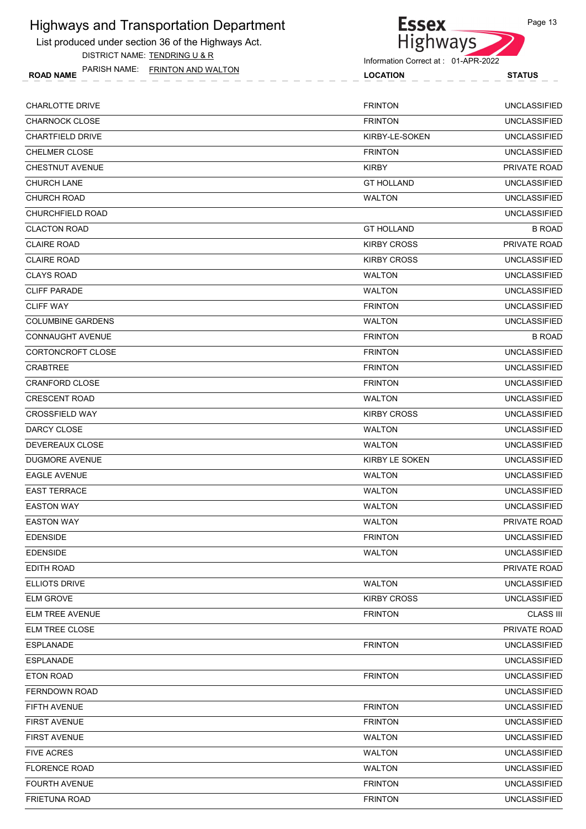

ROAD NAME LOCATION STATUS PARISH NAME: FRINTON AND WALTON



| <b>LOCATION</b> |  |  |  |  | <b>STATUS</b> |  |  |  |  |  |  |  |
|-----------------|--|--|--|--|---------------|--|--|--|--|--|--|--|
|                 |  |  |  |  |               |  |  |  |  |  |  |  |
|                 |  |  |  |  |               |  |  |  |  |  |  |  |
|                 |  |  |  |  |               |  |  |  |  |  |  |  |
|                 |  |  |  |  |               |  |  |  |  |  |  |  |

| <b>CHARLOTTE DRIVE</b>   | <b>FRINTON</b>     | <b>UNCLASSIFIED</b> |
|--------------------------|--------------------|---------------------|
| <b>CHARNOCK CLOSE</b>    | <b>FRINTON</b>     | <b>UNCLASSIFIED</b> |
| <b>CHARTFIELD DRIVE</b>  | KIRBY-LE-SOKEN     | <b>UNCLASSIFIED</b> |
| <b>CHELMER CLOSE</b>     | <b>FRINTON</b>     | <b>UNCLASSIFIED</b> |
| <b>CHESTNUT AVENUE</b>   | KIRBY              | PRIVATE ROAD        |
| <b>CHURCH LANE</b>       | <b>GT HOLLAND</b>  | <b>UNCLASSIFIED</b> |
| <b>CHURCH ROAD</b>       | <b>WALTON</b>      | <b>UNCLASSIFIED</b> |
| CHURCHFIELD ROAD         |                    | <b>UNCLASSIFIED</b> |
| <b>CLACTON ROAD</b>      | <b>GT HOLLAND</b>  | <b>B ROAD</b>       |
| <b>CLAIRE ROAD</b>       | <b>KIRBY CROSS</b> | <b>PRIVATE ROAD</b> |
| <b>CLAIRE ROAD</b>       | <b>KIRBY CROSS</b> | <b>UNCLASSIFIED</b> |
| <b>CLAYS ROAD</b>        | <b>WALTON</b>      | <b>UNCLASSIFIED</b> |
| <b>CLIFF PARADE</b>      | <b>WALTON</b>      | <b>UNCLASSIFIED</b> |
| <b>CLIFF WAY</b>         | <b>FRINTON</b>     | <b>UNCLASSIFIED</b> |
| <b>COLUMBINE GARDENS</b> | <b>WALTON</b>      | <b>UNCLASSIFIED</b> |
| <b>CONNAUGHT AVENUE</b>  | <b>FRINTON</b>     | <b>B ROAD</b>       |
| CORTONCROFT CLOSE        | <b>FRINTON</b>     | <b>UNCLASSIFIED</b> |
| <b>CRABTREE</b>          | <b>FRINTON</b>     | <b>UNCLASSIFIED</b> |
| CRANFORD CLOSE           | <b>FRINTON</b>     | <b>UNCLASSIFIED</b> |
| <b>CRESCENT ROAD</b>     | <b>WALTON</b>      | <b>UNCLASSIFIED</b> |
| <b>CROSSFIELD WAY</b>    | <b>KIRBY CROSS</b> | <b>UNCLASSIFIED</b> |
| DARCY CLOSE              | <b>WALTON</b>      | <b>UNCLASSIFIED</b> |
| DEVEREAUX CLOSE          | <b>WALTON</b>      | <b>UNCLASSIFIED</b> |
| DUGMORE AVENUE           | KIRBY LE SOKEN     | <b>UNCLASSIFIED</b> |
| <b>EAGLE AVENUE</b>      | <b>WALTON</b>      | <b>UNCLASSIFIED</b> |
| <b>EAST TERRACE</b>      | <b>WALTON</b>      | <b>UNCLASSIFIED</b> |
| <b>EASTON WAY</b>        | <b>WALTON</b>      | <b>UNCLASSIFIED</b> |
| <b>EASTON WAY</b>        | WALTON             | PRIVATE ROAD        |
| <b>EDENSIDE</b>          | <b>FRINTON</b>     | <b>UNCLASSIFIED</b> |
| <b>EDENSIDE</b>          | <b>WALTON</b>      | <b>UNCLASSIFIED</b> |
| EDITH ROAD               |                    | PRIVATE ROAD        |
| <b>ELLIOTS DRIVE</b>     | <b>WALTON</b>      | <b>UNCLASSIFIED</b> |
| <b>ELM GROVE</b>         | <b>KIRBY CROSS</b> | <b>UNCLASSIFIED</b> |
| ELM TREE AVENUE          | <b>FRINTON</b>     | <b>CLASS III</b>    |
| ELM TREE CLOSE           |                    | PRIVATE ROAD        |
| <b>ESPLANADE</b>         | <b>FRINTON</b>     | <b>UNCLASSIFIED</b> |
| <b>ESPLANADE</b>         |                    | <b>UNCLASSIFIED</b> |
| ETON ROAD                | <b>FRINTON</b>     | <b>UNCLASSIFIED</b> |
| <b>FERNDOWN ROAD</b>     |                    | <b>UNCLASSIFIED</b> |
| FIFTH AVENUE             | <b>FRINTON</b>     | <b>UNCLASSIFIED</b> |
| <b>FIRST AVENUE</b>      | <b>FRINTON</b>     | <b>UNCLASSIFIED</b> |
| <b>FIRST AVENUE</b>      | <b>WALTON</b>      | <b>UNCLASSIFIED</b> |
| <b>FIVE ACRES</b>        | <b>WALTON</b>      | <b>UNCLASSIFIED</b> |
| <b>FLORENCE ROAD</b>     | <b>WALTON</b>      | <b>UNCLASSIFIED</b> |
| FOURTH AVENUE            | <b>FRINTON</b>     | <b>UNCLASSIFIED</b> |
| <b>FRIETUNA ROAD</b>     | <b>FRINTON</b>     | <b>UNCLASSIFIED</b> |
|                          |                    |                     |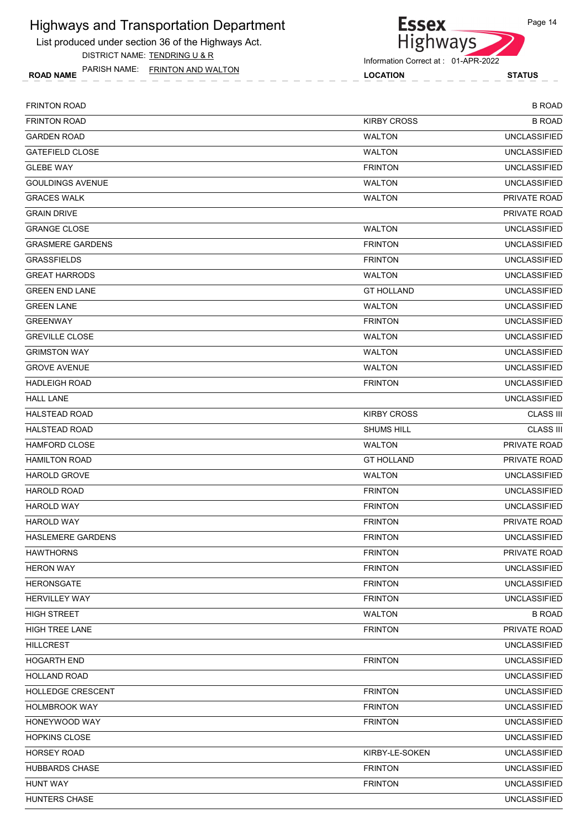List produced under section 36 of the Highways Act. DISTRICT NAME: TENDRING U & R

ROAD NAME LOCATION STATUS PARISH NAME: FRINTON AND WALTON



| <b>FRINTON ROAD</b>      |                    | <b>B ROAD</b>       |
|--------------------------|--------------------|---------------------|
| <b>FRINTON ROAD</b>      | <b>KIRBY CROSS</b> | <b>B ROAD</b>       |
| <b>GARDEN ROAD</b>       | <b>WALTON</b>      | <b>UNCLASSIFIED</b> |
| <b>GATEFIELD CLOSE</b>   | <b>WALTON</b>      | <b>UNCLASSIFIED</b> |
| <b>GLEBE WAY</b>         | <b>FRINTON</b>     | <b>UNCLASSIFIED</b> |
| <b>GOULDINGS AVENUE</b>  | <b>WALTON</b>      | <b>UNCLASSIFIED</b> |
| <b>GRACES WALK</b>       | <b>WALTON</b>      | PRIVATE ROAD        |
| <b>GRAIN DRIVE</b>       |                    | PRIVATE ROAD        |
| <b>GRANGE CLOSE</b>      | <b>WALTON</b>      | <b>UNCLASSIFIED</b> |
| <b>GRASMERE GARDENS</b>  | <b>FRINTON</b>     | <b>UNCLASSIFIED</b> |
| <b>GRASSFIELDS</b>       | <b>FRINTON</b>     | <b>UNCLASSIFIED</b> |
| <b>GREAT HARRODS</b>     | <b>WALTON</b>      | <b>UNCLASSIFIED</b> |
| <b>GREEN END LANE</b>    | <b>GT HOLLAND</b>  | <b>UNCLASSIFIED</b> |
| <b>GREEN LANE</b>        | <b>WALTON</b>      | <b>UNCLASSIFIED</b> |
| <b>GREENWAY</b>          | <b>FRINTON</b>     | <b>UNCLASSIFIED</b> |
| <b>GREVILLE CLOSE</b>    | <b>WALTON</b>      | <b>UNCLASSIFIED</b> |
| <b>GRIMSTON WAY</b>      | <b>WALTON</b>      | <b>UNCLASSIFIED</b> |
| <b>GROVE AVENUE</b>      | <b>WALTON</b>      | <b>UNCLASSIFIED</b> |
| <b>HADLEIGH ROAD</b>     | <b>FRINTON</b>     | <b>UNCLASSIFIED</b> |
| <b>HALL LANE</b>         |                    | <b>UNCLASSIFIED</b> |
| <b>HALSTEAD ROAD</b>     | <b>KIRBY CROSS</b> | <b>CLASS III</b>    |
| <b>HALSTEAD ROAD</b>     | SHUMS HILL         | <b>CLASS III</b>    |
| <b>HAMFORD CLOSE</b>     | <b>WALTON</b>      | <b>PRIVATE ROAD</b> |
| <b>HAMILTON ROAD</b>     | <b>GT HOLLAND</b>  | PRIVATE ROAD        |
| <b>HAROLD GROVE</b>      | <b>WALTON</b>      | <b>UNCLASSIFIED</b> |
| <b>HAROLD ROAD</b>       | <b>FRINTON</b>     | <b>UNCLASSIFIED</b> |
| <b>HAROLD WAY</b>        | <b>FRINTON</b>     | <b>UNCLASSIFIED</b> |
| <b>HAROLD WAY</b>        | <b>FRINTON</b>     | <b>PRIVATE ROAD</b> |
| <b>HASLEMERE GARDENS</b> | <b>FRINTON</b>     | <b>UNCLASSIFIED</b> |
| <b>HAWTHORNS</b>         | <b>FRINTON</b>     | PRIVATE ROAD        |
| <b>HERON WAY</b>         | <b>FRINTON</b>     | <b>UNCLASSIFIED</b> |
| <b>HERONSGATE</b>        | <b>FRINTON</b>     | <b>UNCLASSIFIED</b> |
| <b>HERVILLEY WAY</b>     | <b>FRINTON</b>     | <b>UNCLASSIFIED</b> |
| <b>HIGH STREET</b>       | <b>WALTON</b>      | <b>B ROAD</b>       |
| <b>HIGH TREE LANE</b>    | <b>FRINTON</b>     | PRIVATE ROAD        |
| <b>HILLCREST</b>         |                    | <b>UNCLASSIFIED</b> |
| <b>HOGARTH END</b>       | <b>FRINTON</b>     | <b>UNCLASSIFIED</b> |
| HOLLAND ROAD             |                    | <b>UNCLASSIFIED</b> |
| HOLLEDGE CRESCENT        | <b>FRINTON</b>     | <b>UNCLASSIFIED</b> |
| <b>HOLMBROOK WAY</b>     | <b>FRINTON</b>     | <b>UNCLASSIFIED</b> |
| HONEYWOOD WAY            | <b>FRINTON</b>     | <b>UNCLASSIFIED</b> |
| <b>HOPKINS CLOSE</b>     |                    | <b>UNCLASSIFIED</b> |
| <b>HORSEY ROAD</b>       | KIRBY-LE-SOKEN     | <b>UNCLASSIFIED</b> |
| <b>HUBBARDS CHASE</b>    | <b>FRINTON</b>     | <b>UNCLASSIFIED</b> |
| <b>HUNT WAY</b>          | <b>FRINTON</b>     | <b>UNCLASSIFIED</b> |
| HUNTERS CHASE            |                    | <b>UNCLASSIFIED</b> |
|                          |                    |                     |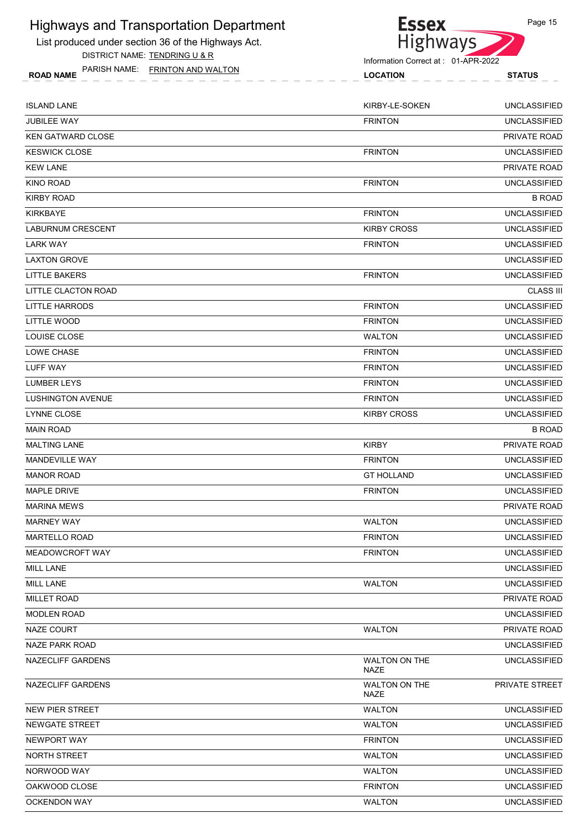

PARISH NAME: FRINTON AND WALTON



| PARISH NAME: FRINTON AND WALTON<br><b>ROAD NAME</b> | <b>LOCATION</b>              | <b>STATUS</b>       |
|-----------------------------------------------------|------------------------------|---------------------|
| ISLAND LANE                                         | KIRBY-LE-SOKEN               | <b>UNCLASSIFIED</b> |
| JUBILEE WAY                                         | <b>FRINTON</b>               | <b>UNCLASSIFIED</b> |
| <b>KEN GATWARD CLOSE</b>                            |                              | PRIVATE ROAD        |
| KESWICK CLOSE                                       | <b>FRINTON</b>               | <b>UNCLASSIFIED</b> |
| KEW LANE                                            |                              | PRIVATE ROAD        |
| KINO ROAD                                           | <b>FRINTON</b>               | <b>UNCLASSIFIED</b> |
| KIRBY ROAD                                          |                              | <b>B ROAD</b>       |
| KIRKBAYE                                            | <b>FRINTON</b>               | <b>UNCLASSIFIED</b> |
| LABURNUM CRESCENT                                   | <b>KIRBY CROSS</b>           | <b>UNCLASSIFIED</b> |
| <b>LARK WAY</b>                                     | <b>FRINTON</b>               | <b>UNCLASSIFIED</b> |
| LAXTON GROVE                                        |                              | <b>UNCLASSIFIED</b> |
| LITTLE BAKERS                                       | <b>FRINTON</b>               | <b>UNCLASSIFIED</b> |
| <b>LITTLE CLACTON ROAD</b>                          |                              | <b>CLASS III</b>    |
| LITTLE HARRODS                                      | <b>FRINTON</b>               | <b>UNCLASSIFIED</b> |
| LITTLE WOOD                                         | <b>FRINTON</b>               | <b>UNCLASSIFIED</b> |
| LOUISE CLOSE                                        | <b>WALTON</b>                | <b>UNCLASSIFIED</b> |
| LOWE CHASE                                          | <b>FRINTON</b>               | <b>UNCLASSIFIED</b> |
| LUFF WAY                                            | <b>FRINTON</b>               | <b>UNCLASSIFIED</b> |
| LUMBER LEYS                                         | <b>FRINTON</b>               | <b>UNCLASSIFIED</b> |
| LUSHINGTON AVENUE                                   | <b>FRINTON</b>               | <b>UNCLASSIFIED</b> |
| LYNNE CLOSE                                         | <b>KIRBY CROSS</b>           | <b>UNCLASSIFIED</b> |
| MAIN ROAD                                           |                              | <b>B ROAD</b>       |
| <b>MALTING LANE</b>                                 | <b>KIRBY</b>                 | PRIVATE ROAD        |
| MANDEVILLE WAY                                      | <b>FRINTON</b>               | <b>UNCLASSIFIED</b> |
| <b>MANOR ROAD</b>                                   | <b>GT HOLLAND</b>            | <b>UNCLASSIFIED</b> |
| MAPLE DRIVE                                         | <b>FRINTON</b>               | <b>UNCLASSIFIED</b> |
| MARINA MEWS                                         |                              | PRIVATE ROAD        |
| <b>MARNEY WAY</b>                                   | <b>WALTON</b>                | <b>UNCLASSIFIED</b> |
| <b>MARTELLO ROAD</b>                                | <b>FRINTON</b>               | <b>UNCLASSIFIED</b> |
| MEADOWCROFT WAY                                     | <b>FRINTON</b>               | <b>UNCLASSIFIED</b> |
| MILL LANE                                           |                              | <b>UNCLASSIFIED</b> |
| MILL LANE                                           | <b>WALTON</b>                | <b>UNCLASSIFIED</b> |
| <b>MILLET ROAD</b>                                  |                              | PRIVATE ROAD        |
| <b>MODLEN ROAD</b>                                  |                              | <b>UNCLASSIFIED</b> |
| NAZE COURT                                          | <b>WALTON</b>                | PRIVATE ROAD        |
| NAZE PARK ROAD                                      |                              | <b>UNCLASSIFIED</b> |
| NAZECLIFF GARDENS                                   | WALTON ON THE<br>NAZE        | <b>UNCLASSIFIED</b> |
| NAZECLIFF GARDENS                                   | <b>WALTON ON THE</b><br>NAZE | PRIVATE STREET      |
| NEW PIER STREET                                     | <b>WALTON</b>                | <b>UNCLASSIFIED</b> |
| NEWGATE STREET                                      | <b>WALTON</b>                | <b>UNCLASSIFIED</b> |

| <b>WALTON</b>  | <b>UNCLASSIFIED</b> |
|----------------|---------------------|
| <b>WALTON</b>  | <b>UNCLASSIFIED</b> |
| <b>FRINTON</b> | <b>UNCLASSIFIED</b> |
| <b>WALTON</b>  | UNCLASSIFIED        |
| <b>WALTON</b>  | <b>UNCLASSIFIED</b> |
| <b>FRINTON</b> | <b>UNCLASSIFIED</b> |
| <b>WALTON</b>  | <b>UNCLASSIFIED</b> |
|                |                     |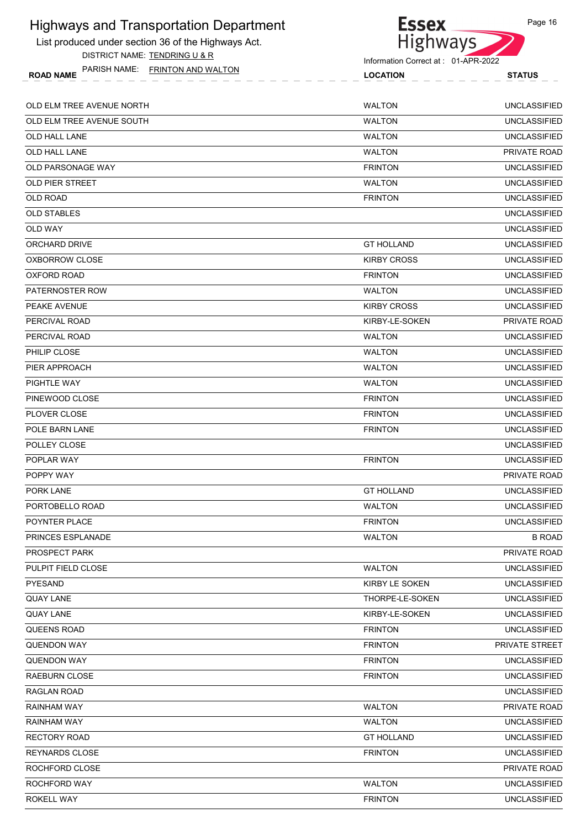#### **Essex** Highways and Transportation Department List produced under section 36 of the Highways Act.

DISTRICT NAME: TENDRING U & R

ROAD NAME LOCATION STATUS PARISH NAME: FRINTON AND WALTON

Highways Information Correct at : 01-APR-2022

| OLD ELM TREE AVENUE NORTH | <b>WALTON</b>      | <b>UNCLASSIFIED</b> |
|---------------------------|--------------------|---------------------|
| OLD ELM TREE AVENUE SOUTH | <b>WALTON</b>      | <b>UNCLASSIFIED</b> |
| <b>OLD HALL LANE</b>      | <b>WALTON</b>      | <b>UNCLASSIFIED</b> |
| OLD HALL LANE             | <b>WALTON</b>      | <b>PRIVATE ROAD</b> |
| <b>OLD PARSONAGE WAY</b>  | <b>FRINTON</b>     | <b>UNCLASSIFIED</b> |
| <b>OLD PIER STREET</b>    | <b>WALTON</b>      | <b>UNCLASSIFIED</b> |
| <b>OLD ROAD</b>           | <b>FRINTON</b>     | <b>UNCLASSIFIED</b> |
| <b>OLD STABLES</b>        |                    | <b>UNCLASSIFIED</b> |
| OLD WAY                   |                    | <b>UNCLASSIFIED</b> |
| ORCHARD DRIVE             | <b>GT HOLLAND</b>  | <b>UNCLASSIFIED</b> |
| OXBORROW CLOSE            | <b>KIRBY CROSS</b> | <b>UNCLASSIFIED</b> |
| OXFORD ROAD               | <b>FRINTON</b>     | <b>UNCLASSIFIED</b> |
| PATERNOSTER ROW           | <b>WALTON</b>      | <b>UNCLASSIFIED</b> |
| PEAKE AVENUE              | <b>KIRBY CROSS</b> | <b>UNCLASSIFIED</b> |
| PERCIVAL ROAD             | KIRBY-LE-SOKEN     | PRIVATE ROAD        |
| PERCIVAL ROAD             | <b>WALTON</b>      | <b>UNCLASSIFIED</b> |
| PHILIP CLOSE              | <b>WALTON</b>      | <b>UNCLASSIFIED</b> |
| PIER APPROACH             | <b>WALTON</b>      | <b>UNCLASSIFIED</b> |
| PIGHTLE WAY               | <b>WALTON</b>      | <b>UNCLASSIFIED</b> |
| PINEWOOD CLOSE            | <b>FRINTON</b>     | <b>UNCLASSIFIED</b> |
| PLOVER CLOSE              | <b>FRINTON</b>     | <b>UNCLASSIFIED</b> |
| POLE BARN LANE            | <b>FRINTON</b>     | <b>UNCLASSIFIED</b> |
| POLLEY CLOSE              |                    | <b>UNCLASSIFIED</b> |
| POPLAR WAY                | <b>FRINTON</b>     | <b>UNCLASSIFIED</b> |
| POPPY WAY                 |                    | PRIVATE ROAD        |
| PORK LANE                 | <b>GT HOLLAND</b>  | <b>UNCLASSIFIED</b> |
| PORTOBELLO ROAD           | <b>WALTON</b>      | <b>UNCLASSIFIED</b> |
| POYNTER PLACE             | <b>FRINTON</b>     | <b>UNCLASSIFIED</b> |
| PRINCES ESPLANADE         | <b>WALTON</b>      | <b>B ROAD</b>       |
| PROSPECT PARK             |                    | PRIVATE ROAD        |
| PULPIT FIELD CLOSE        | <b>WALTON</b>      | <b>UNCLASSIFIED</b> |
| PYESAND                   | KIRBY LE SOKEN     | <b>UNCLASSIFIED</b> |
| <b>QUAY LANE</b>          | THORPE-LE-SOKEN    | UNCLASSIFIED        |
| <b>QUAY LANE</b>          | KIRBY-LE-SOKEN     | <b>UNCLASSIFIED</b> |
| QUEENS ROAD               | <b>FRINTON</b>     | <b>UNCLASSIFIED</b> |
| <b>QUENDON WAY</b>        | <b>FRINTON</b>     | PRIVATE STREET      |
| <b>QUENDON WAY</b>        | <b>FRINTON</b>     | <b>UNCLASSIFIED</b> |
| <b>RAEBURN CLOSE</b>      | <b>FRINTON</b>     | <b>UNCLASSIFIED</b> |

| QUEENS ROAD    | <b>FRINTON</b>    | <b>UNCLASSIFIED</b>   |
|----------------|-------------------|-----------------------|
| QUENDON WAY    | <b>FRINTON</b>    | <b>PRIVATE STREET</b> |
| QUENDON WAY    | <b>FRINTON</b>    | <b>UNCLASSIFIED</b>   |
| RAEBURN CLOSE  | <b>FRINTON</b>    | <b>UNCLASSIFIED</b>   |
| RAGLAN ROAD    |                   | <b>UNCLASSIFIED</b>   |
| RAINHAM WAY    | <b>WALTON</b>     | PRIVATE ROAD          |
| RAINHAM WAY    | <b>WALTON</b>     | <b>UNCLASSIFIED</b>   |
| RECTORY ROAD   | <b>GT HOLLAND</b> | <b>UNCLASSIFIED</b>   |
| REYNARDS CLOSE | <b>FRINTON</b>    | <b>UNCLASSIFIED</b>   |
| ROCHFORD CLOSE |                   | PRIVATE ROAD          |
| ROCHFORD WAY   | <b>WALTON</b>     | <b>UNCLASSIFIED</b>   |
| ROKELL WAY     | <b>FRINTON</b>    | <b>UNCLASSIFIED</b>   |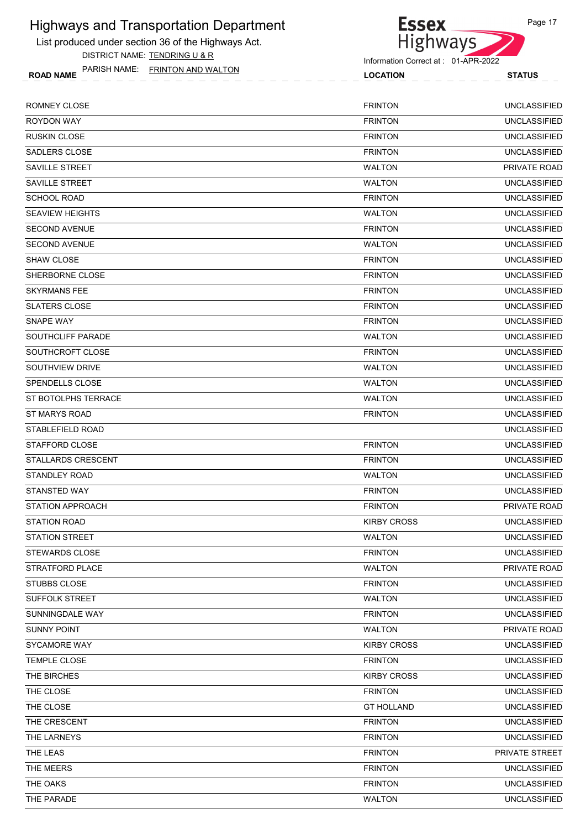List produced under section 36 of the Highways Act. DISTRICT NAME: TENDRING U & R

ROAD NAME LOCATION STATUS PARISH NAME: FRINTON AND WALTON



Highways

**Essex** 

| ROMNEY CLOSE            | <b>FRINTON</b>     | <b>UNCLASSIFIED</b> |
|-------------------------|--------------------|---------------------|
| <b>ROYDON WAY</b>       | <b>FRINTON</b>     | <b>UNCLASSIFIED</b> |
| <b>RUSKIN CLOSE</b>     | <b>FRINTON</b>     | <b>UNCLASSIFIED</b> |
| SADLERS CLOSE           | <b>FRINTON</b>     | <b>UNCLASSIFIED</b> |
| SAVILLE STREET          | <b>WALTON</b>      | PRIVATE ROAD        |
| SAVILLE STREET          | <b>WALTON</b>      | <b>UNCLASSIFIED</b> |
| <b>SCHOOL ROAD</b>      | <b>FRINTON</b>     | <b>UNCLASSIFIED</b> |
| <b>SEAVIEW HEIGHTS</b>  | <b>WALTON</b>      | <b>UNCLASSIFIED</b> |
| <b>SECOND AVENUE</b>    | <b>FRINTON</b>     | <b>UNCLASSIFIED</b> |
| <b>SECOND AVENUE</b>    | <b>WALTON</b>      | <b>UNCLASSIFIED</b> |
| <b>SHAW CLOSE</b>       | <b>FRINTON</b>     | <b>UNCLASSIFIED</b> |
| SHERBORNE CLOSE         | <b>FRINTON</b>     | <b>UNCLASSIFIED</b> |
| <b>SKYRMANS FEE</b>     | <b>FRINTON</b>     | <b>UNCLASSIFIED</b> |
| <b>SLATERS CLOSE</b>    | <b>FRINTON</b>     | <b>UNCLASSIFIED</b> |
| SNAPE WAY               | <b>FRINTON</b>     | <b>UNCLASSIFIED</b> |
| SOUTHCLIFF PARADE       | <b>WALTON</b>      | <b>UNCLASSIFIED</b> |
| SOUTHCROFT CLOSE        | <b>FRINTON</b>     | <b>UNCLASSIFIED</b> |
| SOUTHVIEW DRIVE         | <b>WALTON</b>      | <b>UNCLASSIFIED</b> |
| SPENDELLS CLOSE         | <b>WALTON</b>      | <b>UNCLASSIFIED</b> |
| ST BOTOLPHS TERRACE     | <b>WALTON</b>      | <b>UNCLASSIFIED</b> |
| ST MARYS ROAD           | <b>FRINTON</b>     | <b>UNCLASSIFIED</b> |
| STABLEFIELD ROAD        |                    | <b>UNCLASSIFIED</b> |
| STAFFORD CLOSE          | <b>FRINTON</b>     | <b>UNCLASSIFIED</b> |
| STALLARDS CRESCENT      | <b>FRINTON</b>     | <b>UNCLASSIFIED</b> |
| <b>STANDLEY ROAD</b>    | <b>WALTON</b>      | <b>UNCLASSIFIED</b> |
| STANSTED WAY            | <b>FRINTON</b>     | <b>UNCLASSIFIED</b> |
| <b>STATION APPROACH</b> | <b>FRINTON</b>     | PRIVATE ROAD        |
| <b>STATION ROAD</b>     | <b>KIRBY CROSS</b> | <b>UNCLASSIFIED</b> |
| <b>STATION STREET</b>   | <b>WALTON</b>      | <b>UNCLASSIFIED</b> |
| <b>STEWARDS CLOSE</b>   | <b>FRINTON</b>     | <b>UNCLASSIFIED</b> |
| STRATFORD PLACE         | <b>WALTON</b>      | PRIVATE ROAD        |
| STUBBS CLOSE            | <b>FRINTON</b>     | <b>UNCLASSIFIED</b> |
| <b>SUFFOLK STREET</b>   | <b>WALTON</b>      | <b>UNCLASSIFIED</b> |
| SUNNINGDALE WAY         | <b>FRINTON</b>     | <b>UNCLASSIFIED</b> |
| <b>SUNNY POINT</b>      | <b>WALTON</b>      | PRIVATE ROAD        |
| <b>SYCAMORE WAY</b>     | <b>KIRBY CROSS</b> | <b>UNCLASSIFIED</b> |
| TEMPLE CLOSE            | <b>FRINTON</b>     | <b>UNCLASSIFIED</b> |
| THE BIRCHES             | <b>KIRBY CROSS</b> | <b>UNCLASSIFIED</b> |
| THE CLOSE               | <b>FRINTON</b>     | <b>UNCLASSIFIED</b> |
| THE CLOSE               | <b>GT HOLLAND</b>  | <b>UNCLASSIFIED</b> |
| THE CRESCENT            | <b>FRINTON</b>     | <b>UNCLASSIFIED</b> |
| THE LARNEYS             | <b>FRINTON</b>     | <b>UNCLASSIFIED</b> |
| THE LEAS                | <b>FRINTON</b>     | PRIVATE STREET      |
| THE MEERS               | <b>FRINTON</b>     | <b>UNCLASSIFIED</b> |
| THE OAKS                | <b>FRINTON</b>     | <b>UNCLASSIFIED</b> |
| THE PARADE              | <b>WALTON</b>      | <b>UNCLASSIFIED</b> |
|                         |                    |                     |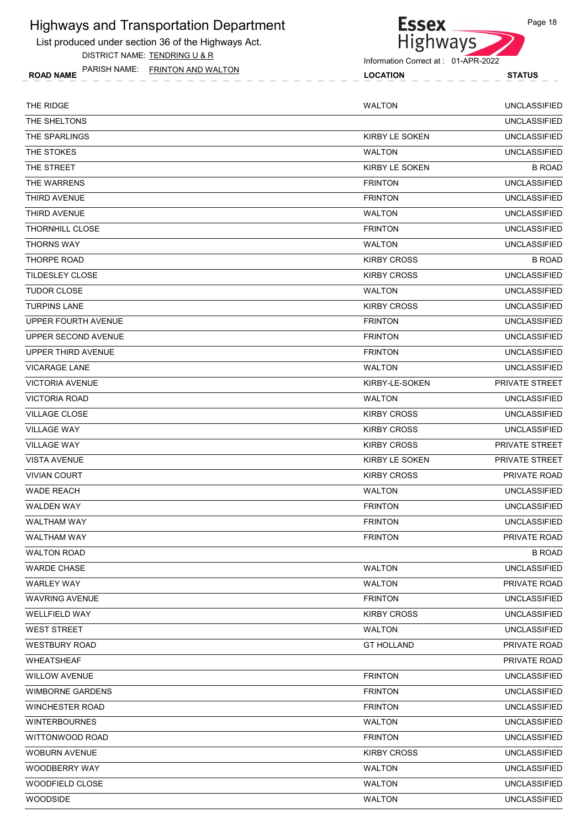List produced under section 36 of the Highways Act. DISTRICT NAME: TENDRING U & R

ROAD NAME LOCATION STATUS PARISH NAME: FRINTON AND WALTON



| THE RIDGE               | <b>WALTON</b>         | <b>UNCLASSIFIED</b> |
|-------------------------|-----------------------|---------------------|
| THE SHELTONS            |                       | <b>UNCLASSIFIED</b> |
| THE SPARLINGS           | <b>KIRBY LE SOKEN</b> | <b>UNCLASSIFIED</b> |
| THE STOKES              | <b>WALTON</b>         | <b>UNCLASSIFIED</b> |
| THE STREET              | <b>KIRBY LE SOKEN</b> | <b>B ROAD</b>       |
| THE WARRENS             | <b>FRINTON</b>        | <b>UNCLASSIFIED</b> |
| <b>THIRD AVENUE</b>     | <b>FRINTON</b>        | <b>UNCLASSIFIED</b> |
| THIRD AVENUE            | <b>WALTON</b>         | <b>UNCLASSIFIED</b> |
| THORNHILL CLOSE         | <b>FRINTON</b>        | <b>UNCLASSIFIED</b> |
| <b>THORNS WAY</b>       | <b>WALTON</b>         | <b>UNCLASSIFIED</b> |
| <b>THORPE ROAD</b>      | <b>KIRBY CROSS</b>    | <b>B ROAD</b>       |
| <b>TILDESLEY CLOSE</b>  | <b>KIRBY CROSS</b>    | <b>UNCLASSIFIED</b> |
| <b>TUDOR CLOSE</b>      | <b>WALTON</b>         | <b>UNCLASSIFIED</b> |
| <b>TURPINS LANE</b>     | <b>KIRBY CROSS</b>    | <b>UNCLASSIFIED</b> |
| UPPER FOURTH AVENUE     | <b>FRINTON</b>        | <b>UNCLASSIFIED</b> |
| UPPER SECOND AVENUE     | <b>FRINTON</b>        | <b>UNCLASSIFIED</b> |
| UPPER THIRD AVENUE      | <b>FRINTON</b>        | <b>UNCLASSIFIED</b> |
| <b>VICARAGE LANE</b>    | <b>WALTON</b>         | <b>UNCLASSIFIED</b> |
| <b>VICTORIA AVENUE</b>  | KIRBY-LE-SOKEN        | PRIVATE STREET      |
| <b>VICTORIA ROAD</b>    | <b>WALTON</b>         | <b>UNCLASSIFIED</b> |
| <b>VILLAGE CLOSE</b>    | <b>KIRBY CROSS</b>    | <b>UNCLASSIFIED</b> |
| <b>VILLAGE WAY</b>      | <b>KIRBY CROSS</b>    | <b>UNCLASSIFIED</b> |
| <b>VILLAGE WAY</b>      | <b>KIRBY CROSS</b>    | PRIVATE STREET      |
| <b>VISTA AVENUE</b>     | KIRBY LE SOKEN        | PRIVATE STREET      |
| <b>VIVIAN COURT</b>     | <b>KIRBY CROSS</b>    | PRIVATE ROAD        |
| <b>WADE REACH</b>       | <b>WALTON</b>         | <b>UNCLASSIFIED</b> |
| <b>WALDEN WAY</b>       | <b>FRINTON</b>        | <b>UNCLASSIFIED</b> |
| <b>WALTHAM WAY</b>      | <b>FRINTON</b>        | <b>UNCLASSIFIED</b> |
| <b>WALTHAM WAY</b>      | <b>FRINTON</b>        | <b>PRIVATE ROAD</b> |
| <b>WALTON ROAD</b>      |                       | <b>B ROAD</b>       |
| <b>WARDE CHASE</b>      | <b>WALTON</b>         | <b>UNCLASSIFIED</b> |
| <b>WARLEY WAY</b>       | <b>WALTON</b>         | PRIVATE ROAD        |
| <b>WAVRING AVENUE</b>   | <b>FRINTON</b>        | <b>UNCLASSIFIED</b> |
| <b>WELLFIELD WAY</b>    | <b>KIRBY CROSS</b>    | <b>UNCLASSIFIED</b> |
| <b>WEST STREET</b>      | <b>WALTON</b>         | <b>UNCLASSIFIED</b> |
| <b>WESTBURY ROAD</b>    | <b>GT HOLLAND</b>     | PRIVATE ROAD        |
| <b>WHEATSHEAF</b>       |                       | PRIVATE ROAD        |
| <b>WILLOW AVENUE</b>    | <b>FRINTON</b>        | <b>UNCLASSIFIED</b> |
| <b>WIMBORNE GARDENS</b> | <b>FRINTON</b>        | <b>UNCLASSIFIED</b> |
| <b>WINCHESTER ROAD</b>  | <b>FRINTON</b>        | <b>UNCLASSIFIED</b> |
| <b>WINTERBOURNES</b>    | <b>WALTON</b>         | <b>UNCLASSIFIED</b> |
| WITTONWOOD ROAD         | <b>FRINTON</b>        | <b>UNCLASSIFIED</b> |
| <b>WOBURN AVENUE</b>    | <b>KIRBY CROSS</b>    | <b>UNCLASSIFIED</b> |
| WOODBERRY WAY           | <b>WALTON</b>         | <b>UNCLASSIFIED</b> |
| WOODFIELD CLOSE         | <b>WALTON</b>         | <b>UNCLASSIFIED</b> |
| <b>WOODSIDE</b>         | <b>WALTON</b>         | <b>UNCLASSIFIED</b> |
|                         |                       |                     |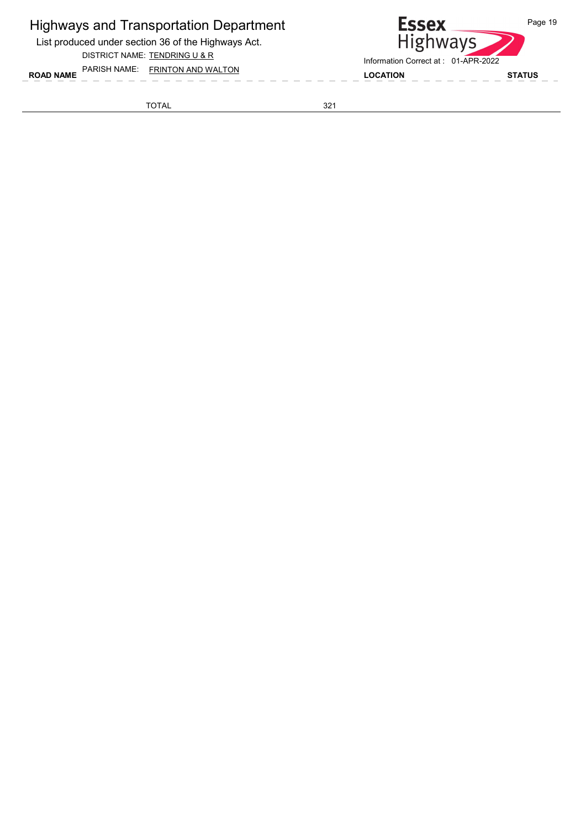List produced under section 36 of the Highways Act.

DISTRICT NAME: TENDRING U & R

ROAD NAME LOCATION STATUS PARISH NAME: FRINTON AND WALTON



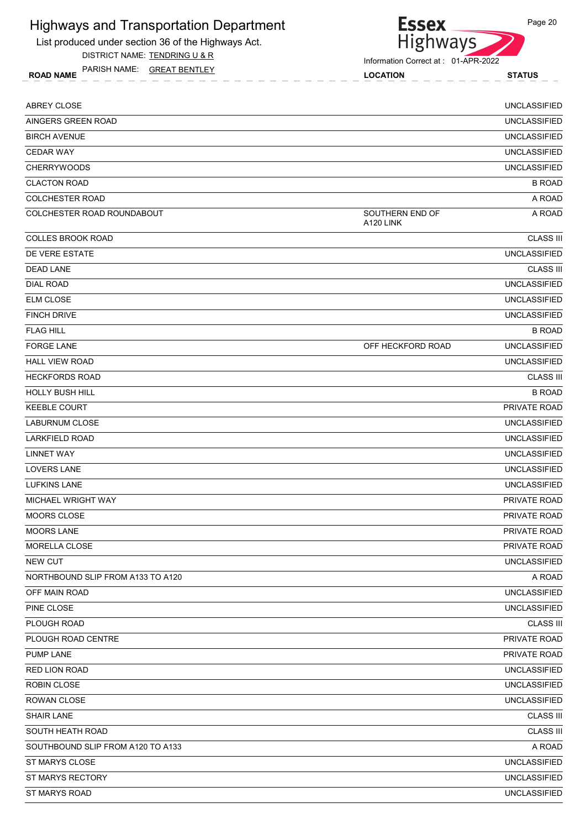List produced under section 36 of the Highways Act.

DISTRICT NAME: TENDRING U & R

ROAD NAME LOCATION STATUS PARISH NAME: GREAT BENTLEY



**Essex** 

| ABREY CLOSE                       |                              | <b>UNCLASSIFIED</b> |
|-----------------------------------|------------------------------|---------------------|
| AINGERS GREEN ROAD                |                              | <b>UNCLASSIFIED</b> |
| <b>BIRCH AVENUE</b>               |                              | <b>UNCLASSIFIED</b> |
| <b>CEDAR WAY</b>                  |                              | <b>UNCLASSIFIED</b> |
| <b>CHERRYWOODS</b>                |                              | <b>UNCLASSIFIED</b> |
| <b>CLACTON ROAD</b>               |                              | <b>B ROAD</b>       |
| <b>COLCHESTER ROAD</b>            |                              | A ROAD              |
| COLCHESTER ROAD ROUNDABOUT        | SOUTHERN END OF<br>A120 LINK | A ROAD              |
| <b>COLLES BROOK ROAD</b>          |                              | <b>CLASS III</b>    |
| DE VERE ESTATE                    |                              | <b>UNCLASSIFIED</b> |
| <b>DEAD LANE</b>                  |                              | <b>CLASS III</b>    |
| <b>DIAL ROAD</b>                  |                              | <b>UNCLASSIFIED</b> |
| <b>ELM CLOSE</b>                  |                              | <b>UNCLASSIFIED</b> |
| <b>FINCH DRIVE</b>                |                              | <b>UNCLASSIFIED</b> |
| <b>FLAG HILL</b>                  |                              | <b>B ROAD</b>       |
| <b>FORGE LANE</b>                 | OFF HECKFORD ROAD            | <b>UNCLASSIFIED</b> |
| <b>HALL VIEW ROAD</b>             |                              | <b>UNCLASSIFIED</b> |
| <b>HECKFORDS ROAD</b>             |                              | <b>CLASS III</b>    |
| <b>HOLLY BUSH HILL</b>            |                              | <b>B ROAD</b>       |
| <b>KEEBLE COURT</b>               |                              | PRIVATE ROAD        |
| <b>LABURNUM CLOSE</b>             |                              | <b>UNCLASSIFIED</b> |
| <b>LARKFIELD ROAD</b>             |                              | <b>UNCLASSIFIED</b> |
| <b>LINNET WAY</b>                 |                              | <b>UNCLASSIFIED</b> |
| <b>LOVERS LANE</b>                |                              | <b>UNCLASSIFIED</b> |
| <b>LUFKINS LANE</b>               |                              | <b>UNCLASSIFIED</b> |
| MICHAEL WRIGHT WAY                |                              | PRIVATE ROAD        |
| <b>MOORS CLOSE</b>                |                              | PRIVATE ROAD        |
| <b>MOORS LANE</b>                 |                              | PRIVATE ROAD        |
| MORELLA CLOSE                     |                              | PRIVATE ROAD        |
| <b>NEW CUT</b>                    |                              | <b>UNCLASSIFIED</b> |
| NORTHBOUND SLIP FROM A133 TO A120 |                              | A ROAD              |
| OFF MAIN ROAD                     |                              | <b>UNCLASSIFIED</b> |
| PINE CLOSE                        |                              | <b>UNCLASSIFIED</b> |
| PLOUGH ROAD                       |                              | <b>CLASS III</b>    |
| PLOUGH ROAD CENTRE                |                              | PRIVATE ROAD        |
| <b>PUMP LANE</b>                  |                              | PRIVATE ROAD        |
| <b>RED LION ROAD</b>              |                              | <b>UNCLASSIFIED</b> |
| ROBIN CLOSE                       |                              | <b>UNCLASSIFIED</b> |
| ROWAN CLOSE                       |                              | <b>UNCLASSIFIED</b> |
| <b>SHAIR LANE</b>                 |                              | <b>CLASS III</b>    |
| SOUTH HEATH ROAD                  |                              | <b>CLASS III</b>    |
| SOUTHBOUND SLIP FROM A120 TO A133 |                              | A ROAD              |
| ST MARYS CLOSE                    |                              | <b>UNCLASSIFIED</b> |
| ST MARYS RECTORY                  |                              | <b>UNCLASSIFIED</b> |
| ST MARYS ROAD                     |                              | <b>UNCLASSIFIED</b> |
|                                   |                              |                     |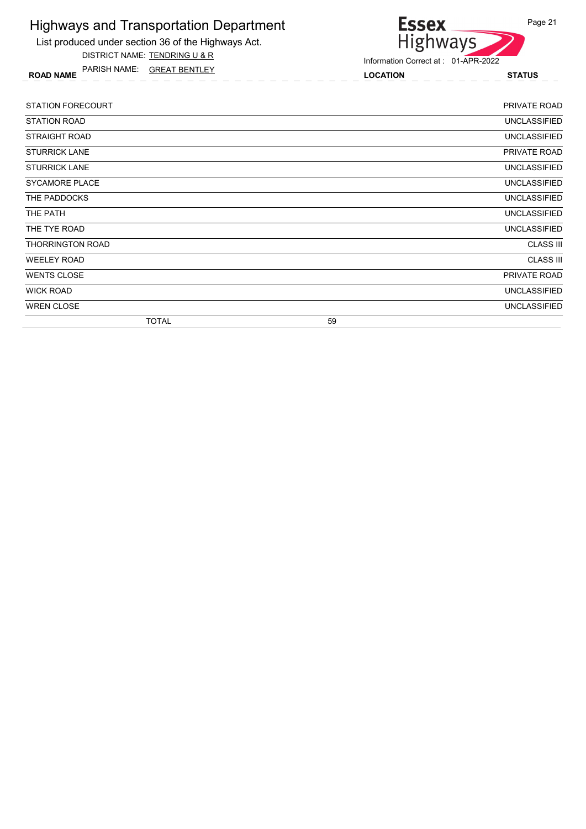List produced under section 36 of the Highways Act. DISTRICT NAME: TENDRING U & R

ROAD NAME LOCATION STATUS PARISH NAME: GREAT BENTLEY



Information Correct at : 01-APR-2022

| <b>STATION FORECOURT</b> | PRIVATE ROAD        |
|--------------------------|---------------------|
| <b>STATION ROAD</b>      | <b>UNCLASSIFIED</b> |
| STRAIGHT ROAD            | <b>UNCLASSIFIED</b> |
| <b>STURRICK LANE</b>     | PRIVATE ROAD        |
| <b>STURRICK LANE</b>     | <b>UNCLASSIFIED</b> |
| <b>SYCAMORE PLACE</b>    | <b>UNCLASSIFIED</b> |
| THE PADDOCKS             | <b>UNCLASSIFIED</b> |
| THE PATH                 | <b>UNCLASSIFIED</b> |
| THE TYE ROAD             | <b>UNCLASSIFIED</b> |
| <b>THORRINGTON ROAD</b>  | <b>CLASS III</b>    |
| <b>WEELEY ROAD</b>       | <b>CLASS III</b>    |
| <b>WENTS CLOSE</b>       | PRIVATE ROAD        |
| <b>WICK ROAD</b>         | <b>UNCLASSIFIED</b> |
| <b>WREN CLOSE</b>        | <b>UNCLASSIFIED</b> |
| <b>TOTAL</b>             | 59                  |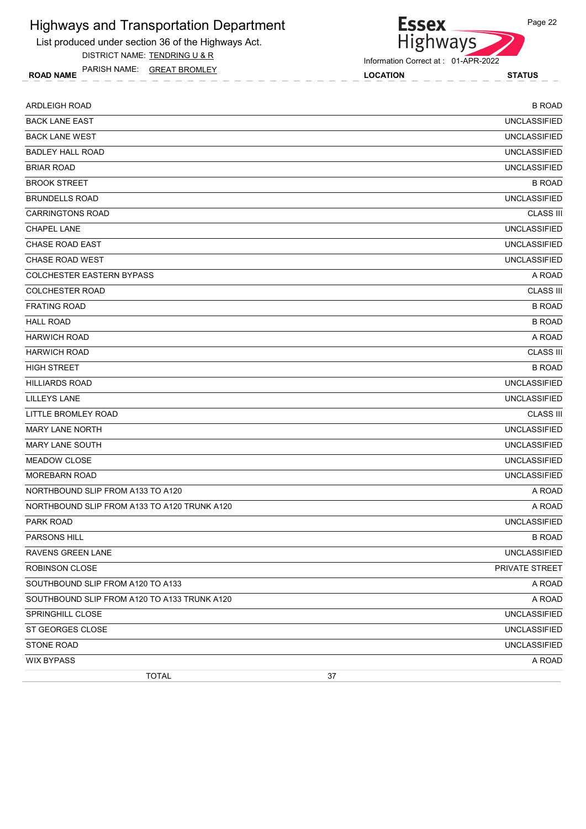List produced under section 36 of the Highways Act. DISTRICT NAME: TENDRING U & R

ROAD NAME LOCATION STATUS PARISH NAME: GREAT BROMLEY

Information Correct at : 01-APR-2022

Essex<br>Highways

| <b>ARDLEIGH ROAD</b>                         | <b>B ROAD</b>       |
|----------------------------------------------|---------------------|
| <b>BACK LANE EAST</b>                        | <b>UNCLASSIFIED</b> |
| <b>BACK LANE WEST</b>                        | <b>UNCLASSIFIED</b> |
| <b>BADLEY HALL ROAD</b>                      | <b>UNCLASSIFIED</b> |
| <b>BRIAR ROAD</b>                            | <b>UNCLASSIFIED</b> |
| <b>BROOK STREET</b>                          | <b>B ROAD</b>       |
| <b>BRUNDELLS ROAD</b>                        | <b>UNCLASSIFIED</b> |
| <b>CARRINGTONS ROAD</b>                      | <b>CLASS III</b>    |
| <b>CHAPEL LANE</b>                           | <b>UNCLASSIFIED</b> |
| <b>CHASE ROAD EAST</b>                       | <b>UNCLASSIFIED</b> |
| <b>CHASE ROAD WEST</b>                       | <b>UNCLASSIFIED</b> |
| <b>COLCHESTER EASTERN BYPASS</b>             | A ROAD              |
| <b>COLCHESTER ROAD</b>                       | <b>CLASS III</b>    |
| <b>FRATING ROAD</b>                          | <b>B ROAD</b>       |
| <b>HALL ROAD</b>                             | <b>B ROAD</b>       |
| <b>HARWICH ROAD</b>                          | A ROAD              |
| <b>HARWICH ROAD</b>                          | <b>CLASS III</b>    |
| <b>HIGH STREET</b>                           | <b>B ROAD</b>       |
| <b>HILLIARDS ROAD</b>                        | <b>UNCLASSIFIED</b> |
| <b>LILLEYS LANE</b>                          | <b>UNCLASSIFIED</b> |
| LITTLE BROMLEY ROAD                          | <b>CLASS III</b>    |
| <b>MARY LANE NORTH</b>                       | <b>UNCLASSIFIED</b> |
| <b>MARY LANE SOUTH</b>                       | <b>UNCLASSIFIED</b> |
| <b>MEADOW CLOSE</b>                          | <b>UNCLASSIFIED</b> |
| <b>MOREBARN ROAD</b>                         | <b>UNCLASSIFIED</b> |
| NORTHBOUND SLIP FROM A133 TO A120            | A ROAD              |
| NORTHBOUND SLIP FROM A133 TO A120 TRUNK A120 | A ROAD              |
| <b>PARK ROAD</b>                             | <b>UNCLASSIFIED</b> |
| PARSONS HILL                                 | <b>B ROAD</b>       |
| RAVENS GREEN LANE                            | <b>UNCLASSIFIED</b> |
| <b>ROBINSON CLOSE</b>                        | PRIVATE STREET      |
| SOUTHBOUND SLIP FROM A120 TO A133            | A ROAD              |
| SOUTHBOUND SLIP FROM A120 TO A133 TRUNK A120 | A ROAD              |
| SPRINGHILL CLOSE                             | <b>UNCLASSIFIED</b> |
| ST GEORGES CLOSE                             | <b>UNCLASSIFIED</b> |
| <b>STONE ROAD</b>                            | <b>UNCLASSIFIED</b> |
| <b>WIX BYPASS</b>                            | A ROAD              |
| <b>TOTAL</b><br>37                           |                     |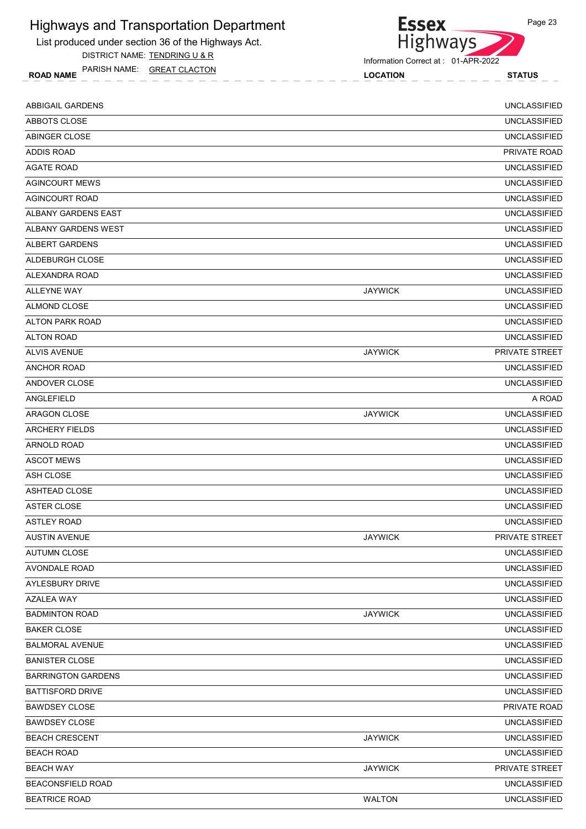List produced under section 36 of the Highways Act. DISTRICT NAME: TENDRING U & R

ROAD NAME LOCATION STATUS PARISH NAME: GREAT CLACTON

#### Information Correct at : 01-APR-2022

Highways

**Essex** 

| <b>ABBIGAIL GARDENS</b>   |                | <b>UNCLASSIFIED</b>   |
|---------------------------|----------------|-----------------------|
| ABBOTS CLOSE              |                | <b>UNCLASSIFIED</b>   |
| ABINGER CLOSE             |                | <b>UNCLASSIFIED</b>   |
| <b>ADDIS ROAD</b>         |                | PRIVATE ROAD          |
| <b>AGATE ROAD</b>         |                | <b>UNCLASSIFIED</b>   |
| <b>AGINCOURT MEWS</b>     |                | <b>UNCLASSIFIED</b>   |
| <b>AGINCOURT ROAD</b>     |                | <b>UNCLASSIFIED</b>   |
| ALBANY GARDENS EAST       |                | <b>UNCLASSIFIED</b>   |
| ALBANY GARDENS WEST       |                | <b>UNCLASSIFIED</b>   |
| ALBERT GARDENS            |                | <b>UNCLASSIFIED</b>   |
| ALDEBURGH CLOSE           |                | <b>UNCLASSIFIED</b>   |
| ALEXANDRA ROAD            |                | <b>UNCLASSIFIED</b>   |
| <b>ALLEYNE WAY</b>        | <b>JAYWICK</b> | <b>UNCLASSIFIED</b>   |
| ALMOND CLOSE              |                | <b>UNCLASSIFIED</b>   |
| <b>ALTON PARK ROAD</b>    |                | <b>UNCLASSIFIED</b>   |
| ALTON ROAD                |                | <b>UNCLASSIFIED</b>   |
| <b>ALVIS AVENUE</b>       | <b>JAYWICK</b> | PRIVATE STREET        |
| <b>ANCHOR ROAD</b>        |                | <b>UNCLASSIFIED</b>   |
| ANDOVER CLOSE             |                | <b>UNCLASSIFIED</b>   |
| ANGLEFIELD                |                | A ROAD                |
| ARAGON CLOSE              | <b>JAYWICK</b> | <b>UNCLASSIFIED</b>   |
| <b>ARCHERY FIELDS</b>     |                | <b>UNCLASSIFIED</b>   |
| ARNOLD ROAD               |                | <b>UNCLASSIFIED</b>   |
| <b>ASCOT MEWS</b>         |                | <b>UNCLASSIFIED</b>   |
| ASH CLOSE                 |                | <b>UNCLASSIFIED</b>   |
| ASHTEAD CLOSE             |                | <b>UNCLASSIFIED</b>   |
| ASTER CLOSE               |                | <b>UNCLASSIFIED</b>   |
| <b>ASTLEY ROAD</b>        |                | <b>UNCLASSIFIED</b>   |
| <b>AUSTIN AVENUE</b>      | <b>JAYWICK</b> | <b>PRIVATE STREET</b> |
| <b>AUTUMN CLOSE</b>       |                | <b>UNCLASSIFIED</b>   |
| AVONDALE ROAD             |                | <b>UNCLASSIFIED</b>   |
| AYLESBURY DRIVE           |                | <b>UNCLASSIFIED</b>   |
| AZALEA WAY                |                | <b>UNCLASSIFIED</b>   |
| <b>BADMINTON ROAD</b>     | <b>JAYWICK</b> | <b>UNCLASSIFIED</b>   |
| <b>BAKER CLOSE</b>        |                | <b>UNCLASSIFIED</b>   |
| <b>BALMORAL AVENUE</b>    |                | <b>UNCLASSIFIED</b>   |
| <b>BANISTER CLOSE</b>     |                | <b>UNCLASSIFIED</b>   |
| <b>BARRINGTON GARDENS</b> |                | <b>UNCLASSIFIED</b>   |
| <b>BATTISFORD DRIVE</b>   |                | <b>UNCLASSIFIED</b>   |
| <b>BAWDSEY CLOSE</b>      |                | PRIVATE ROAD          |
| <b>BAWDSEY CLOSE</b>      |                | <b>UNCLASSIFIED</b>   |
| <b>BEACH CRESCENT</b>     | <b>JAYWICK</b> | <b>UNCLASSIFIED</b>   |
| <b>BEACH ROAD</b>         |                | <b>UNCLASSIFIED</b>   |
| <b>BEACH WAY</b>          | <b>JAYWICK</b> | PRIVATE STREET        |
| <b>BEACONSFIELD ROAD</b>  |                | <b>UNCLASSIFIED</b>   |
| <b>BEATRICE ROAD</b>      | <b>WALTON</b>  | <b>UNCLASSIFIED</b>   |
|                           |                |                       |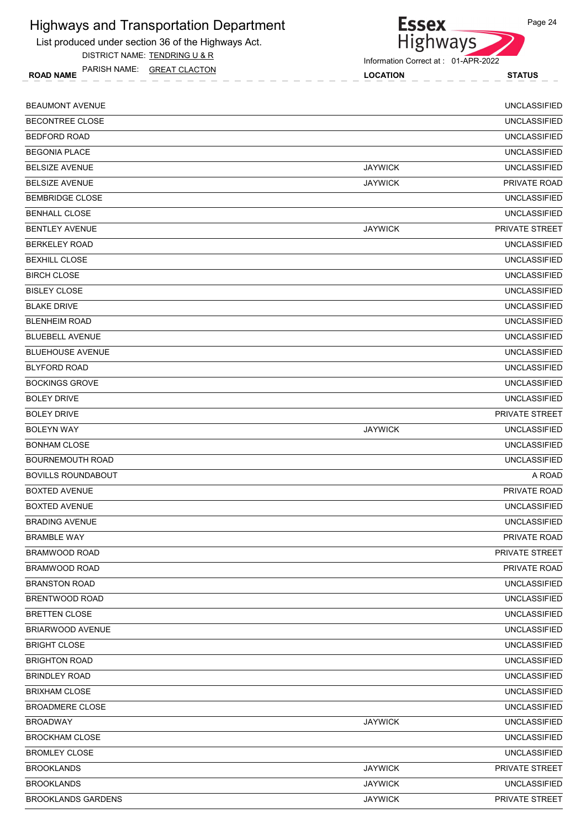List produced under section 36 of the Highways Act.

DISTRICT NAME: TENDRING U & R

ROAD NAME LOCATION STATUS PARISH NAME: GREAT CLACTON

| Information Correct at: 01-APR-2022 |  |
|-------------------------------------|--|

| <b>BEAUMONT AVENUE</b>    |                | <b>UNCLASSIFIED</b>   |
|---------------------------|----------------|-----------------------|
| <b>BECONTREE CLOSE</b>    |                | <b>UNCLASSIFIED</b>   |
| <b>BEDFORD ROAD</b>       |                | <b>UNCLASSIFIED</b>   |
| <b>BEGONIA PLACE</b>      |                | <b>UNCLASSIFIED</b>   |
| <b>BELSIZE AVENUE</b>     | <b>JAYWICK</b> | <b>UNCLASSIFIED</b>   |
| <b>BELSIZE AVENUE</b>     | <b>JAYWICK</b> | PRIVATE ROAD          |
| <b>BEMBRIDGE CLOSE</b>    |                | <b>UNCLASSIFIED</b>   |
| <b>BENHALL CLOSE</b>      |                | <b>UNCLASSIFIED</b>   |
| <b>BENTLEY AVENUE</b>     | <b>JAYWICK</b> | PRIVATE STREET        |
| <b>BERKELEY ROAD</b>      |                | <b>UNCLASSIFIED</b>   |
| <b>BEXHILL CLOSE</b>      |                | <b>UNCLASSIFIED</b>   |
| <b>BIRCH CLOSE</b>        |                | <b>UNCLASSIFIED</b>   |
| <b>BISLEY CLOSE</b>       |                | <b>UNCLASSIFIED</b>   |
| <b>BLAKE DRIVE</b>        |                | <b>UNCLASSIFIED</b>   |
| <b>BLENHEIM ROAD</b>      |                | <b>UNCLASSIFIED</b>   |
| <b>BLUEBELL AVENUE</b>    |                | <b>UNCLASSIFIED</b>   |
| <b>BLUEHOUSE AVENUE</b>   |                | <b>UNCLASSIFIED</b>   |
| <b>BLYFORD ROAD</b>       |                | <b>UNCLASSIFIED</b>   |
| <b>BOCKINGS GROVE</b>     |                | <b>UNCLASSIFIED</b>   |
| <b>BOLEY DRIVE</b>        |                | <b>UNCLASSIFIED</b>   |
| <b>BOLEY DRIVE</b>        |                | <b>PRIVATE STREET</b> |
| <b>BOLEYN WAY</b>         | <b>JAYWICK</b> | <b>UNCLASSIFIED</b>   |
| <b>BONHAM CLOSE</b>       |                | <b>UNCLASSIFIED</b>   |
| <b>BOURNEMOUTH ROAD</b>   |                | <b>UNCLASSIFIED</b>   |
| <b>BOVILLS ROUNDABOUT</b> |                | A ROAD                |
| <b>BOXTED AVENUE</b>      |                | <b>PRIVATE ROAD</b>   |
| <b>BOXTED AVENUE</b>      |                | <b>UNCLASSIFIED</b>   |
| <b>BRADING AVENUE</b>     |                | <b>UNCLASSIFIED</b>   |
| <b>BRAMBLE WAY</b>        |                | PRIVATE ROAD          |
| BRAMWOOD ROAD             |                | PRIVATE STREET        |
| BRAMWOOD ROAD             |                | PRIVATE ROAD          |
| <b>BRANSTON ROAD</b>      |                | <b>UNCLASSIFIED</b>   |
| <b>BRENTWOOD ROAD</b>     |                | <b>UNCLASSIFIED</b>   |
| <b>BRETTEN CLOSE</b>      |                | <b>UNCLASSIFIED</b>   |
| BRIARWOOD AVENUE          |                | <b>UNCLASSIFIED</b>   |
| <b>BRIGHT CLOSE</b>       |                | <b>UNCLASSIFIED</b>   |
| <b>BRIGHTON ROAD</b>      |                | <b>UNCLASSIFIED</b>   |
| <b>BRINDLEY ROAD</b>      |                | <b>UNCLASSIFIED</b>   |
| <b>BRIXHAM CLOSE</b>      |                | <b>UNCLASSIFIED</b>   |
| <b>BROADMERE CLOSE</b>    |                | <b>UNCLASSIFIED</b>   |
| <b>BROADWAY</b>           | <b>JAYWICK</b> | <b>UNCLASSIFIED</b>   |
| <b>BROCKHAM CLOSE</b>     |                | <b>UNCLASSIFIED</b>   |
| <b>BROMLEY CLOSE</b>      |                | <b>UNCLASSIFIED</b>   |
| <b>BROOKLANDS</b>         | <b>JAYWICK</b> | PRIVATE STREET        |
| <b>BROOKLANDS</b>         | <b>JAYWICK</b> | <b>UNCLASSIFIED</b>   |
| <b>BROOKLANDS GARDENS</b> | <b>JAYWICK</b> | PRIVATE STREET        |
|                           |                |                       |

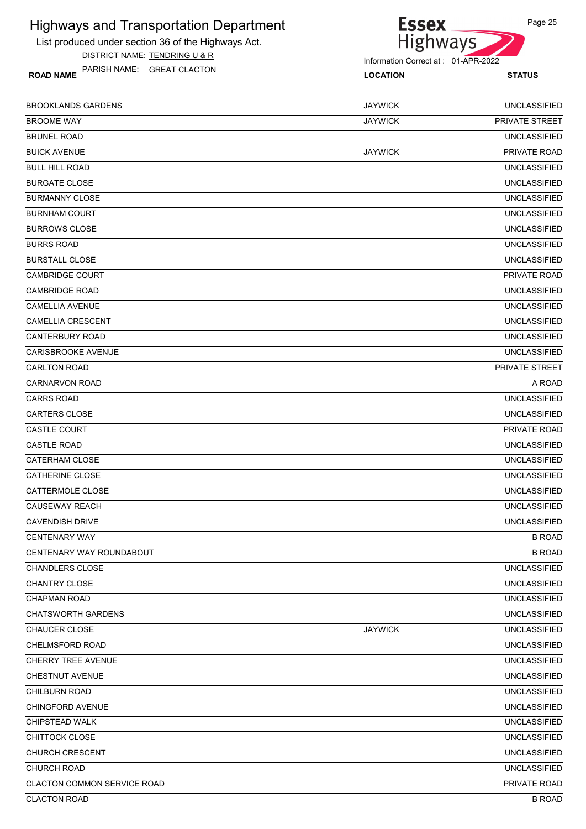

Page 25

List produced under section 36 of the Highways Act. DISTRICT NAME: TENDRING U & R

Information Correct at : 01-APR-2022

ROAD NAME LOCATION STATUS PARISH NAME: GREAT CLACTON BROOKLANDS GARDENS JAYWICK UNCLASSIFIED

| <b>BROOME WAY</b>                  | <b>JAYWICK</b> | PRIVATE STREET      |
|------------------------------------|----------------|---------------------|
| <b>BRUNEL ROAD</b>                 |                | <b>UNCLASSIFIED</b> |
| <b>BUICK AVENUE</b>                | <b>JAYWICK</b> | PRIVATE ROAD        |
| <b>BULL HILL ROAD</b>              |                | <b>UNCLASSIFIED</b> |
| <b>BURGATE CLOSE</b>               |                | <b>UNCLASSIFIED</b> |
| <b>BURMANNY CLOSE</b>              |                | <b>UNCLASSIFIED</b> |
| <b>BURNHAM COURT</b>               |                | <b>UNCLASSIFIED</b> |
| <b>BURROWS CLOSE</b>               |                | <b>UNCLASSIFIED</b> |
| <b>BURRS ROAD</b>                  |                | <b>UNCLASSIFIED</b> |
| <b>BURSTALL CLOSE</b>              |                | <b>UNCLASSIFIED</b> |
| CAMBRIDGE COURT                    |                | PRIVATE ROAD        |
| <b>CAMBRIDGE ROAD</b>              |                | <b>UNCLASSIFIED</b> |
| <b>CAMELLIA AVENUE</b>             |                | <b>UNCLASSIFIED</b> |
| <b>CAMELLIA CRESCENT</b>           |                | <b>UNCLASSIFIED</b> |
| <b>CANTERBURY ROAD</b>             |                | <b>UNCLASSIFIED</b> |
| CARISBROOKE AVENUE                 |                | <b>UNCLASSIFIED</b> |
| <b>CARLTON ROAD</b>                |                | PRIVATE STREET      |
| CARNARVON ROAD                     |                | A ROAD              |
| <b>CARRS ROAD</b>                  |                | <b>UNCLASSIFIED</b> |
| <b>CARTERS CLOSE</b>               |                | <b>UNCLASSIFIED</b> |
| CASTLE COURT                       |                | PRIVATE ROAD        |
| <b>CASTLE ROAD</b>                 |                | <b>UNCLASSIFIED</b> |
| <b>CATERHAM CLOSE</b>              |                | <b>UNCLASSIFIED</b> |
| <b>CATHERINE CLOSE</b>             |                | <b>UNCLASSIFIED</b> |
| CATTERMOLE CLOSE                   |                | <b>UNCLASSIFIED</b> |
| <b>CAUSEWAY REACH</b>              |                | <b>UNCLASSIFIED</b> |
| <b>CAVENDISH DRIVE</b>             |                | <b>UNCLASSIFIED</b> |
| <b>CENTENARY WAY</b>               |                | <b>B ROAD</b>       |
| CENTENARY WAY ROUNDABOUT           |                | <b>B ROAD</b>       |
| <b>CHANDLERS CLOSE</b>             |                | <b>UNCLASSIFIED</b> |
| <b>CHANTRY CLOSE</b>               |                | <b>UNCLASSIFIED</b> |
| <b>CHAPMAN ROAD</b>                |                | <b>UNCLASSIFIED</b> |
| <b>CHATSWORTH GARDENS</b>          |                | <b>UNCLASSIFIED</b> |
| <b>CHAUCER CLOSE</b>               | <b>JAYWICK</b> | <b>UNCLASSIFIED</b> |
| <b>CHELMSFORD ROAD</b>             |                | <b>UNCLASSIFIED</b> |
| <b>CHERRY TREE AVENUE</b>          |                | <b>UNCLASSIFIED</b> |
| <b>CHESTNUT AVENUE</b>             |                | <b>UNCLASSIFIED</b> |
| <b>CHILBURN ROAD</b>               |                | <b>UNCLASSIFIED</b> |
| <b>CHINGFORD AVENUE</b>            |                | <b>UNCLASSIFIED</b> |
| CHIPSTEAD WALK                     |                | <b>UNCLASSIFIED</b> |
| CHITTOCK CLOSE                     |                | <b>UNCLASSIFIED</b> |
| <b>CHURCH CRESCENT</b>             |                | <b>UNCLASSIFIED</b> |
| CHURCH ROAD                        |                | <b>UNCLASSIFIED</b> |
| <b>CLACTON COMMON SERVICE ROAD</b> |                | PRIVATE ROAD        |
| <b>CLACTON ROAD</b>                |                | <b>B ROAD</b>       |
|                                    |                |                     |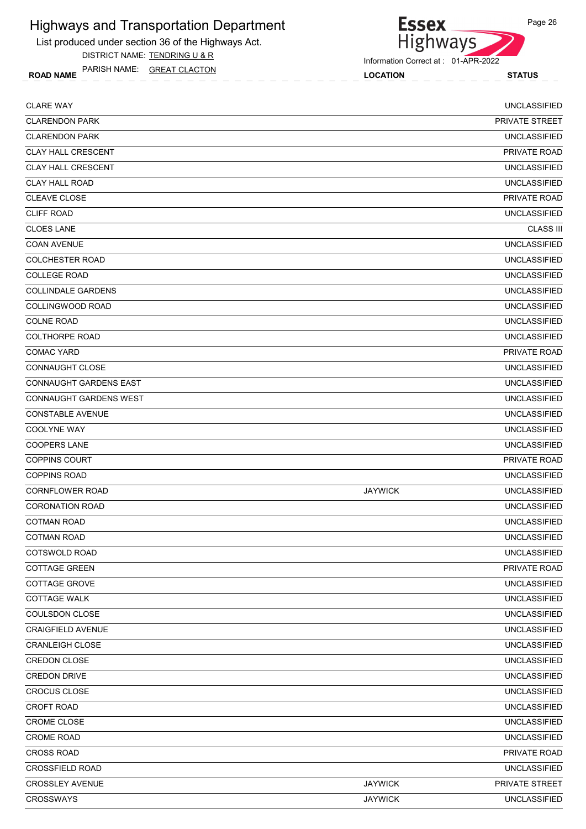List produced under section 36 of the Highways Act.

DISTRICT NAME: TENDRING U & R

ROAD NAME LOCATION STATUS PARISH NAME: GREAT CLACTON



**Essex** 

| <b>CLARE WAY</b>              |                | <b>UNCLASSIFIED</b> |
|-------------------------------|----------------|---------------------|
| <b>CLARENDON PARK</b>         |                | PRIVATE STREET      |
| <b>CLARENDON PARK</b>         |                | <b>UNCLASSIFIED</b> |
| <b>CLAY HALL CRESCENT</b>     |                | PRIVATE ROAD        |
| <b>CLAY HALL CRESCENT</b>     |                | <b>UNCLASSIFIED</b> |
| <b>CLAY HALL ROAD</b>         |                | <b>UNCLASSIFIED</b> |
| <b>CLEAVE CLOSE</b>           |                | PRIVATE ROAD        |
| <b>CLIFF ROAD</b>             |                | <b>UNCLASSIFIED</b> |
| <b>CLOES LANE</b>             |                | <b>CLASS III</b>    |
| <b>COAN AVENUE</b>            |                | <b>UNCLASSIFIED</b> |
| <b>COLCHESTER ROAD</b>        |                | <b>UNCLASSIFIED</b> |
| <b>COLLEGE ROAD</b>           |                | <b>UNCLASSIFIED</b> |
| <b>COLLINDALE GARDENS</b>     |                | <b>UNCLASSIFIED</b> |
| COLLINGWOOD ROAD              |                | <b>UNCLASSIFIED</b> |
| <b>COLNE ROAD</b>             |                | <b>UNCLASSIFIED</b> |
| <b>COLTHORPE ROAD</b>         |                | <b>UNCLASSIFIED</b> |
| <b>COMAC YARD</b>             |                | PRIVATE ROAD        |
| <b>CONNAUGHT CLOSE</b>        |                | <b>UNCLASSIFIED</b> |
| CONNAUGHT GARDENS EAST        |                | <b>UNCLASSIFIED</b> |
| <b>CONNAUGHT GARDENS WEST</b> |                | <b>UNCLASSIFIED</b> |
| <b>CONSTABLE AVENUE</b>       |                | <b>UNCLASSIFIED</b> |
| <b>COOLYNE WAY</b>            |                | <b>UNCLASSIFIED</b> |
| <b>COOPERS LANE</b>           |                | <b>UNCLASSIFIED</b> |
| <b>COPPINS COURT</b>          |                | <b>PRIVATE ROAD</b> |
| <b>COPPINS ROAD</b>           |                | <b>UNCLASSIFIED</b> |
| <b>CORNFLOWER ROAD</b>        | <b>JAYWICK</b> | <b>UNCLASSIFIED</b> |
| <b>CORONATION ROAD</b>        |                | <b>UNCLASSIFIED</b> |
| <b>COTMAN ROAD</b>            |                | <b>UNCLASSIFIED</b> |
| <b>COTMAN ROAD</b>            |                | <b>UNCLASSIFIED</b> |
| COTSWOLD ROAD                 |                | <b>UNCLASSIFIED</b> |
| <b>COTTAGE GREEN</b>          |                | PRIVATE ROAD        |
| COTTAGE GROVE                 |                | <b>UNCLASSIFIED</b> |
| <b>COTTAGE WALK</b>           |                | <b>UNCLASSIFIED</b> |
| COULSDON CLOSE                |                | <b>UNCLASSIFIED</b> |
| <b>CRAIGFIELD AVENUE</b>      |                | <b>UNCLASSIFIED</b> |
| <b>CRANLEIGH CLOSE</b>        |                | <b>UNCLASSIFIED</b> |
| CREDON CLOSE                  |                | <b>UNCLASSIFIED</b> |
| <b>CREDON DRIVE</b>           |                | <b>UNCLASSIFIED</b> |
| <b>CROCUS CLOSE</b>           |                | <b>UNCLASSIFIED</b> |
| <b>CROFT ROAD</b>             |                | <b>UNCLASSIFIED</b> |
| <b>CROME CLOSE</b>            |                | <b>UNCLASSIFIED</b> |
| <b>CROME ROAD</b>             |                | <b>UNCLASSIFIED</b> |
| <b>CROSS ROAD</b>             |                | PRIVATE ROAD        |
| <b>CROSSFIELD ROAD</b>        |                | <b>UNCLASSIFIED</b> |
| CROSSLEY AVENUE               | <b>JAYWICK</b> | PRIVATE STREET      |
| <b>CROSSWAYS</b>              | <b>JAYWICK</b> | <b>UNCLASSIFIED</b> |
|                               |                |                     |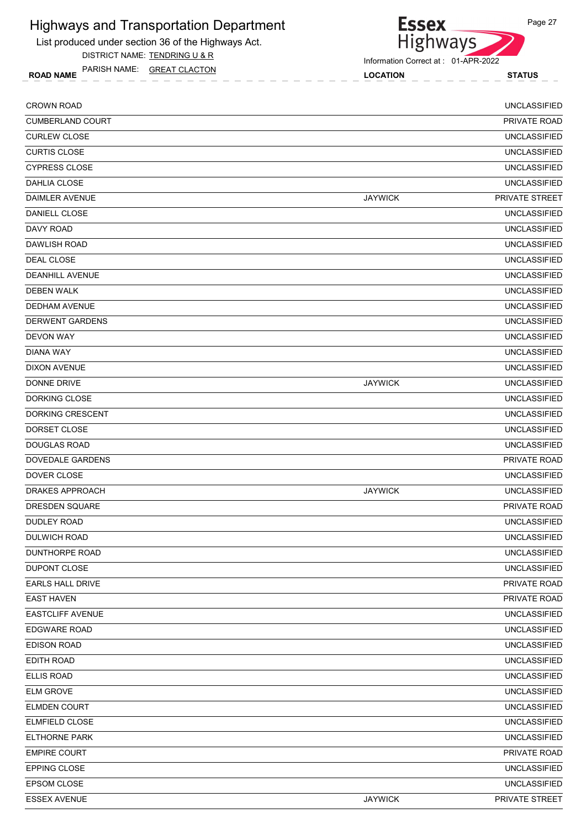List produced under section 36 of the Highways Act.

DISTRICT NAME: TENDRING U & R

ROAD NAME LOCATION STATUS PARISH NAME: GREAT CLACTON

Information Correct at : 01-APR-2022

Essex<br>Highways

| <b>CROWN ROAD</b>       |                | <b>UNCLASSIFIED</b> |
|-------------------------|----------------|---------------------|
| <b>CUMBERLAND COURT</b> |                | PRIVATE ROAD        |
| <b>CURLEW CLOSE</b>     |                | <b>UNCLASSIFIED</b> |
| <b>CURTIS CLOSE</b>     |                | <b>UNCLASSIFIED</b> |
| <b>CYPRESS CLOSE</b>    |                | <b>UNCLASSIFIED</b> |
| DAHLIA CLOSE            |                | <b>UNCLASSIFIED</b> |
| DAIMLER AVENUE          | <b>JAYWICK</b> | PRIVATE STREET      |
| DANIELL CLOSE           |                | <b>UNCLASSIFIED</b> |
| DAVY ROAD               |                | <b>UNCLASSIFIED</b> |
| DAWLISH ROAD            |                | <b>UNCLASSIFIED</b> |
| DEAL CLOSE              |                | <b>UNCLASSIFIED</b> |
| <b>DEANHILL AVENUE</b>  |                | <b>UNCLASSIFIED</b> |
| <b>DEBEN WALK</b>       |                | <b>UNCLASSIFIED</b> |
| <b>DEDHAM AVENUE</b>    |                | <b>UNCLASSIFIED</b> |
| <b>DERWENT GARDENS</b>  |                | <b>UNCLASSIFIED</b> |
| <b>DEVON WAY</b>        |                | <b>UNCLASSIFIED</b> |
| DIANA WAY               |                | <b>UNCLASSIFIED</b> |
| <b>DIXON AVENUE</b>     |                | <b>UNCLASSIFIED</b> |
| DONNE DRIVE             | <b>JAYWICK</b> | <b>UNCLASSIFIED</b> |
| DORKING CLOSE           |                | <b>UNCLASSIFIED</b> |
| DORKING CRESCENT        |                | <b>UNCLASSIFIED</b> |
| DORSET CLOSE            |                | <b>UNCLASSIFIED</b> |
| <b>DOUGLAS ROAD</b>     |                | <b>UNCLASSIFIED</b> |
| <b>DOVEDALE GARDENS</b> |                | PRIVATE ROAD        |
| DOVER CLOSE             |                | <b>UNCLASSIFIED</b> |
| <b>DRAKES APPROACH</b>  | <b>JAYWICK</b> | <b>UNCLASSIFIED</b> |
| <b>DRESDEN SQUARE</b>   |                | <b>PRIVATE ROAD</b> |
| DUDLEY ROAD             |                | <b>UNCLASSIFIED</b> |
| DULWICH ROAD            |                | <b>UNCLASSIFIED</b> |
| <b>DUNTHORPE ROAD</b>   |                | <b>UNCLASSIFIED</b> |
| <b>DUPONT CLOSE</b>     |                | <b>UNCLASSIFIED</b> |
| <b>EARLS HALL DRIVE</b> |                | PRIVATE ROAD        |
| <b>EAST HAVEN</b>       |                | PRIVATE ROAD        |
| <b>EASTCLIFF AVENUE</b> |                | <b>UNCLASSIFIED</b> |
| <b>EDGWARE ROAD</b>     |                | <b>UNCLASSIFIED</b> |
| <b>EDISON ROAD</b>      |                | <b>UNCLASSIFIED</b> |
| EDITH ROAD              |                | <b>UNCLASSIFIED</b> |
| ELLIS ROAD              |                | <b>UNCLASSIFIED</b> |
| <b>ELM GROVE</b>        |                | <b>UNCLASSIFIED</b> |
| <b>ELMDEN COURT</b>     |                | <b>UNCLASSIFIED</b> |
| ELMFIELD CLOSE          |                | <b>UNCLASSIFIED</b> |
| <b>ELTHORNE PARK</b>    |                | <b>UNCLASSIFIED</b> |
| <b>EMPIRE COURT</b>     |                | PRIVATE ROAD        |
| EPPING CLOSE            |                | <b>UNCLASSIFIED</b> |
| EPSOM CLOSE             |                | <b>UNCLASSIFIED</b> |
| <b>ESSEX AVENUE</b>     | <b>JAYWICK</b> | PRIVATE STREET      |
|                         |                |                     |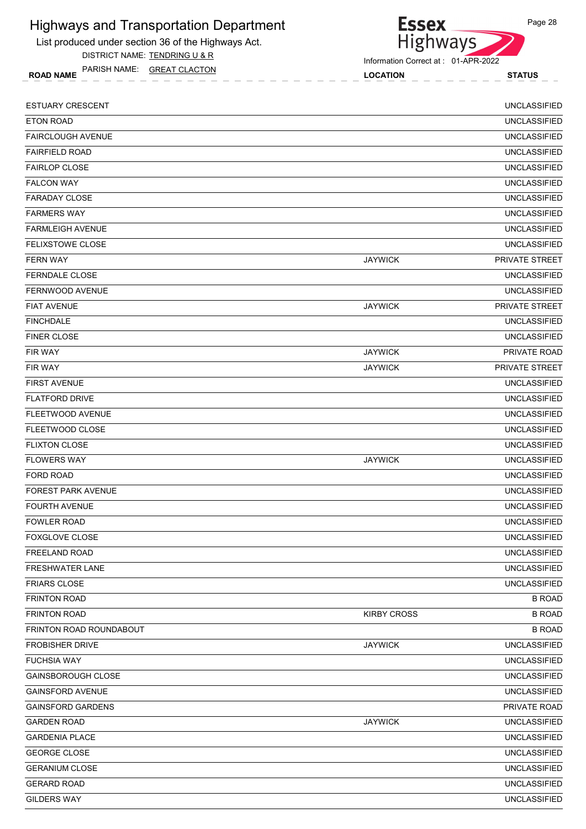List produced under section 36 of the Highways Act. DISTRICT NAME: TENDRING U & R

ROAD NAME LOCATION STATUS PARISH NAME: GREAT CLACTON



| <b>ESTUARY CRESCENT</b>   |                    | <b>UNCLASSIFIED</b> |
|---------------------------|--------------------|---------------------|
| ETON ROAD                 |                    | <b>UNCLASSIFIED</b> |
| <b>FAIRCLOUGH AVENUE</b>  |                    | <b>UNCLASSIFIED</b> |
| <b>FAIRFIELD ROAD</b>     |                    | <b>UNCLASSIFIED</b> |
| <b>FAIRLOP CLOSE</b>      |                    | <b>UNCLASSIFIED</b> |
| <b>FALCON WAY</b>         |                    | <b>UNCLASSIFIED</b> |
| <b>FARADAY CLOSE</b>      |                    | <b>UNCLASSIFIED</b> |
| <b>FARMERS WAY</b>        |                    | <b>UNCLASSIFIED</b> |
| <b>FARMLEIGH AVENUE</b>   |                    | <b>UNCLASSIFIED</b> |
| FELIXSTOWE CLOSE          |                    | <b>UNCLASSIFIED</b> |
| <b>FERN WAY</b>           | <b>JAYWICK</b>     | PRIVATE STREET      |
| FERNDALE CLOSE            |                    | <b>UNCLASSIFIED</b> |
| <b>FERNWOOD AVENUE</b>    |                    | <b>UNCLASSIFIED</b> |
| <b>FIAT AVENUE</b>        | <b>JAYWICK</b>     | PRIVATE STREET      |
| <b>FINCHDALE</b>          |                    | <b>UNCLASSIFIED</b> |
| <b>FINER CLOSE</b>        |                    | <b>UNCLASSIFIED</b> |
| FIR WAY                   | <b>JAYWICK</b>     | PRIVATE ROAD        |
| FIR WAY                   | <b>JAYWICK</b>     | PRIVATE STREET      |
| <b>FIRST AVENUE</b>       |                    | <b>UNCLASSIFIED</b> |
| <b>FLATFORD DRIVE</b>     |                    | <b>UNCLASSIFIED</b> |
| FLEETWOOD AVENUE          |                    | <b>UNCLASSIFIED</b> |
| FLEETWOOD CLOSE           |                    | <b>UNCLASSIFIED</b> |
| <b>FLIXTON CLOSE</b>      |                    | <b>UNCLASSIFIED</b> |
| <b>FLOWERS WAY</b>        | <b>JAYWICK</b>     | <b>UNCLASSIFIED</b> |
| FORD ROAD                 |                    | <b>UNCLASSIFIED</b> |
| <b>FOREST PARK AVENUE</b> |                    | <b>UNCLASSIFIED</b> |
| <b>FOURTH AVENUE</b>      |                    | <b>UNCLASSIFIED</b> |
| <b>FOWLER ROAD</b>        |                    | <b>UNCLASSIFIED</b> |
| FOXGLOVE CLOSE            |                    | UNCLASSIFIED        |
| FREELAND ROAD             |                    | <b>UNCLASSIFIED</b> |
| <b>FRESHWATER LANE</b>    |                    | <b>UNCLASSIFIED</b> |
| <b>FRIARS CLOSE</b>       |                    | <b>UNCLASSIFIED</b> |
| <b>FRINTON ROAD</b>       |                    | <b>B ROAD</b>       |
| <b>FRINTON ROAD</b>       | <b>KIRBY CROSS</b> | <b>B ROAD</b>       |
| FRINTON ROAD ROUNDABOUT   |                    | <b>B ROAD</b>       |
| <b>FROBISHER DRIVE</b>    | <b>JAYWICK</b>     | <b>UNCLASSIFIED</b> |
| <b>FUCHSIA WAY</b>        |                    | <b>UNCLASSIFIED</b> |
| <b>GAINSBOROUGH CLOSE</b> |                    | UNCLASSIFIED        |
| <b>GAINSFORD AVENUE</b>   |                    | <b>UNCLASSIFIED</b> |
| <b>GAINSFORD GARDENS</b>  |                    | PRIVATE ROAD        |
| <b>GARDEN ROAD</b>        | <b>JAYWICK</b>     | <b>UNCLASSIFIED</b> |
| <b>GARDENIA PLACE</b>     |                    | <b>UNCLASSIFIED</b> |
| <b>GEORGE CLOSE</b>       |                    | <b>UNCLASSIFIED</b> |
| <b>GERANIUM CLOSE</b>     |                    | <b>UNCLASSIFIED</b> |
| <b>GERARD ROAD</b>        |                    | <b>UNCLASSIFIED</b> |
|                           |                    |                     |
| <b>GILDERS WAY</b>        |                    | <b>UNCLASSIFIED</b> |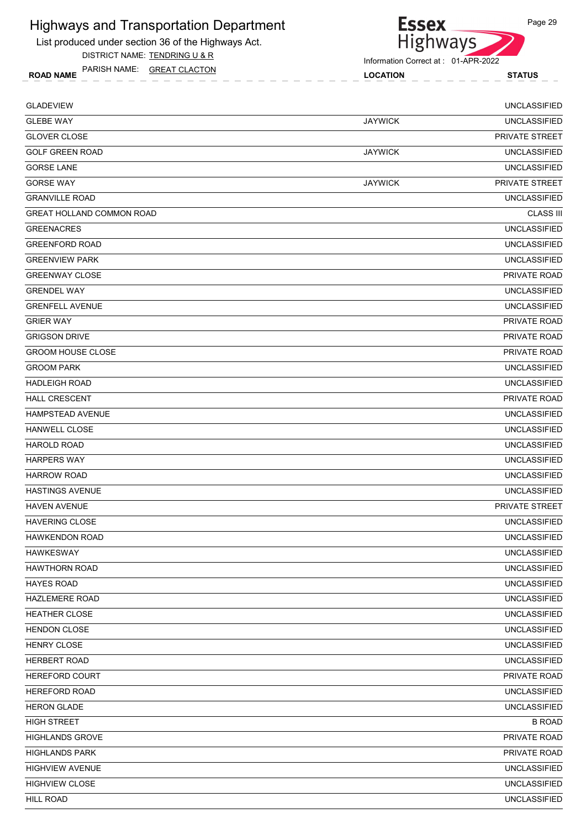List produced under section 36 of the Highways Act.

DISTRICT NAME: TENDRING U & R

ROAD NAME LOCATION STATUS PARISH NAME: GREAT CLACTON

Essex<br>Highways

Information Correct at : 01-APR-2022

| <b>GLADEVIEW</b>                 |                | <b>UNCLASSIFIED</b>   |
|----------------------------------|----------------|-----------------------|
| <b>GLEBE WAY</b>                 | <b>JAYWICK</b> | <b>UNCLASSIFIED</b>   |
| <b>GLOVER CLOSE</b>              |                | <b>PRIVATE STREET</b> |
| <b>GOLF GREEN ROAD</b>           | <b>JAYWICK</b> | <b>UNCLASSIFIED</b>   |
| <b>GORSE LANE</b>                |                | <b>UNCLASSIFIED</b>   |
| <b>GORSE WAY</b>                 | <b>JAYWICK</b> | PRIVATE STREET        |
| <b>GRANVILLE ROAD</b>            |                | <b>UNCLASSIFIED</b>   |
| <b>GREAT HOLLAND COMMON ROAD</b> |                | <b>CLASS III</b>      |
| <b>GREENACRES</b>                |                | <b>UNCLASSIFIED</b>   |
| <b>GREENFORD ROAD</b>            |                | <b>UNCLASSIFIED</b>   |
| <b>GREENVIEW PARK</b>            |                | <b>UNCLASSIFIED</b>   |
| <b>GREENWAY CLOSE</b>            |                | PRIVATE ROAD          |
| <b>GRENDEL WAY</b>               |                | <b>UNCLASSIFIED</b>   |
| <b>GRENFELL AVENUE</b>           |                | <b>UNCLASSIFIED</b>   |
| <b>GRIER WAY</b>                 |                | <b>PRIVATE ROAD</b>   |
| <b>GRIGSON DRIVE</b>             |                | PRIVATE ROAD          |
| <b>GROOM HOUSE CLOSE</b>         |                | PRIVATE ROAD          |
| <b>GROOM PARK</b>                |                | <b>UNCLASSIFIED</b>   |
| <b>HADLEIGH ROAD</b>             |                | <b>UNCLASSIFIED</b>   |
| <b>HALL CRESCENT</b>             |                | <b>PRIVATE ROAD</b>   |
| <b>HAMPSTEAD AVENUE</b>          |                | <b>UNCLASSIFIED</b>   |
| <b>HANWELL CLOSE</b>             |                | <b>UNCLASSIFIED</b>   |
| <b>HAROLD ROAD</b>               |                | <b>UNCLASSIFIED</b>   |
| <b>HARPERS WAY</b>               |                | <b>UNCLASSIFIED</b>   |
| <b>HARROW ROAD</b>               |                | <b>UNCLASSIFIED</b>   |
| <b>HASTINGS AVENUE</b>           |                | <b>UNCLASSIFIED</b>   |
| <b>HAVEN AVENUE</b>              |                | PRIVATE STREET        |
| <b>HAVERING CLOSE</b>            |                | <b>UNCLASSIFIED</b>   |
| <b>HAWKENDON ROAD</b>            |                | <b>UNCLASSIFIED</b>   |
| <b>HAWKESWAY</b>                 |                | <b>UNCLASSIFIED</b>   |
| <b>HAWTHORN ROAD</b>             |                | <b>UNCLASSIFIED</b>   |
| <b>HAYES ROAD</b>                |                | <b>UNCLASSIFIED</b>   |
| <b>HAZLEMERE ROAD</b>            |                | <b>UNCLASSIFIED</b>   |
| <b>HEATHER CLOSE</b>             |                | <b>UNCLASSIFIED</b>   |
| <b>HENDON CLOSE</b>              |                | <b>UNCLASSIFIED</b>   |
| <b>HENRY CLOSE</b>               |                | <b>UNCLASSIFIED</b>   |
| HERBERT ROAD                     |                | <b>UNCLASSIFIED</b>   |
| HEREFORD COURT                   |                | PRIVATE ROAD          |
| <b>HEREFORD ROAD</b>             |                | <b>UNCLASSIFIED</b>   |
| <b>HERON GLADE</b>               |                | <b>UNCLASSIFIED</b>   |
| <b>HIGH STREET</b>               |                | <b>B ROAD</b>         |
| <b>HIGHLANDS GROVE</b>           |                | PRIVATE ROAD          |
| <b>HIGHLANDS PARK</b>            |                | PRIVATE ROAD          |
| <b>HIGHVIEW AVENUE</b>           |                | <b>UNCLASSIFIED</b>   |
| <b>HIGHVIEW CLOSE</b>            |                | <b>UNCLASSIFIED</b>   |
| <b>HILL ROAD</b>                 |                | <b>UNCLASSIFIED</b>   |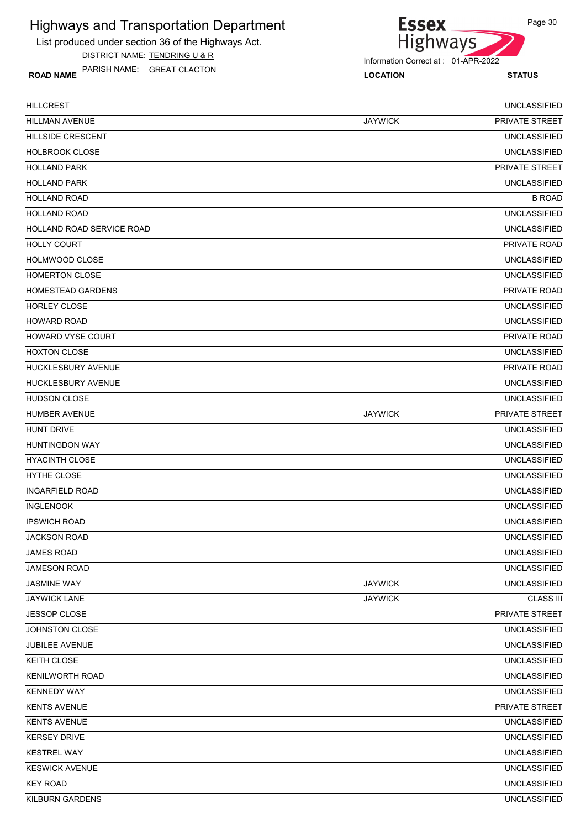List produced under section 36 of the Highways Act.

DISTRICT NAME: TENDRING U & R

ROAD NAME LOCATION STATUS PARISH NAME: GREAT CLACTON



**Essex** 

| <b>HILLCREST</b>          |                | <b>UNCLASSIFIED</b>   |
|---------------------------|----------------|-----------------------|
| <b>HILLMAN AVENUE</b>     | <b>JAYWICK</b> | <b>PRIVATE STREET</b> |
| <b>HILLSIDE CRESCENT</b>  |                | <b>UNCLASSIFIED</b>   |
| <b>HOLBROOK CLOSE</b>     |                | <b>UNCLASSIFIED</b>   |
| <b>HOLLAND PARK</b>       |                | PRIVATE STREET        |
| <b>HOLLAND PARK</b>       |                | <b>UNCLASSIFIED</b>   |
| <b>HOLLAND ROAD</b>       |                | <b>B ROAD</b>         |
| <b>HOLLAND ROAD</b>       |                | <b>UNCLASSIFIED</b>   |
| HOLLAND ROAD SERVICE ROAD |                | <b>UNCLASSIFIED</b>   |
| <b>HOLLY COURT</b>        |                | <b>PRIVATE ROAD</b>   |
| <b>HOLMWOOD CLOSE</b>     |                | <b>UNCLASSIFIED</b>   |
| <b>HOMERTON CLOSE</b>     |                | <b>UNCLASSIFIED</b>   |
| <b>HOMESTEAD GARDENS</b>  |                | PRIVATE ROAD          |
| <b>HORLEY CLOSE</b>       |                | <b>UNCLASSIFIED</b>   |
| <b>HOWARD ROAD</b>        |                | <b>UNCLASSIFIED</b>   |
| <b>HOWARD VYSE COURT</b>  |                | PRIVATE ROAD          |
| <b>HOXTON CLOSE</b>       |                | <b>UNCLASSIFIED</b>   |
| <b>HUCKLESBURY AVENUE</b> |                | <b>PRIVATE ROAD</b>   |
| HUCKLESBURY AVENUE        |                | <b>UNCLASSIFIED</b>   |
| <b>HUDSON CLOSE</b>       |                | <b>UNCLASSIFIED</b>   |
| <b>HUMBER AVENUE</b>      | <b>JAYWICK</b> | PRIVATE STREET        |
| <b>HUNT DRIVE</b>         |                | <b>UNCLASSIFIED</b>   |
| <b>HUNTINGDON WAY</b>     |                | <b>UNCLASSIFIED</b>   |
| <b>HYACINTH CLOSE</b>     |                | <b>UNCLASSIFIED</b>   |
| <b>HYTHE CLOSE</b>        |                | <b>UNCLASSIFIED</b>   |
| <b>INGARFIELD ROAD</b>    |                | <b>UNCLASSIFIED</b>   |
| <b>INGLENOOK</b>          |                | <b>UNCLASSIFIED</b>   |
| <b>IPSWICH ROAD</b>       |                | <b>UNCLASSIFIED</b>   |
| <b>JACKSON ROAD</b>       |                | <b>UNCLASSIFIED</b>   |
| <b>JAMES ROAD</b>         |                | <b>UNCLASSIFIED</b>   |
| JAMESON ROAD              |                | <b>UNCLASSIFIED</b>   |
| <b>JASMINE WAY</b>        | <b>JAYWICK</b> | <b>UNCLASSIFIED</b>   |
| <b>JAYWICK LANE</b>       | <b>JAYWICK</b> | <b>CLASS III</b>      |
| JESSOP CLOSE              |                | PRIVATE STREET        |
| JOHNSTON CLOSE            |                | <b>UNCLASSIFIED</b>   |
| JUBILEE AVENUE            |                | <b>UNCLASSIFIED</b>   |
| KEITH CLOSE               |                | <b>UNCLASSIFIED</b>   |
| <b>KENILWORTH ROAD</b>    |                | <b>UNCLASSIFIED</b>   |
| <b>KENNEDY WAY</b>        |                | <b>UNCLASSIFIED</b>   |
| <b>KENTS AVENUE</b>       |                | PRIVATE STREET        |
| <b>KENTS AVENUE</b>       |                | <b>UNCLASSIFIED</b>   |
| <b>KERSEY DRIVE</b>       |                | <b>UNCLASSIFIED</b>   |
| <b>KESTREL WAY</b>        |                | <b>UNCLASSIFIED</b>   |
| <b>KESWICK AVENUE</b>     |                | <b>UNCLASSIFIED</b>   |
| <b>KEY ROAD</b>           |                | <b>UNCLASSIFIED</b>   |
| KILBURN GARDENS           |                | <b>UNCLASSIFIED</b>   |
|                           |                |                       |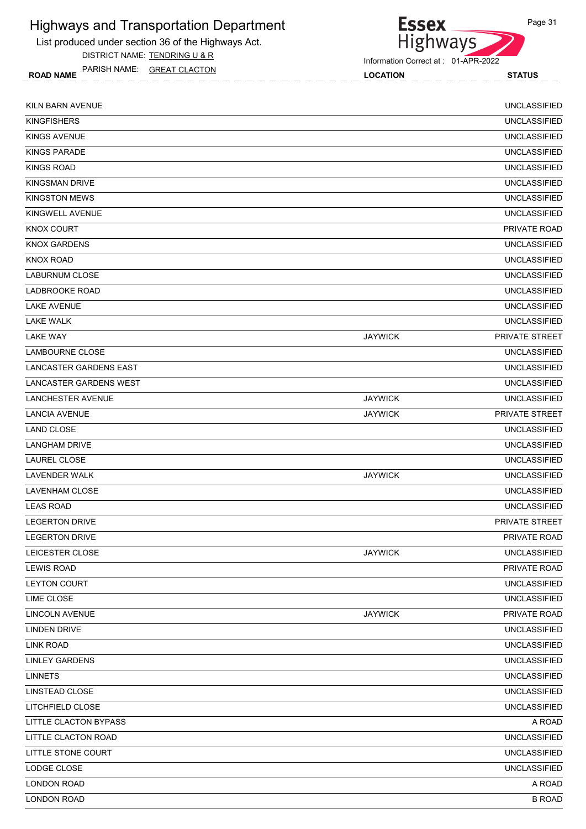List produced under section 36 of the Highways Act.

DISTRICT NAME: TENDRING U & R

ROAD NAME LOCATION STATUS PARISH NAME: GREAT CLACTON



Information Correct at : 01-APR-2022

| KILN BARN AVENUE              |                | <b>UNCLASSIFIED</b> |
|-------------------------------|----------------|---------------------|
| <b>KINGFISHERS</b>            |                | <b>UNCLASSIFIED</b> |
| <b>KINGS AVENUE</b>           |                | <b>UNCLASSIFIED</b> |
| KINGS PARADE                  |                | <b>UNCLASSIFIED</b> |
| <b>KINGS ROAD</b>             |                | <b>UNCLASSIFIED</b> |
| <b>KINGSMAN DRIVE</b>         |                | <b>UNCLASSIFIED</b> |
| <b>KINGSTON MEWS</b>          |                | <b>UNCLASSIFIED</b> |
| KINGWELL AVENUE               |                | <b>UNCLASSIFIED</b> |
| <b>KNOX COURT</b>             |                | PRIVATE ROAD        |
| <b>KNOX GARDENS</b>           |                | <b>UNCLASSIFIED</b> |
| KNOX ROAD                     |                | <b>UNCLASSIFIED</b> |
| <b>LABURNUM CLOSE</b>         |                | <b>UNCLASSIFIED</b> |
| LADBROOKE ROAD                |                | <b>UNCLASSIFIED</b> |
| <b>LAKE AVENUE</b>            |                | <b>UNCLASSIFIED</b> |
| <b>LAKE WALK</b>              |                | <b>UNCLASSIFIED</b> |
| <b>LAKE WAY</b>               | <b>JAYWICK</b> | PRIVATE STREET      |
| <b>LAMBOURNE CLOSE</b>        |                | <b>UNCLASSIFIED</b> |
| LANCASTER GARDENS EAST        |                | <b>UNCLASSIFIED</b> |
| <b>LANCASTER GARDENS WEST</b> |                | <b>UNCLASSIFIED</b> |
| LANCHESTER AVENUE             | <b>JAYWICK</b> | <b>UNCLASSIFIED</b> |
| <b>LANCIA AVENUE</b>          | <b>JAYWICK</b> | PRIVATE STREET      |
| <b>LAND CLOSE</b>             |                | <b>UNCLASSIFIED</b> |
| <b>LANGHAM DRIVE</b>          |                | <b>UNCLASSIFIED</b> |
| LAUREL CLOSE                  |                | <b>UNCLASSIFIED</b> |
| <b>LAVENDER WALK</b>          | <b>JAYWICK</b> | <b>UNCLASSIFIED</b> |
| <b>LAVENHAM CLOSE</b>         |                | <b>UNCLASSIFIED</b> |
| <b>LEAS ROAD</b>              |                | <b>UNCLASSIFIED</b> |
| <b>LEGERTON DRIVE</b>         |                | PRIVATE STREET      |
| <b>LEGERTON DRIVE</b>         |                | PRIVATE ROAD        |
| LEICESTER CLOSE               | <b>JAYWICK</b> | <b>UNCLASSIFIED</b> |
| <b>LEWIS ROAD</b>             |                | PRIVATE ROAD        |
| LEYTON COURT                  |                | <b>UNCLASSIFIED</b> |
| <b>LIME CLOSE</b>             |                | <b>UNCLASSIFIED</b> |
| LINCOLN AVENUE                | <b>JAYWICK</b> | PRIVATE ROAD        |
| <b>LINDEN DRIVE</b>           |                | <b>UNCLASSIFIED</b> |
| <b>LINK ROAD</b>              |                | <b>UNCLASSIFIED</b> |
| <b>LINLEY GARDENS</b>         |                | <b>UNCLASSIFIED</b> |
| <b>LINNETS</b>                |                | <b>UNCLASSIFIED</b> |
| LINSTEAD CLOSE                |                | <b>UNCLASSIFIED</b> |
| LITCHFIELD CLOSE              |                | <b>UNCLASSIFIED</b> |
| LITTLE CLACTON BYPASS         |                | A ROAD              |
| LITTLE CLACTON ROAD           |                | <b>UNCLASSIFIED</b> |
| LITTLE STONE COURT            |                | <b>UNCLASSIFIED</b> |
| LODGE CLOSE                   |                | <b>UNCLASSIFIED</b> |
| <b>LONDON ROAD</b>            |                | A ROAD              |
| <b>LONDON ROAD</b>            |                | <b>B ROAD</b>       |
|                               |                |                     |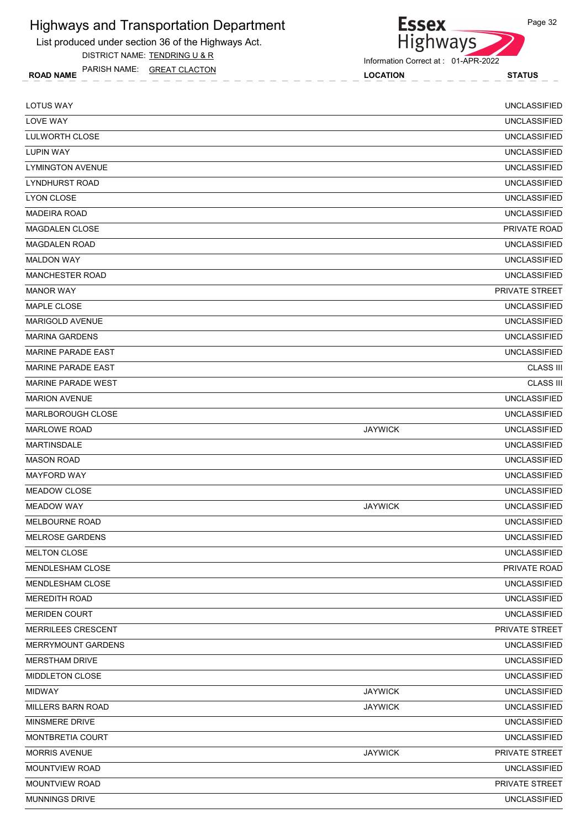List produced under section 36 of the Highways Act.

DISTRICT NAME: TENDRING U & R

ROAD NAME LOCATION STATUS PARISH NAME: GREAT CLACTON

Highways

**Essex** 

| <b>LOTUS WAY</b>          |                | <b>UNCLASSIFIED</b> |
|---------------------------|----------------|---------------------|
| <b>LOVE WAY</b>           |                | <b>UNCLASSIFIED</b> |
| <b>LULWORTH CLOSE</b>     |                | <b>UNCLASSIFIED</b> |
| <b>LUPIN WAY</b>          |                | <b>UNCLASSIFIED</b> |
| <b>LYMINGTON AVENUE</b>   |                | <b>UNCLASSIFIED</b> |
| <b>LYNDHURST ROAD</b>     |                | <b>UNCLASSIFIED</b> |
| <b>LYON CLOSE</b>         |                | <b>UNCLASSIFIED</b> |
| <b>MADEIRA ROAD</b>       |                | <b>UNCLASSIFIED</b> |
| <b>MAGDALEN CLOSE</b>     |                | PRIVATE ROAD        |
| <b>MAGDALEN ROAD</b>      |                | <b>UNCLASSIFIED</b> |
| <b>MALDON WAY</b>         |                | <b>UNCLASSIFIED</b> |
| <b>MANCHESTER ROAD</b>    |                | <b>UNCLASSIFIED</b> |
| <b>MANOR WAY</b>          |                | PRIVATE STREET      |
| <b>MAPLE CLOSE</b>        |                | <b>UNCLASSIFIED</b> |
| <b>MARIGOLD AVENUE</b>    |                | <b>UNCLASSIFIED</b> |
| <b>MARINA GARDENS</b>     |                | <b>UNCLASSIFIED</b> |
| <b>MARINE PARADE EAST</b> |                | <b>UNCLASSIFIED</b> |
| <b>MARINE PARADE EAST</b> |                | <b>CLASS III</b>    |
| <b>MARINE PARADE WEST</b> |                | <b>CLASS III</b>    |
| <b>MARION AVENUE</b>      |                | <b>UNCLASSIFIED</b> |
| <b>MARLBOROUGH CLOSE</b>  |                | <b>UNCLASSIFIED</b> |
| <b>MARLOWE ROAD</b>       | <b>JAYWICK</b> | <b>UNCLASSIFIED</b> |
| <b>MARTINSDALE</b>        |                | <b>UNCLASSIFIED</b> |
| <b>MASON ROAD</b>         |                | <b>UNCLASSIFIED</b> |
| <b>MAYFORD WAY</b>        |                | <b>UNCLASSIFIED</b> |
| <b>MEADOW CLOSE</b>       |                | <b>UNCLASSIFIED</b> |
| <b>MEADOW WAY</b>         | <b>JAYWICK</b> | <b>UNCLASSIFIED</b> |
| <b>MELBOURNE ROAD</b>     |                | <b>UNCLASSIFIED</b> |
| <b>MELROSE GARDENS</b>    |                | <b>UNCLASSIFIED</b> |
| MELTON CLOSE              |                | <b>UNCLASSIFIED</b> |
| MENDLESHAM CLOSE          |                | PRIVATE ROAD        |
| MENDLESHAM CLOSE          |                | <b>UNCLASSIFIED</b> |
| <b>MEREDITH ROAD</b>      |                | <b>UNCLASSIFIED</b> |
| <b>MERIDEN COURT</b>      |                | <b>UNCLASSIFIED</b> |
| MERRILEES CRESCENT        |                | PRIVATE STREET      |
| MERRYMOUNT GARDENS        |                | <b>UNCLASSIFIED</b> |
| <b>MERSTHAM DRIVE</b>     |                | <b>UNCLASSIFIED</b> |
| MIDDLETON CLOSE           |                | <b>UNCLASSIFIED</b> |
| <b>MIDWAY</b>             | <b>JAYWICK</b> | <b>UNCLASSIFIED</b> |
| MILLERS BARN ROAD         | <b>JAYWICK</b> | <b>UNCLASSIFIED</b> |
| MINSMERE DRIVE            |                | UNCLASSIFIED        |
| MONTBRETIA COURT          |                | <b>UNCLASSIFIED</b> |
| <b>MORRIS AVENUE</b>      | <b>JAYWICK</b> | PRIVATE STREET      |
| <b>MOUNTVIEW ROAD</b>     |                | <b>UNCLASSIFIED</b> |
| MOUNTVIEW ROAD            |                | PRIVATE STREET      |
| MUNNINGS DRIVE            |                | <b>UNCLASSIFIED</b> |
|                           |                |                     |

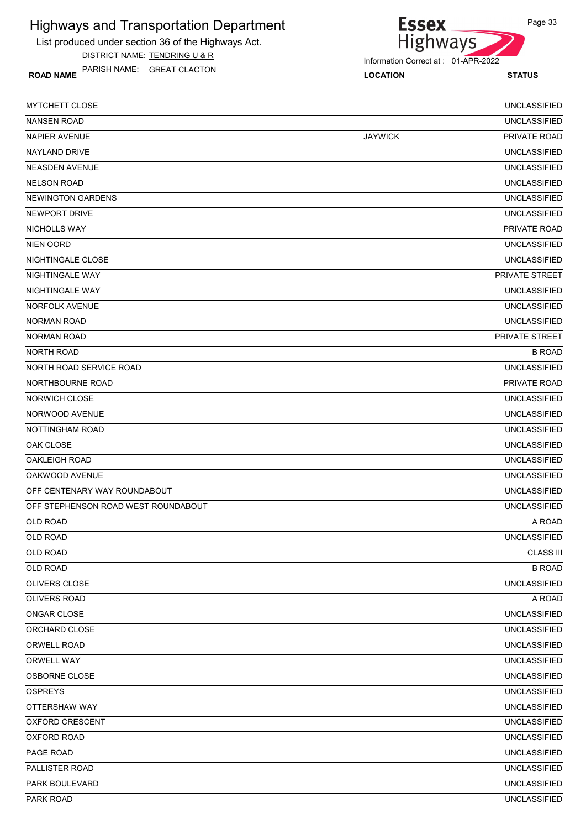List produced under section 36 of the Highways Act. DISTRICT NAME: TENDRING U & R

ROAD NAME LOCATION STATUS PARISH NAME: GREAT CLACTON

Highways

**Essex** 

| <b>MYTCHETT CLOSE</b>               |                | <b>UNCLASSIFIED</b>   |
|-------------------------------------|----------------|-----------------------|
| <b>NANSEN ROAD</b>                  |                | <b>UNCLASSIFIED</b>   |
| <b>NAPIER AVENUE</b>                | <b>JAYWICK</b> | PRIVATE ROAD          |
| NAYLAND DRIVE                       |                | <b>UNCLASSIFIED</b>   |
| <b>NEASDEN AVENUE</b>               |                | <b>UNCLASSIFIED</b>   |
| <b>NELSON ROAD</b>                  |                | <b>UNCLASSIFIED</b>   |
| NEWINGTON GARDENS                   |                | <b>UNCLASSIFIED</b>   |
| NEWPORT DRIVE                       |                | <b>UNCLASSIFIED</b>   |
| NICHOLLS WAY                        |                | PRIVATE ROAD          |
| <b>NIEN OORD</b>                    |                | <b>UNCLASSIFIED</b>   |
| NIGHTINGALE CLOSE                   |                | <b>UNCLASSIFIED</b>   |
| NIGHTINGALE WAY                     |                | PRIVATE STREET        |
| NIGHTINGALE WAY                     |                | <b>UNCLASSIFIED</b>   |
| <b>NORFOLK AVENUE</b>               |                | <b>UNCLASSIFIED</b>   |
| <b>NORMAN ROAD</b>                  |                | <b>UNCLASSIFIED</b>   |
| <b>NORMAN ROAD</b>                  |                | <b>PRIVATE STREET</b> |
| <b>NORTH ROAD</b>                   |                | <b>B ROAD</b>         |
| NORTH ROAD SERVICE ROAD             |                | <b>UNCLASSIFIED</b>   |
| NORTHBOURNE ROAD                    |                | PRIVATE ROAD          |
| NORWICH CLOSE                       |                | <b>UNCLASSIFIED</b>   |
| NORWOOD AVENUE                      |                | <b>UNCLASSIFIED</b>   |
| NOTTINGHAM ROAD                     |                | <b>UNCLASSIFIED</b>   |
| OAK CLOSE                           |                | <b>UNCLASSIFIED</b>   |
| <b>OAKLEIGH ROAD</b>                |                | <b>UNCLASSIFIED</b>   |
| OAKWOOD AVENUE                      |                | <b>UNCLASSIFIED</b>   |
| OFF CENTENARY WAY ROUNDABOUT        |                | <b>UNCLASSIFIED</b>   |
| OFF STEPHENSON ROAD WEST ROUNDABOUT |                | <b>UNCLASSIFIED</b>   |
| <b>OLD ROAD</b>                     |                | A ROAD                |
| <b>OLD ROAD</b>                     |                | <b>UNCLASSIFIED</b>   |
| OLD ROAD                            |                | <b>CLASS III</b>      |
| OLD ROAD                            |                | <b>B ROAD</b>         |
| OLIVERS CLOSE                       |                | <b>UNCLASSIFIED</b>   |
| OLIVERS ROAD                        |                | A ROAD                |
| ONGAR CLOSE                         |                | <b>UNCLASSIFIED</b>   |
| ORCHARD CLOSE                       |                | <b>UNCLASSIFIED</b>   |
| ORWELL ROAD                         |                | <b>UNCLASSIFIED</b>   |
| ORWELL WAY                          |                | <b>UNCLASSIFIED</b>   |
| OSBORNE CLOSE                       |                | <b>UNCLASSIFIED</b>   |
| <b>OSPREYS</b>                      |                | <b>UNCLASSIFIED</b>   |
| OTTERSHAW WAY                       |                | <b>UNCLASSIFIED</b>   |
| OXFORD CRESCENT                     |                | <b>UNCLASSIFIED</b>   |
| OXFORD ROAD                         |                | <b>UNCLASSIFIED</b>   |
| PAGE ROAD                           |                | <b>UNCLASSIFIED</b>   |
| PALLISTER ROAD                      |                | <b>UNCLASSIFIED</b>   |
| PARK BOULEVARD                      |                | <b>UNCLASSIFIED</b>   |
| PARK ROAD                           |                | <b>UNCLASSIFIED</b>   |
|                                     |                |                       |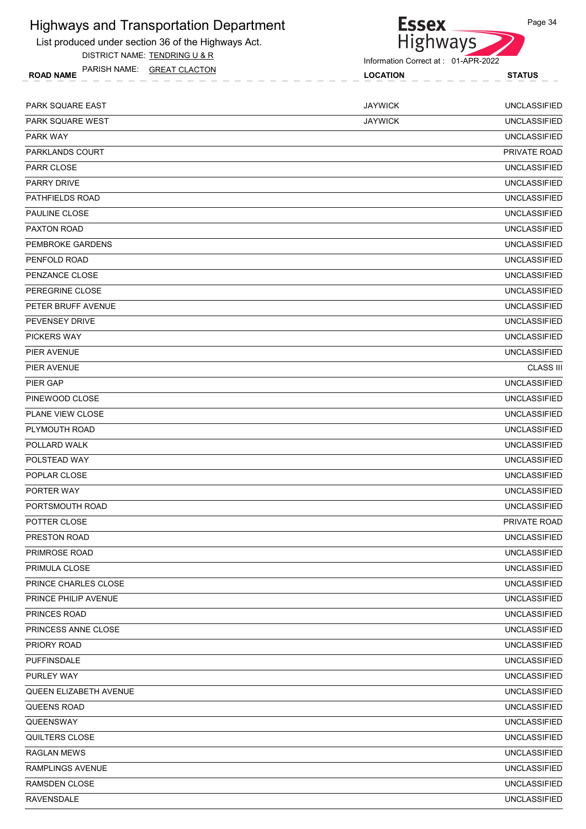

List produced under section 36 of the Highways Act. DISTRICT NAME: TENDRING U & R

ROAD NAME LOCATION STATUS PARISH NAME: GREAT CLACTON

Information Correct at : 01-APR-2022

| PARK SQUARE EAST        | <b>JAYWICK</b> | <b>UNCLASSIFIED</b> |
|-------------------------|----------------|---------------------|
| <b>PARK SQUARE WEST</b> | <b>JAYWICK</b> | <b>UNCLASSIFIED</b> |
| <b>PARK WAY</b>         |                | <b>UNCLASSIFIED</b> |
| PARKLANDS COURT         |                | PRIVATE ROAD        |
| <b>PARR CLOSE</b>       |                | <b>UNCLASSIFIED</b> |
| <b>PARRY DRIVE</b>      |                | <b>UNCLASSIFIED</b> |
| <b>PATHFIELDS ROAD</b>  |                | <b>UNCLASSIFIED</b> |
| <b>PAULINE CLOSE</b>    |                | <b>UNCLASSIFIED</b> |
| <b>PAXTON ROAD</b>      |                | <b>UNCLASSIFIED</b> |
| PEMBROKE GARDENS        |                | <b>UNCLASSIFIED</b> |
| PENFOLD ROAD            |                | <b>UNCLASSIFIED</b> |
| PENZANCE CLOSE          |                | <b>UNCLASSIFIED</b> |
| PEREGRINE CLOSE         |                | <b>UNCLASSIFIED</b> |
| PETER BRUFF AVENUE      |                | <b>UNCLASSIFIED</b> |
| <b>PEVENSEY DRIVE</b>   |                | <b>UNCLASSIFIED</b> |
| <b>PICKERS WAY</b>      |                | <b>UNCLASSIFIED</b> |
| PIER AVENUE             |                | <b>UNCLASSIFIED</b> |
| PIER AVENUE             |                | <b>CLASS III</b>    |
| PIER GAP                |                | <b>UNCLASSIFIED</b> |
| PINEWOOD CLOSE          |                | <b>UNCLASSIFIED</b> |
| PLANE VIEW CLOSE        |                | <b>UNCLASSIFIED</b> |
| PLYMOUTH ROAD           |                | <b>UNCLASSIFIED</b> |
| POLLARD WALK            |                | <b>UNCLASSIFIED</b> |
| POLSTEAD WAY            |                | <b>UNCLASSIFIED</b> |
| POPLAR CLOSE            |                | <b>UNCLASSIFIED</b> |
| PORTER WAY              |                | <b>UNCLASSIFIED</b> |
| PORTSMOUTH ROAD         |                | <b>UNCLASSIFIED</b> |
| POTTER CLOSE            |                | PRIVATE ROAD        |
| PRESTON ROAD            |                | <b>UNCLASSIFIED</b> |
| PRIMROSE ROAD           |                | <b>UNCLASSIFIED</b> |
| PRIMULA CLOSE           |                | <b>UNCLASSIFIED</b> |
| PRINCE CHARLES CLOSE    |                | <b>UNCLASSIFIED</b> |
| PRINCE PHILIP AVENUE    |                | <b>UNCLASSIFIED</b> |
| PRINCES ROAD            |                | <b>UNCLASSIFIED</b> |
| PRINCESS ANNE CLOSE     |                | <b>UNCLASSIFIED</b> |
| PRIORY ROAD             |                | <b>UNCLASSIFIED</b> |
| <b>PUFFINSDALE</b>      |                | <b>UNCLASSIFIED</b> |
| PURLEY WAY              |                | <b>UNCLASSIFIED</b> |
| QUEEN ELIZABETH AVENUE  |                | UNCLASSIFIED        |
| QUEENS ROAD             |                | <b>UNCLASSIFIED</b> |
| QUEENSWAY               |                | <b>UNCLASSIFIED</b> |
| QUILTERS CLOSE          |                | <b>UNCLASSIFIED</b> |
| <b>RAGLAN MEWS</b>      |                | <b>UNCLASSIFIED</b> |
| RAMPLINGS AVENUE        |                | <b>UNCLASSIFIED</b> |
| RAMSDEN CLOSE           |                | <b>UNCLASSIFIED</b> |
| <b>RAVENSDALE</b>       |                | <b>UNCLASSIFIED</b> |
|                         |                |                     |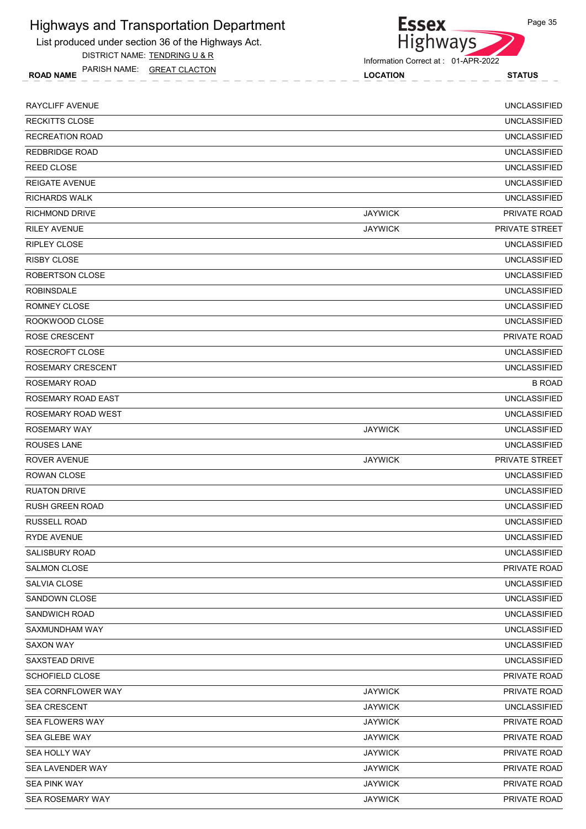List produced under section 36 of the Highways Act. DISTRICT NAME: TENDRING U & R

ROAD NAME LOCATION STATUS PARISH NAME: GREAT CLACTON



Information Correct at : 01-APR-2022

| <b>RAYCLIFF AVENUE</b> |                | <b>UNCLASSIFIED</b> |
|------------------------|----------------|---------------------|
| <b>RECKITTS CLOSE</b>  |                | <b>UNCLASSIFIED</b> |
| RECREATION ROAD        |                | <b>UNCLASSIFIED</b> |
| <b>REDBRIDGE ROAD</b>  |                | <b>UNCLASSIFIED</b> |
| <b>REED CLOSE</b>      |                | <b>UNCLASSIFIED</b> |
| <b>REIGATE AVENUE</b>  |                | <b>UNCLASSIFIED</b> |
| <b>RICHARDS WALK</b>   |                | <b>UNCLASSIFIED</b> |
| <b>RICHMOND DRIVE</b>  | <b>JAYWICK</b> | PRIVATE ROAD        |
| <b>RILEY AVENUE</b>    | <b>JAYWICK</b> | PRIVATE STREET      |
| <b>RIPLEY CLOSE</b>    |                | <b>UNCLASSIFIED</b> |
| <b>RISBY CLOSE</b>     |                | <b>UNCLASSIFIED</b> |
| ROBERTSON CLOSE        |                | <b>UNCLASSIFIED</b> |
| <b>ROBINSDALE</b>      |                | <b>UNCLASSIFIED</b> |
| ROMNEY CLOSE           |                | <b>UNCLASSIFIED</b> |
| ROOKWOOD CLOSE         |                | <b>UNCLASSIFIED</b> |
| ROSE CRESCENT          |                | <b>PRIVATE ROAD</b> |
| ROSECROFT CLOSE        |                | <b>UNCLASSIFIED</b> |
| ROSEMARY CRESCENT      |                | <b>UNCLASSIFIED</b> |
| ROSEMARY ROAD          |                | <b>B ROAD</b>       |
| ROSEMARY ROAD EAST     |                | <b>UNCLASSIFIED</b> |
| ROSEMARY ROAD WEST     |                | <b>UNCLASSIFIED</b> |
| <b>ROSEMARY WAY</b>    | <b>JAYWICK</b> | <b>UNCLASSIFIED</b> |
| ROUSES LANE            |                | <b>UNCLASSIFIED</b> |
| ROVER AVENUE           | <b>JAYWICK</b> | PRIVATE STREET      |
| <b>ROWAN CLOSE</b>     |                | <b>UNCLASSIFIED</b> |
| <b>RUATON DRIVE</b>    |                | <b>UNCLASSIFIED</b> |
| <b>RUSH GREEN ROAD</b> |                | <b>UNCLASSIFIED</b> |
| <b>RUSSELL ROAD</b>    |                | <b>UNCLASSIFIED</b> |
| <b>RYDE AVENUE</b>     |                | <b>UNCLASSIFIED</b> |
| <b>SALISBURY ROAD</b>  |                | <b>UNCLASSIFIED</b> |
| <b>SALMON CLOSE</b>    |                | PRIVATE ROAD        |
| SALVIA CLOSE           |                | <b>UNCLASSIFIED</b> |
| SANDOWN CLOSE          |                | <b>UNCLASSIFIED</b> |
| SANDWICH ROAD          |                | <b>UNCLASSIFIED</b> |
| SAXMUNDHAM WAY         |                | <b>UNCLASSIFIED</b> |
| <b>SAXON WAY</b>       |                | <b>UNCLASSIFIED</b> |
| SAXSTEAD DRIVE         |                | <b>UNCLASSIFIED</b> |
| SCHOFIELD CLOSE        |                | PRIVATE ROAD        |
| SEA CORNFLOWER WAY     | <b>JAYWICK</b> | PRIVATE ROAD        |
| SEA CRESCENT           | <b>JAYWICK</b> | <b>UNCLASSIFIED</b> |
| <b>SEA FLOWERS WAY</b> | <b>JAYWICK</b> | PRIVATE ROAD        |
| SEA GLEBE WAY          | <b>JAYWICK</b> | PRIVATE ROAD        |
| SEA HOLLY WAY          | <b>JAYWICK</b> | PRIVATE ROAD        |
| SEA LAVENDER WAY       | <b>JAYWICK</b> | PRIVATE ROAD        |
| SEA PINK WAY           | <b>JAYWICK</b> | PRIVATE ROAD        |
| SEA ROSEMARY WAY       | <b>JAYWICK</b> | PRIVATE ROAD        |
|                        |                |                     |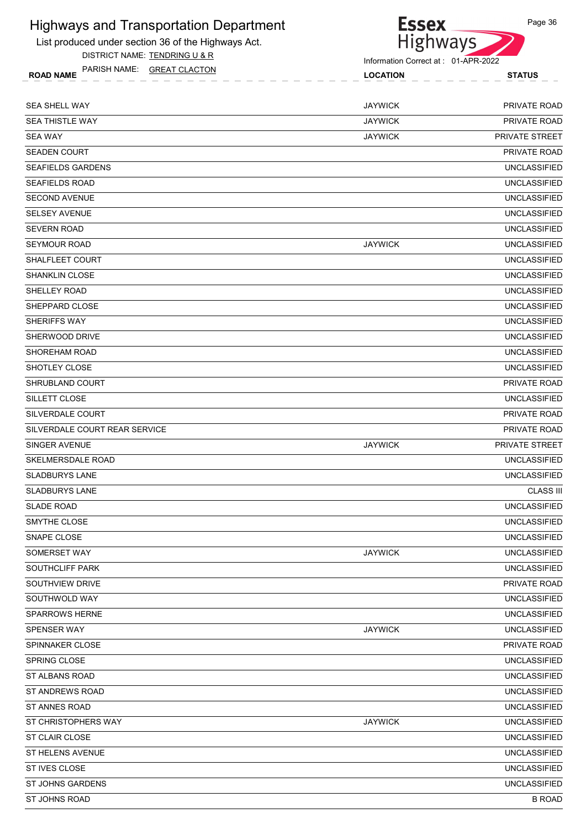

Page 36

List produced under section 36 of the Highways Act. DISTRICT NAME: TENDRING U & R

| <b>GREAT CLACTON</b><br><b>PARISH NAME:</b><br><b>ROAD NAME</b> | <b>LOCATION</b> | <b>STATUS</b> |
|-----------------------------------------------------------------|-----------------|---------------|
|                                                                 |                 |               |
| SEA SHELL WAY                                                   | <b>JAYWICK</b>  | <b>ROA</b>    |

| <b>SEA SHELL WAY</b>          | <b>JAYWICK</b> | PRIVATE ROAD        |
|-------------------------------|----------------|---------------------|
| <b>SEA THISTLE WAY</b>        | <b>JAYWICK</b> | PRIVATE ROAD        |
| <b>SEA WAY</b>                | <b>JAYWICK</b> | PRIVATE STREET      |
| <b>SEADEN COURT</b>           |                | PRIVATE ROAD        |
| <b>SEAFIELDS GARDENS</b>      |                | <b>UNCLASSIFIED</b> |
| <b>SEAFIELDS ROAD</b>         |                | <b>UNCLASSIFIED</b> |
| <b>SECOND AVENUE</b>          |                | <b>UNCLASSIFIED</b> |
| <b>SELSEY AVENUE</b>          |                | UNCLASSIFIED        |
| <b>SEVERN ROAD</b>            |                | <b>UNCLASSIFIED</b> |
| <b>SEYMOUR ROAD</b>           | <b>JAYWICK</b> | <b>UNCLASSIFIED</b> |
| SHALFLEET COURT               |                | UNCLASSIFIED        |
| <b>SHANKLIN CLOSE</b>         |                | <b>UNCLASSIFIED</b> |
| <b>SHELLEY ROAD</b>           |                | <b>UNCLASSIFIED</b> |
| SHEPPARD CLOSE                |                | <b>UNCLASSIFIED</b> |
| SHERIFFS WAY                  |                | <b>UNCLASSIFIED</b> |
| SHERWOOD DRIVE                |                | <b>UNCLASSIFIED</b> |
| SHOREHAM ROAD                 |                | <b>UNCLASSIFIED</b> |
| SHOTLEY CLOSE                 |                | <b>UNCLASSIFIED</b> |
| SHRUBLAND COURT               |                | PRIVATE ROAD        |
| SILLETT CLOSE                 |                | <b>UNCLASSIFIED</b> |
| SILVERDALE COURT              |                | PRIVATE ROAD        |
| SILVERDALE COURT REAR SERVICE |                | PRIVATE ROAD        |
| SINGER AVENUE                 | <b>JAYWICK</b> | PRIVATE STREET      |
| SKELMERSDALE ROAD             |                | UNCLASSIFIED        |
| <b>SLADBURYS LANE</b>         |                | <b>UNCLASSIFIED</b> |
| <b>SLADBURYS LANE</b>         |                | <b>CLASS III</b>    |
| <b>SLADE ROAD</b>             |                | <b>UNCLASSIFIED</b> |
| SMYTHE CLOSE                  |                | <b>UNCLASSIFIED</b> |
| SNAPE CLOSE                   |                | <b>UNCLASSIFIED</b> |
| SOMERSET WAY                  | <b>JAYWICK</b> | <b>UNCLASSIFIED</b> |
| SOUTHCLIFF PARK               |                | <b>UNCLASSIFIED</b> |
| SOUTHVIEW DRIVE               |                | PRIVATE ROAD        |
| SOUTHWOLD WAY                 |                | <b>UNCLASSIFIED</b> |
| <b>SPARROWS HERNE</b>         |                | <b>UNCLASSIFIED</b> |
| SPENSER WAY                   | <b>JAYWICK</b> | <b>UNCLASSIFIED</b> |
| SPINNAKER CLOSE               |                | PRIVATE ROAD        |
| SPRING CLOSE                  |                | <b>UNCLASSIFIED</b> |
| ST ALBANS ROAD                |                | <b>UNCLASSIFIED</b> |
| ST ANDREWS ROAD               |                | <b>UNCLASSIFIED</b> |
| ST ANNES ROAD                 |                | <b>UNCLASSIFIED</b> |
| ST CHRISTOPHERS WAY           | <b>JAYWICK</b> | <b>UNCLASSIFIED</b> |
| ST CLAIR CLOSE                |                | <b>UNCLASSIFIED</b> |
| ST HELENS AVENUE              |                | <b>UNCLASSIFIED</b> |
| ST IVES CLOSE                 |                | <b>UNCLASSIFIED</b> |
| <b>ST JOHNS GARDENS</b>       |                | UNCLASSIFIED        |
| ST JOHNS ROAD                 |                | <b>B ROAD</b>       |
|                               |                |                     |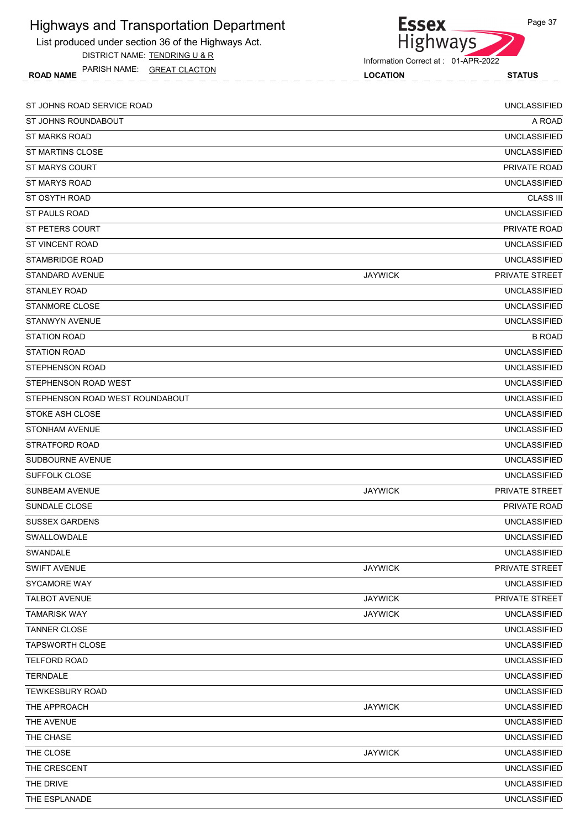List produced under section 36 of the Highways Act. DISTRICT NAME: TENDRING U & R

ROAD NAME LOCATION STATUS PARISH NAME: GREAT CLACTON



Information Correct at : 01-APR-2022

| ST JOHNS ROAD SERVICE ROAD      |                | <b>UNCLASSIFIED</b>   |
|---------------------------------|----------------|-----------------------|
| ST JOHNS ROUNDABOUT             |                | A ROAD                |
| <b>ST MARKS ROAD</b>            |                | <b>UNCLASSIFIED</b>   |
| ST MARTINS CLOSE                |                | <b>UNCLASSIFIED</b>   |
| <b>ST MARYS COURT</b>           |                | PRIVATE ROAD          |
| <b>ST MARYS ROAD</b>            |                | <b>UNCLASSIFIED</b>   |
| ST OSYTH ROAD                   |                | <b>CLASS III</b>      |
| ST PAULS ROAD                   |                | <b>UNCLASSIFIED</b>   |
| <b>ST PETERS COURT</b>          |                | PRIVATE ROAD          |
| <b>ST VINCENT ROAD</b>          |                | <b>UNCLASSIFIED</b>   |
| STAMBRIDGE ROAD                 |                | <b>UNCLASSIFIED</b>   |
| <b>STANDARD AVENUE</b>          | <b>JAYWICK</b> | PRIVATE STREET        |
| <b>STANLEY ROAD</b>             |                | <b>UNCLASSIFIED</b>   |
| STANMORE CLOSE                  |                | <b>UNCLASSIFIED</b>   |
| STANWYN AVENUE                  |                | <b>UNCLASSIFIED</b>   |
| <b>STATION ROAD</b>             |                | <b>B ROAD</b>         |
| <b>STATION ROAD</b>             |                | <b>UNCLASSIFIED</b>   |
| STEPHENSON ROAD                 |                | <b>UNCLASSIFIED</b>   |
| STEPHENSON ROAD WEST            |                | <b>UNCLASSIFIED</b>   |
| STEPHENSON ROAD WEST ROUNDABOUT |                | <b>UNCLASSIFIED</b>   |
| STOKE ASH CLOSE                 |                | <b>UNCLASSIFIED</b>   |
| <b>STONHAM AVENUE</b>           |                | <b>UNCLASSIFIED</b>   |
| STRATFORD ROAD                  |                | <b>UNCLASSIFIED</b>   |
| SUDBOURNE AVENUE                |                | <b>UNCLASSIFIED</b>   |
| SUFFOLK CLOSE                   |                | <b>UNCLASSIFIED</b>   |
| <b>SUNBEAM AVENUE</b>           | <b>JAYWICK</b> | <b>PRIVATE STREET</b> |
| SUNDALE CLOSE                   |                | PRIVATE ROAD          |
| <b>SUSSEX GARDENS</b>           |                | <b>UNCLASSIFIED</b>   |
| SWALLOWDALE                     |                | <b>UNCLASSIFIED</b>   |
| SWANDALE                        |                | <b>UNCLASSIFIED</b>   |
| <b>SWIFT AVENUE</b>             | <b>JAYWICK</b> | PRIVATE STREET        |
| SYCAMORE WAY                    |                | <b>UNCLASSIFIED</b>   |
| <b>TALBOT AVENUE</b>            | <b>JAYWICK</b> | PRIVATE STREET        |
| <b>TAMARISK WAY</b>             | <b>JAYWICK</b> | <b>UNCLASSIFIED</b>   |
| <b>TANNER CLOSE</b>             |                | <b>UNCLASSIFIED</b>   |
| <b>TAPSWORTH CLOSE</b>          |                | <b>UNCLASSIFIED</b>   |
| TELFORD ROAD                    |                | <b>UNCLASSIFIED</b>   |
| <b>TERNDALE</b>                 |                | <b>UNCLASSIFIED</b>   |
| <b>TEWKESBURY ROAD</b>          |                | <b>UNCLASSIFIED</b>   |
| THE APPROACH                    | <b>JAYWICK</b> | <b>UNCLASSIFIED</b>   |
| THE AVENUE                      |                | <b>UNCLASSIFIED</b>   |
| THE CHASE                       |                | <b>UNCLASSIFIED</b>   |
| THE CLOSE                       | <b>JAYWICK</b> | <b>UNCLASSIFIED</b>   |
| THE CRESCENT                    |                | <b>UNCLASSIFIED</b>   |
| THE DRIVE                       |                | <b>UNCLASSIFIED</b>   |
| THE ESPLANADE                   |                | <b>UNCLASSIFIED</b>   |
|                                 |                |                       |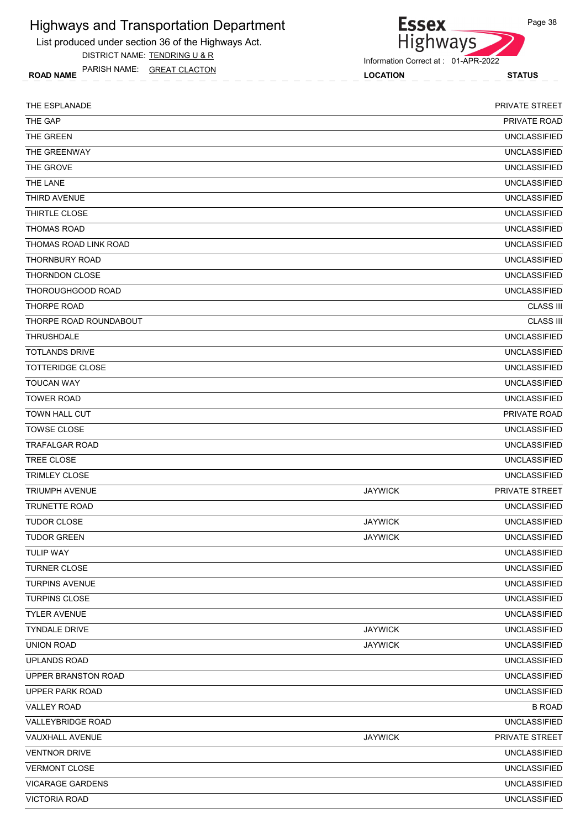List produced under section 36 of the Highways Act.

DISTRICT NAME: TENDRING U & R

ROAD NAME LOCATION STATUS PARISH NAME: GREAT CLACTON

Information Correct at : 01-APR-2022

| THE ESPLANADE           |                | PRIVATE STREET        |
|-------------------------|----------------|-----------------------|
| THE GAP                 |                | PRIVATE ROAD          |
| THE GREEN               |                | <b>UNCLASSIFIED</b>   |
| THE GREENWAY            |                | <b>UNCLASSIFIED</b>   |
| THE GROVE               |                | <b>UNCLASSIFIED</b>   |
| THE LANE                |                | <b>UNCLASSIFIED</b>   |
| THIRD AVENUE            |                | <b>UNCLASSIFIED</b>   |
| THIRTLE CLOSE           |                | <b>UNCLASSIFIED</b>   |
| <b>THOMAS ROAD</b>      |                | <b>UNCLASSIFIED</b>   |
| THOMAS ROAD LINK ROAD   |                | <b>UNCLASSIFIED</b>   |
| <b>THORNBURY ROAD</b>   |                | <b>UNCLASSIFIED</b>   |
| <b>THORNDON CLOSE</b>   |                | <b>UNCLASSIFIED</b>   |
| THOROUGHGOOD ROAD       |                | <b>UNCLASSIFIED</b>   |
| <b>THORPE ROAD</b>      |                | <b>CLASS III</b>      |
| THORPE ROAD ROUNDABOUT  |                | <b>CLASS III</b>      |
| <b>THRUSHDALE</b>       |                | <b>UNCLASSIFIED</b>   |
| <b>TOTLANDS DRIVE</b>   |                | <b>UNCLASSIFIED</b>   |
| TOTTERIDGE CLOSE        |                | <b>UNCLASSIFIED</b>   |
| <b>TOUCAN WAY</b>       |                | <b>UNCLASSIFIED</b>   |
| <b>TOWER ROAD</b>       |                | <b>UNCLASSIFIED</b>   |
| TOWN HALL CUT           |                | PRIVATE ROAD          |
| <b>TOWSE CLOSE</b>      |                | <b>UNCLASSIFIED</b>   |
| <b>TRAFALGAR ROAD</b>   |                | <b>UNCLASSIFIED</b>   |
| TREE CLOSE              |                | <b>UNCLASSIFIED</b>   |
| <b>TRIMLEY CLOSE</b>    |                | <b>UNCLASSIFIED</b>   |
| <b>TRIUMPH AVENUE</b>   | <b>JAYWICK</b> | <b>PRIVATE STREET</b> |
| <b>TRUNETTE ROAD</b>    |                | <b>UNCLASSIFIED</b>   |
| <b>TUDOR CLOSE</b>      | <b>JAYWICK</b> | <b>UNCLASSIFIED</b>   |
| <b>TUDOR GREEN</b>      | <b>JAYWICK</b> | <b>UNCLASSIFIED</b>   |
| <b>TULIP WAY</b>        |                | <b>UNCLASSIFIED</b>   |
| <b>TURNER CLOSE</b>     |                | <b>UNCLASSIFIED</b>   |
| TURPINS AVENUE          |                | <b>UNCLASSIFIED</b>   |
| <b>TURPINS CLOSE</b>    |                | <b>UNCLASSIFIED</b>   |
| <b>TYLER AVENUE</b>     |                | <b>UNCLASSIFIED</b>   |
| <b>TYNDALE DRIVE</b>    | <b>JAYWICK</b> | <b>UNCLASSIFIED</b>   |
| <b>UNION ROAD</b>       | <b>JAYWICK</b> | <b>UNCLASSIFIED</b>   |
| <b>UPLANDS ROAD</b>     |                | <b>UNCLASSIFIED</b>   |
| UPPER BRANSTON ROAD     |                | <b>UNCLASSIFIED</b>   |
| UPPER PARK ROAD         |                | <b>UNCLASSIFIED</b>   |
| <b>VALLEY ROAD</b>      |                | <b>B ROAD</b>         |
| VALLEYBRIDGE ROAD       |                | <b>UNCLASSIFIED</b>   |
| VAUXHALL AVENUE         | <b>JAYWICK</b> | PRIVATE STREET        |
| <b>VENTNOR DRIVE</b>    |                | <b>UNCLASSIFIED</b>   |
| <b>VERMONT CLOSE</b>    |                | <b>UNCLASSIFIED</b>   |
| <b>VICARAGE GARDENS</b> |                | <b>UNCLASSIFIED</b>   |
| <b>VICTORIA ROAD</b>    |                | <b>UNCLASSIFIED</b>   |
|                         |                |                       |



**Essex** Highways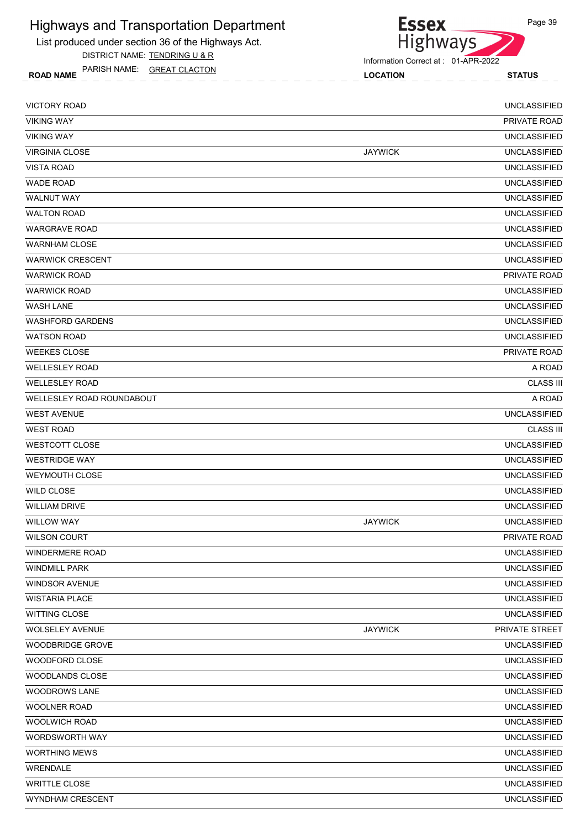List produced under section 36 of the Highways Act.

DISTRICT NAME: TENDRING U & R

ROAD NAME LOCATION STATUS PARISH NAME: GREAT CLACTON



| <b>VICTORY ROAD</b>       |                | <b>UNCLASSIFIED</b> |
|---------------------------|----------------|---------------------|
| <b>VIKING WAY</b>         |                | <b>PRIVATE ROAD</b> |
| <b>VIKING WAY</b>         |                | <b>UNCLASSIFIED</b> |
| <b>VIRGINIA CLOSE</b>     | <b>JAYWICK</b> | <b>UNCLASSIFIED</b> |
| <b>VISTA ROAD</b>         |                | <b>UNCLASSIFIED</b> |
| <b>WADE ROAD</b>          |                | <b>UNCLASSIFIED</b> |
| <b>WALNUT WAY</b>         |                | <b>UNCLASSIFIED</b> |
| <b>WALTON ROAD</b>        |                | <b>UNCLASSIFIED</b> |
| <b>WARGRAVE ROAD</b>      |                | <b>UNCLASSIFIED</b> |
| <b>WARNHAM CLOSE</b>      |                | <b>UNCLASSIFIED</b> |
| <b>WARWICK CRESCENT</b>   |                | <b>UNCLASSIFIED</b> |
| <b>WARWICK ROAD</b>       |                | PRIVATE ROAD        |
| <b>WARWICK ROAD</b>       |                | <b>UNCLASSIFIED</b> |
| <b>WASH LANE</b>          |                | <b>UNCLASSIFIED</b> |
| <b>WASHFORD GARDENS</b>   |                | <b>UNCLASSIFIED</b> |
| <b>WATSON ROAD</b>        |                | <b>UNCLASSIFIED</b> |
| <b>WEEKES CLOSE</b>       |                | PRIVATE ROAD        |
| <b>WELLESLEY ROAD</b>     |                | A ROAD              |
| <b>WELLESLEY ROAD</b>     |                | <b>CLASS III</b>    |
| WELLESLEY ROAD ROUNDABOUT |                | A ROAD              |
| <b>WEST AVENUE</b>        |                | <b>UNCLASSIFIED</b> |
| <b>WEST ROAD</b>          |                | <b>CLASS III</b>    |
| WESTCOTT CLOSE            |                | <b>UNCLASSIFIED</b> |
| <b>WESTRIDGE WAY</b>      |                | <b>UNCLASSIFIED</b> |
| <b>WEYMOUTH CLOSE</b>     |                | <b>UNCLASSIFIED</b> |
| <b>WILD CLOSE</b>         |                | <b>UNCLASSIFIED</b> |
| <b>WILLIAM DRIVE</b>      |                | <b>UNCLASSIFIED</b> |
| <b>WILLOW WAY</b>         | <b>JAYWICK</b> | <b>UNCLASSIFIED</b> |
| <b>WILSON COURT</b>       |                | <b>PRIVATE ROAD</b> |
| <b>WINDERMERE ROAD</b>    |                | UNCLASSIFIED        |
| <b>WINDMILL PARK</b>      |                | <b>UNCLASSIFIED</b> |
| <b>WINDSOR AVENUE</b>     |                | <b>UNCLASSIFIED</b> |
| <b>WISTARIA PLACE</b>     |                | <b>UNCLASSIFIED</b> |
| <b>WITTING CLOSE</b>      |                | <b>UNCLASSIFIED</b> |
| <b>WOLSELEY AVENUE</b>    | <b>JAYWICK</b> | PRIVATE STREET      |
| WOODBRIDGE GROVE          |                | UNCLASSIFIED        |
| WOODFORD CLOSE            |                | <b>UNCLASSIFIED</b> |
| WOODLANDS CLOSE           |                | <b>UNCLASSIFIED</b> |
| <b>WOODROWS LANE</b>      |                | UNCLASSIFIED        |
| <b>WOOLNER ROAD</b>       |                | <b>UNCLASSIFIED</b> |
| WOOLWICH ROAD             |                | UNCLASSIFIED        |
| WORDSWORTH WAY            |                | <b>UNCLASSIFIED</b> |
| <b>WORTHING MEWS</b>      |                | <b>UNCLASSIFIED</b> |
| <b>WRENDALE</b>           |                | <b>UNCLASSIFIED</b> |
| <b>WRITTLE CLOSE</b>      |                | <b>UNCLASSIFIED</b> |
| WYNDHAM CRESCENT          |                | UNCLASSIFIED        |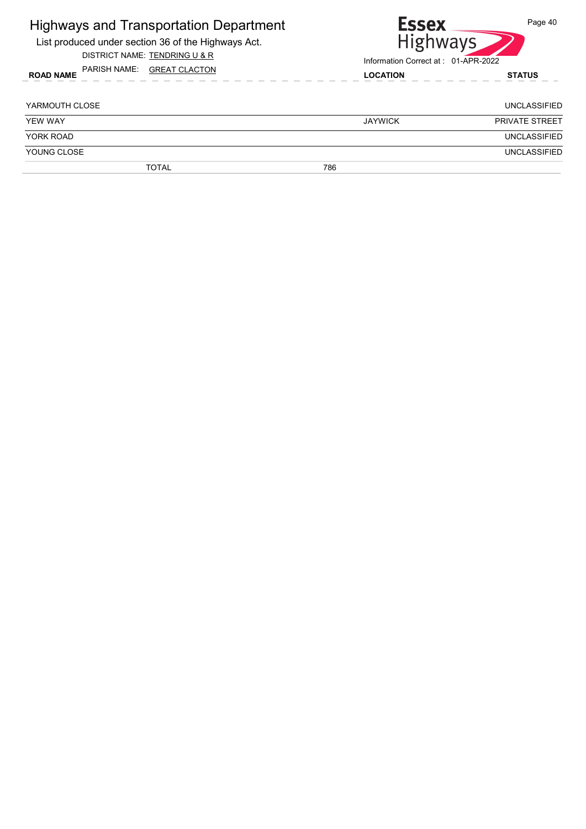| <b>Highways and Transportation Department</b><br>List produced under section 36 of the Highways Act.<br>DISTRICT NAME: TENDRING U & R |     | <b>Essex</b><br><b>Highways</b><br>Information Correct at: 01-APR-2022 | Page 40               |  |
|---------------------------------------------------------------------------------------------------------------------------------------|-----|------------------------------------------------------------------------|-----------------------|--|
| PARISH NAME: GREAT CLACTON<br><b>ROAD NAME</b>                                                                                        |     | <b>LOCATION</b>                                                        |                       |  |
| YARMOUTH CLOSE                                                                                                                        |     |                                                                        | <b>UNCLASSIFIED</b>   |  |
| <b>YEW WAY</b>                                                                                                                        |     | <b>JAYWICK</b>                                                         | <b>PRIVATE STREET</b> |  |
| YORK ROAD                                                                                                                             |     |                                                                        | <b>UNCLASSIFIED</b>   |  |
| YOUNG CLOSE                                                                                                                           |     |                                                                        | <b>UNCLASSIFIED</b>   |  |
| <b>TOTAL</b>                                                                                                                          | 786 |                                                                        |                       |  |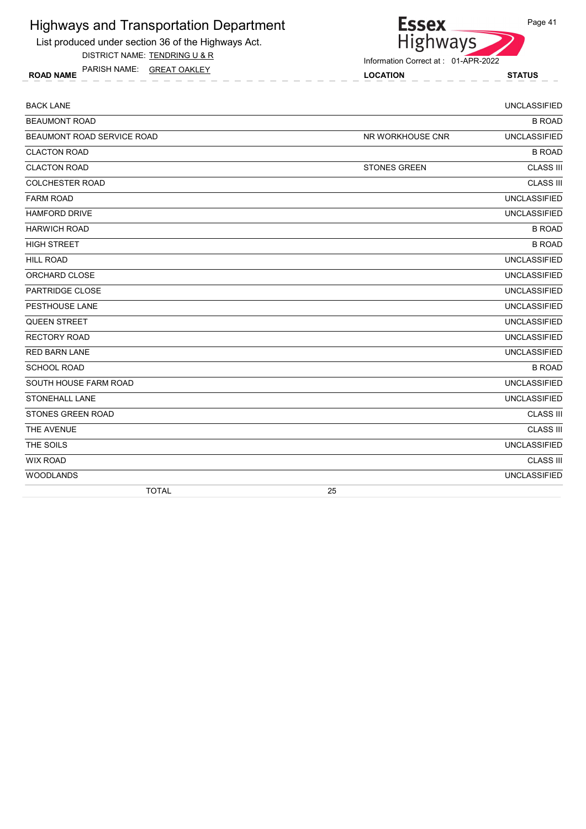List produced under section 36 of the Highways Act.

DISTRICT NAME: TENDRING U & R

ROAD NAME LOCATION STATUS PARISH NAME: GREAT OAKLEY



| <b>BACK LANE</b>           |                     | <b>UNCLASSIFIED</b> |
|----------------------------|---------------------|---------------------|
| <b>BEAUMONT ROAD</b>       |                     | <b>B ROAD</b>       |
| BEAUMONT ROAD SERVICE ROAD | NR WORKHOUSE CNR    | <b>UNCLASSIFIED</b> |
| <b>CLACTON ROAD</b>        |                     | <b>B ROAD</b>       |
| <b>CLACTON ROAD</b>        | <b>STONES GREEN</b> | <b>CLASS III</b>    |
| <b>COLCHESTER ROAD</b>     |                     | <b>CLASS III</b>    |
| <b>FARM ROAD</b>           |                     | <b>UNCLASSIFIED</b> |
| <b>HAMFORD DRIVE</b>       |                     | <b>UNCLASSIFIED</b> |
| <b>HARWICH ROAD</b>        |                     | <b>B ROAD</b>       |
| <b>HIGH STREET</b>         |                     | <b>B ROAD</b>       |
| <b>HILL ROAD</b>           |                     | <b>UNCLASSIFIED</b> |
| ORCHARD CLOSE              |                     | <b>UNCLASSIFIED</b> |
| <b>PARTRIDGE CLOSE</b>     |                     | <b>UNCLASSIFIED</b> |
| PESTHOUSE LANE             |                     | <b>UNCLASSIFIED</b> |
| <b>QUEEN STREET</b>        |                     | <b>UNCLASSIFIED</b> |
| <b>RECTORY ROAD</b>        |                     | <b>UNCLASSIFIED</b> |
| <b>RED BARN LANE</b>       |                     | <b>UNCLASSIFIED</b> |
| <b>SCHOOL ROAD</b>         |                     | <b>B ROAD</b>       |
| SOUTH HOUSE FARM ROAD      |                     | <b>UNCLASSIFIED</b> |
| <b>STONEHALL LANE</b>      |                     | <b>UNCLASSIFIED</b> |
| STONES GREEN ROAD          |                     | <b>CLASS III</b>    |
| THE AVENUE                 |                     | <b>CLASS III</b>    |
| THE SOILS                  |                     | <b>UNCLASSIFIED</b> |
| <b>WIX ROAD</b>            |                     | <b>CLASS III</b>    |
| <b>WOODLANDS</b>           |                     | <b>UNCLASSIFIED</b> |
| <b>TOTAL</b>               | 25                  |                     |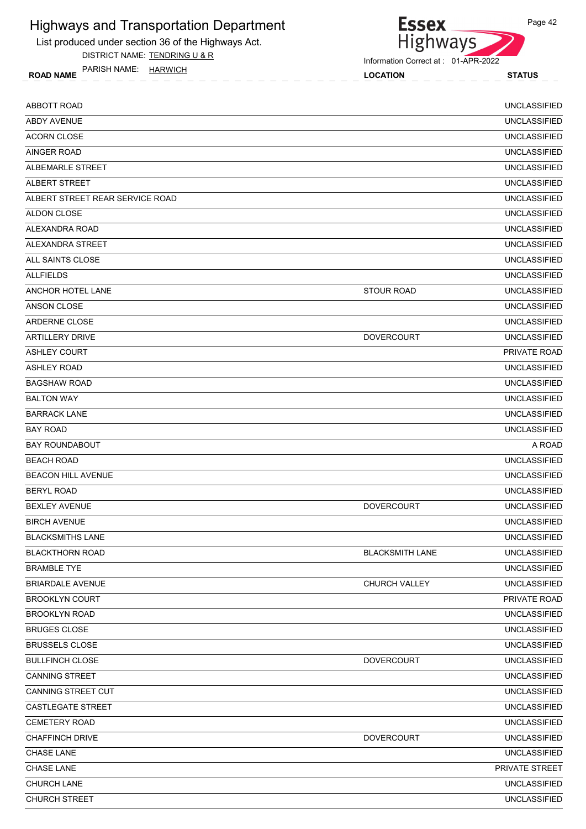

List produced under section 36 of the Highways Act.

DISTRICT NAME: TENDRING U & R

ROAD NAME LOCATION STATUS PARISH NAME: HARWICH

Information Correct at : 01-APR-2022

| <b>ABBOTT ROAD</b>              |                        | <b>UNCLASSIFIED</b> |
|---------------------------------|------------------------|---------------------|
| ABDY AVENUE                     |                        | <b>UNCLASSIFIED</b> |
| <b>ACORN CLOSE</b>              |                        | <b>UNCLASSIFIED</b> |
| <b>AINGER ROAD</b>              |                        | <b>UNCLASSIFIED</b> |
| ALBEMARLE STREET                |                        | <b>UNCLASSIFIED</b> |
| ALBERT STREET                   |                        | <b>UNCLASSIFIED</b> |
| ALBERT STREET REAR SERVICE ROAD |                        | <b>UNCLASSIFIED</b> |
| <b>ALDON CLOSE</b>              |                        | <b>UNCLASSIFIED</b> |
| ALEXANDRA ROAD                  |                        | <b>UNCLASSIFIED</b> |
| ALEXANDRA STREET                |                        | <b>UNCLASSIFIED</b> |
| ALL SAINTS CLOSE                |                        | <b>UNCLASSIFIED</b> |
| <b>ALLFIELDS</b>                |                        | <b>UNCLASSIFIED</b> |
| ANCHOR HOTEL LANE               | <b>STOUR ROAD</b>      | <b>UNCLASSIFIED</b> |
| ANSON CLOSE                     |                        | <b>UNCLASSIFIED</b> |
| ARDERNE CLOSE                   |                        | <b>UNCLASSIFIED</b> |
| <b>ARTILLERY DRIVE</b>          | <b>DOVERCOURT</b>      | <b>UNCLASSIFIED</b> |
| <b>ASHLEY COURT</b>             |                        | PRIVATE ROAD        |
| <b>ASHLEY ROAD</b>              |                        | <b>UNCLASSIFIED</b> |
| <b>BAGSHAW ROAD</b>             |                        | <b>UNCLASSIFIED</b> |
| <b>BALTON WAY</b>               |                        | <b>UNCLASSIFIED</b> |
| <b>BARRACK LANE</b>             |                        | <b>UNCLASSIFIED</b> |
| <b>BAY ROAD</b>                 |                        | <b>UNCLASSIFIED</b> |
| <b>BAY ROUNDABOUT</b>           |                        | A ROAD              |
| <b>BEACH ROAD</b>               |                        | <b>UNCLASSIFIED</b> |
| <b>BEACON HILL AVENUE</b>       |                        | <b>UNCLASSIFIED</b> |
| <b>BERYL ROAD</b>               |                        | <b>UNCLASSIFIED</b> |
| <b>BEXLEY AVENUE</b>            | <b>DOVERCOURT</b>      | <b>UNCLASSIFIED</b> |
| <b>BIRCH AVENUE</b>             |                        | <b>UNCLASSIFIED</b> |
| <b>BLACKSMITHS LANE</b>         |                        | <b>UNCLASSIFIED</b> |
| <b>BLACKTHORN ROAD</b>          | <b>BLACKSMITH LANE</b> | <b>UNCLASSIFIED</b> |
| <b>BRAMBLE TYE</b>              |                        | <b>UNCLASSIFIED</b> |
| <b>BRIARDALE AVENUE</b>         | CHURCH VALLEY          | <b>UNCLASSIFIED</b> |
| <b>BROOKLYN COURT</b>           |                        | PRIVATE ROAD        |
| <b>BROOKLYN ROAD</b>            |                        | <b>UNCLASSIFIED</b> |
| <b>BRUGES CLOSE</b>             |                        | <b>UNCLASSIFIED</b> |
| <b>BRUSSELS CLOSE</b>           |                        | <b>UNCLASSIFIED</b> |
| <b>BULLFINCH CLOSE</b>          | <b>DOVERCOURT</b>      | <b>UNCLASSIFIED</b> |
| <b>CANNING STREET</b>           |                        | <b>UNCLASSIFIED</b> |
| CANNING STREET CUT              |                        | <b>UNCLASSIFIED</b> |
| <b>CASTLEGATE STREET</b>        |                        | <b>UNCLASSIFIED</b> |
| <b>CEMETERY ROAD</b>            |                        | <b>UNCLASSIFIED</b> |
| <b>CHAFFINCH DRIVE</b>          | <b>DOVERCOURT</b>      | <b>UNCLASSIFIED</b> |
| CHASE LANE                      |                        | <b>UNCLASSIFIED</b> |
| CHASE LANE                      |                        | PRIVATE STREET      |
| CHURCH LANE                     |                        | <b>UNCLASSIFIED</b> |
| CHURCH STREET                   |                        | <b>UNCLASSIFIED</b> |
|                                 |                        |                     |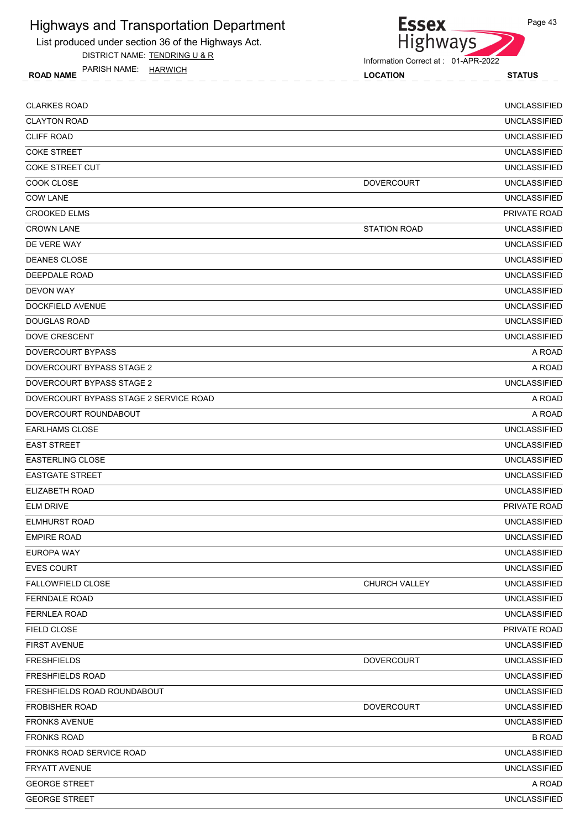

DISTRICT NAME: TENDRING U & R

ROAD NAME LOCATION STATUS PARISH NAME: HARWICH



| <b>CLARKES ROAD</b>                    |                     | <b>UNCLASSIFIED</b> |
|----------------------------------------|---------------------|---------------------|
| <b>CLAYTON ROAD</b>                    |                     | <b>UNCLASSIFIED</b> |
| <b>CLIFF ROAD</b>                      |                     | <b>UNCLASSIFIED</b> |
| <b>COKE STREET</b>                     |                     | <b>UNCLASSIFIED</b> |
| COKE STREET CUT                        |                     | <b>UNCLASSIFIED</b> |
| COOK CLOSE                             | <b>DOVERCOURT</b>   | <b>UNCLASSIFIED</b> |
| <b>COW LANE</b>                        |                     | <b>UNCLASSIFIED</b> |
| <b>CROOKED ELMS</b>                    |                     | PRIVATE ROAD        |
| <b>CROWN LANE</b>                      | <b>STATION ROAD</b> | <b>UNCLASSIFIED</b> |
| DE VERE WAY                            |                     | <b>UNCLASSIFIED</b> |
| <b>DEANES CLOSE</b>                    |                     | <b>UNCLASSIFIED</b> |
| DEEPDALE ROAD                          |                     | <b>UNCLASSIFIED</b> |
| DEVON WAY                              |                     | <b>UNCLASSIFIED</b> |
| <b>DOCKFIELD AVENUE</b>                |                     | <b>UNCLASSIFIED</b> |
| <b>DOUGLAS ROAD</b>                    |                     | <b>UNCLASSIFIED</b> |
| <b>DOVE CRESCENT</b>                   |                     | <b>UNCLASSIFIED</b> |
| <b>DOVERCOURT BYPASS</b>               |                     | A ROAD              |
| DOVERCOURT BYPASS STAGE 2              |                     | A ROAD              |
| DOVERCOURT BYPASS STAGE 2              |                     | <b>UNCLASSIFIED</b> |
| DOVERCOURT BYPASS STAGE 2 SERVICE ROAD |                     | A ROAD              |
| DOVERCOURT ROUNDABOUT                  |                     | A ROAD              |
| <b>EARLHAMS CLOSE</b>                  |                     | <b>UNCLASSIFIED</b> |
| <b>EAST STREET</b>                     |                     | <b>UNCLASSIFIED</b> |
| <b>EASTERLING CLOSE</b>                |                     | <b>UNCLASSIFIED</b> |
| <b>EASTGATE STREET</b>                 |                     | <b>UNCLASSIFIED</b> |
| ELIZABETH ROAD                         |                     | <b>UNCLASSIFIED</b> |
| <b>ELM DRIVE</b>                       |                     | PRIVATE ROAD        |
| <b>ELMHURST ROAD</b>                   |                     | <b>UNCLASSIFIED</b> |
| <b>EMPIRE ROAD</b>                     |                     | <b>UNCLASSIFIED</b> |
| <b>EUROPA WAY</b>                      |                     | <b>UNCLASSIFIED</b> |
| <b>EVES COURT</b>                      |                     | <b>UNCLASSIFIED</b> |
| <b>FALLOWFIELD CLOSE</b>               | CHURCH VALLEY       | <b>UNCLASSIFIED</b> |
| <b>FERNDALE ROAD</b>                   |                     | <b>UNCLASSIFIED</b> |
| FERNLEA ROAD                           |                     | <b>UNCLASSIFIED</b> |
| FIELD CLOSE                            |                     | PRIVATE ROAD        |
| <b>FIRST AVENUE</b>                    |                     | <b>UNCLASSIFIED</b> |
| <b>FRESHFIELDS</b>                     | <b>DOVERCOURT</b>   | <b>UNCLASSIFIED</b> |
| <b>FRESHFIELDS ROAD</b>                |                     | <b>UNCLASSIFIED</b> |
| FRESHFIELDS ROAD ROUNDABOUT            |                     | <b>UNCLASSIFIED</b> |
| <b>FROBISHER ROAD</b>                  | <b>DOVERCOURT</b>   | <b>UNCLASSIFIED</b> |
| <b>FRONKS AVENUE</b>                   |                     | <b>UNCLASSIFIED</b> |
| <b>FRONKS ROAD</b>                     |                     | <b>B ROAD</b>       |
| FRONKS ROAD SERVICE ROAD               |                     | <b>UNCLASSIFIED</b> |
| <b>FRYATT AVENUE</b>                   |                     | <b>UNCLASSIFIED</b> |
| <b>GEORGE STREET</b>                   |                     | A ROAD              |
| <b>GEORGE STREET</b>                   |                     | <b>UNCLASSIFIED</b> |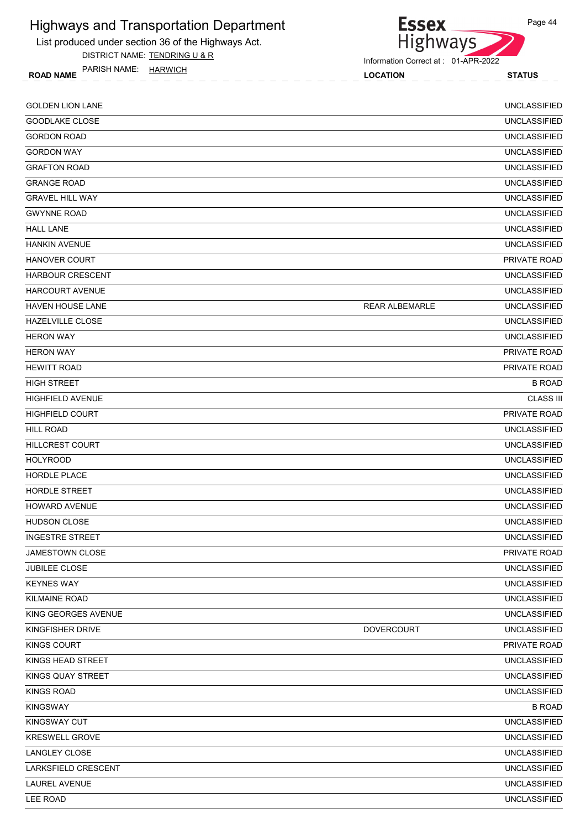

List produced under section 36 of the Highways Act.

DISTRICT NAME: TENDRING U & R

ROAD NAME LOCATION STATUS PARISH NAME: HARWICH

Information Correct at : 01-APR-2022

| <b>GOLDEN LION LANE</b> |                       | <b>UNCLASSIFIED</b> |
|-------------------------|-----------------------|---------------------|
| GOODLAKE CLOSE          |                       | <b>UNCLASSIFIED</b> |
| <b>GORDON ROAD</b>      |                       | <b>UNCLASSIFIED</b> |
| <b>GORDON WAY</b>       |                       | <b>UNCLASSIFIED</b> |
| <b>GRAFTON ROAD</b>     |                       | <b>UNCLASSIFIED</b> |
| <b>GRANGE ROAD</b>      |                       | <b>UNCLASSIFIED</b> |
| <b>GRAVEL HILL WAY</b>  |                       | <b>UNCLASSIFIED</b> |
| <b>GWYNNE ROAD</b>      |                       | <b>UNCLASSIFIED</b> |
| <b>HALL LANE</b>        |                       | <b>UNCLASSIFIED</b> |
| <b>HANKIN AVENUE</b>    |                       | <b>UNCLASSIFIED</b> |
| <b>HANOVER COURT</b>    |                       | <b>PRIVATE ROAD</b> |
| <b>HARBOUR CRESCENT</b> |                       | <b>UNCLASSIFIED</b> |
| <b>HARCOURT AVENUE</b>  |                       | <b>UNCLASSIFIED</b> |
| <b>HAVEN HOUSE LANE</b> | <b>REAR ALBEMARLE</b> | <b>UNCLASSIFIED</b> |
| HAZELVILLE CLOSE        |                       | <b>UNCLASSIFIED</b> |
| <b>HERON WAY</b>        |                       | <b>UNCLASSIFIED</b> |
| <b>HERON WAY</b>        |                       | PRIVATE ROAD        |
| <b>HEWITT ROAD</b>      |                       | <b>PRIVATE ROAD</b> |
| <b>HIGH STREET</b>      |                       | <b>B ROAD</b>       |
| <b>HIGHFIELD AVENUE</b> |                       | <b>CLASS III</b>    |
| <b>HIGHFIELD COURT</b>  |                       | PRIVATE ROAD        |
| <b>HILL ROAD</b>        |                       | <b>UNCLASSIFIED</b> |
| <b>HILLCREST COURT</b>  |                       | <b>UNCLASSIFIED</b> |
| <b>HOLYROOD</b>         |                       | <b>UNCLASSIFIED</b> |
| <b>HORDLE PLACE</b>     |                       | <b>UNCLASSIFIED</b> |
| HORDLE STREET           |                       | <b>UNCLASSIFIED</b> |
| <b>HOWARD AVENUE</b>    |                       | <b>UNCLASSIFIED</b> |
| <b>HUDSON CLOSE</b>     |                       | <b>UNCLASSIFIED</b> |
| <b>INGESTRE STREET</b>  |                       | <b>UNCLASSIFIED</b> |
| JAMESTOWN CLOSE         |                       | PRIVATE ROAD        |
| <b>JUBILEE CLOSE</b>    |                       | <b>UNCLASSIFIED</b> |
| <b>KEYNES WAY</b>       |                       | <b>UNCLASSIFIED</b> |
| <b>KILMAINE ROAD</b>    |                       | <b>UNCLASSIFIED</b> |
| KING GEORGES AVENUE     |                       | <b>UNCLASSIFIED</b> |
| KINGFISHER DRIVE        | <b>DOVERCOURT</b>     | <b>UNCLASSIFIED</b> |
| <b>KINGS COURT</b>      |                       | PRIVATE ROAD        |
| KINGS HEAD STREET       |                       | <b>UNCLASSIFIED</b> |
| KINGS QUAY STREET       |                       | <b>UNCLASSIFIED</b> |
| <b>KINGS ROAD</b>       |                       | <b>UNCLASSIFIED</b> |
| <b>KINGSWAY</b>         |                       | <b>B ROAD</b>       |
| KINGSWAY CUT            |                       | UNCLASSIFIED        |
| KRESWELL GROVE          |                       | <b>UNCLASSIFIED</b> |
| LANGLEY CLOSE           |                       | <b>UNCLASSIFIED</b> |
| LARKSFIELD CRESCENT     |                       | <b>UNCLASSIFIED</b> |
| LAUREL AVENUE           |                       | <b>UNCLASSIFIED</b> |
| LEE ROAD                |                       | <b>UNCLASSIFIED</b> |
|                         |                       |                     |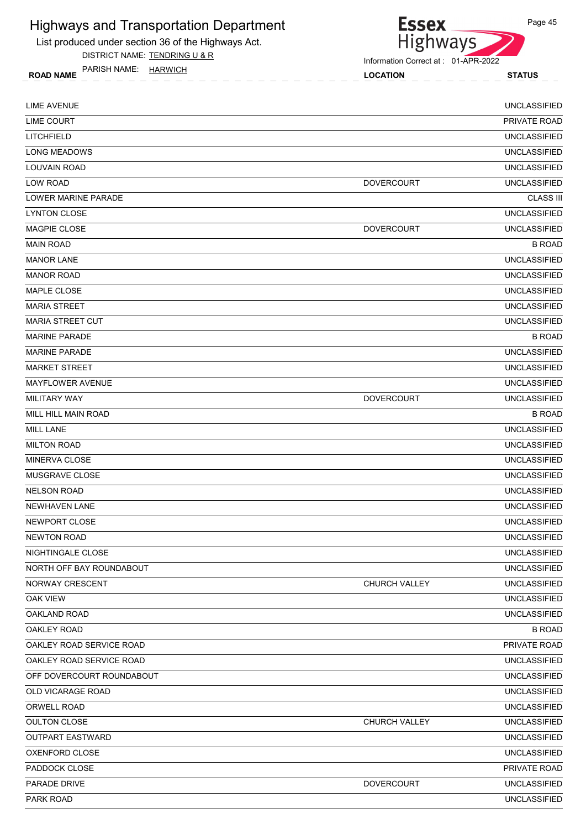

DISTRICT NAME: TENDRING U & R

PARISH NAME: HARWICH



Information Correct at : 01-APR-2022

ROAD NAME TANISH IVAIVIE. **HANVICH** CONTROL CONTROL CONTROL CONTROL CONTROL CONTROL STATUS

Page 45

LIME AVENUE UNCLASSIFIED LIME COURT PRIVATE ROAD AND THE SERVICE OF THE SERVICE OF THE SERVICE OF THE SERVICE OF THE SERVICE OF THE SERVICE OF THE SERVICE OF THE SERVICE OF THE SERVICE OF THE SERVICE OF THE SERVICE OF THE SERVICE OF THE SERVICE OF LITCHFIELD UNCLASSIFIED LONG MEADOWS UNCLASSIFIED LOUVAIN ROAD UNCLASSIFIED LOW ROAD DOVERCOURT UNCLASSIFIED LOWER MARINE PARADE CLASS III LYNTON CLOSE UNCLASSIFIED MAGPIE CLOSE **External of the UNCLASSIFIED** DOVERCOURT **DOVERCOURT** UNCLASSIFIED MAIN ROAD BROAD BOOK IN THE SERVE OF THE SERVE OF THE SERVE OF THE SERVE OF THE BROAD BROAD BROAD BROAD BOOK IN MANOR LANE UNCLASSIFIED MANOR ROAD UNCLASSIFIED MAPLE CLOSE UNCLASSIFIED MARIA STREET **ALL AND STREET AND STREET AND STREET AND STREET AND STREET AND STREET AND STREET AND STREET AND STREET AND STREET AND STREET AND STREET AND STREET AND STREET AND STREET AND STREET AND STREET AND STREET AND ST** MARIA STREET CUT UNCLASSIFIED MARINE PARADE B ROAD MARINE PARADE UNCLASSIFIED MARKET STREET EEN DE GESTEER HET DE GESTEER DE GESTEER HET DE GESTEER HET DE GESTEER DE GESTEER DE GESTEER DE G MAYFLOWER AVENUE UNCLASSIFIED MILITARY WAY DOVERCOURT AND MOVE ON A SUMMER WAY A SERIES OF THE DOVER COURT AND MUSICAL SERIES OF THE DOVER COURT MILL HILL MAIN ROAD B ROAD MILL LANE UNCLASSIFIED MILTON ROAD UNCLASSIFIED MINERVA CLOSE UNCLASSIFIED MUSGRAVE CLOSE UNCLASSIFIED NELSON ROAD UNCLASSIFIED NEWHAVEN LANE UNCLASSIFIED NEWPORT CLOSE UNCLASSIFIED NEWTON ROAD UNCLASSIFIED NIGHTINGALE CLOSE UNCLASSIFIED NORTH OFF BAY ROUNDABOUT UNCLASSIFIED NORWAY CRESCENT CHURCH VALLEY UNCLASSIFIED OAK VIEW UNCLASSIFIED OAKLAND ROAD UNCLASSIFIED OAKLEY ROAD B ROAD OAKLEY ROAD SERVICE ROAD PRIVATE ROAD OAKLEY ROAD SERVICE ROAD UNCLASSIFIED OFF DOVERCOURT ROUNDABOUT UNCLASSIFIED OLD VICARAGE ROAD UNCLASSIFIED ORWELL ROAD UNCLASSIFIED OULTON CLOSE CHURCH VALLEY UNCLASSIFIED OUTPART EASTWARD UNCLASSIFIED OXENFORD CLOSE UNCLASSIFIED PADDOCK CLOSE PRIVATE ROAD PARADE DRIVE DOVERCOURT UNCLASSIFIED PARK ROAD UNCLASSIFIED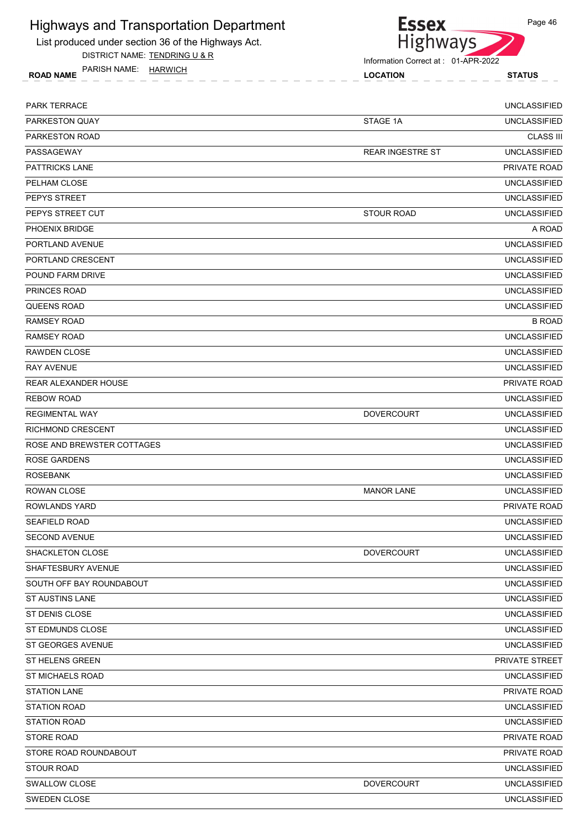

DISTRICT NAME: TENDRING U & R

**Essex** Highways

Information Correct at : 01-APR-2022

ROAD NAME LOCATION STATUS PARISH NAME: HARWICH

| <b>PARK TERRACE</b>        |                         | <b>UNCLASSIFIED</b> |
|----------------------------|-------------------------|---------------------|
| PARKESTON QUAY             | STAGE 1A                | <b>UNCLASSIFIED</b> |
| PARKESTON ROAD             |                         | <b>CLASS III</b>    |
| PASSAGEWAY                 | <b>REAR INGESTRE ST</b> | <b>UNCLASSIFIED</b> |
| <b>PATTRICKS LANE</b>      |                         | PRIVATE ROAD        |
| PELHAM CLOSE               |                         | <b>UNCLASSIFIED</b> |
| PEPYS STREET               |                         | <b>UNCLASSIFIED</b> |
| PEPYS STREET CUT           | <b>STOUR ROAD</b>       | <b>UNCLASSIFIED</b> |
| PHOENIX BRIDGE             |                         | A ROAD              |
| PORTLAND AVENUE            |                         | <b>UNCLASSIFIED</b> |
| PORTLAND CRESCENT          |                         | <b>UNCLASSIFIED</b> |
| POUND FARM DRIVE           |                         | <b>UNCLASSIFIED</b> |
| <b>PRINCES ROAD</b>        |                         | <b>UNCLASSIFIED</b> |
| <b>QUEENS ROAD</b>         |                         | <b>UNCLASSIFIED</b> |
| <b>RAMSEY ROAD</b>         |                         | <b>B ROAD</b>       |
| <b>RAMSEY ROAD</b>         |                         | <b>UNCLASSIFIED</b> |
| <b>RAWDEN CLOSE</b>        |                         | <b>UNCLASSIFIED</b> |
| <b>RAY AVENUE</b>          |                         | <b>UNCLASSIFIED</b> |
| REAR ALEXANDER HOUSE       |                         | PRIVATE ROAD        |
| <b>REBOW ROAD</b>          |                         | <b>UNCLASSIFIED</b> |
| <b>REGIMENTAL WAY</b>      | <b>DOVERCOURT</b>       | <b>UNCLASSIFIED</b> |
| <b>RICHMOND CRESCENT</b>   |                         | <b>UNCLASSIFIED</b> |
| ROSE AND BREWSTER COTTAGES |                         | <b>UNCLASSIFIED</b> |
| <b>ROSE GARDENS</b>        |                         | <b>UNCLASSIFIED</b> |
| <b>ROSEBANK</b>            |                         | <b>UNCLASSIFIED</b> |
| <b>ROWAN CLOSE</b>         | <b>MANOR LANE</b>       | <b>UNCLASSIFIED</b> |
| <b>ROWLANDS YARD</b>       |                         | PRIVATE ROAD        |
| <b>SEAFIELD ROAD</b>       |                         | <b>UNCLASSIFIED</b> |
| SECOND AVENUE              |                         | <b>UNCLASSIFIED</b> |
| <b>SHACKLETON CLOSE</b>    | <b>DOVERCOURT</b>       | <b>UNCLASSIFIED</b> |
| SHAFTESBURY AVENUE         |                         | <b>UNCLASSIFIED</b> |
| SOUTH OFF BAY ROUNDABOUT   |                         | <b>UNCLASSIFIED</b> |
| <b>ST AUSTINS LANE</b>     |                         | <b>UNCLASSIFIED</b> |
| ST DENIS CLOSE             |                         | <b>UNCLASSIFIED</b> |
| ST EDMUNDS CLOSE           |                         | <b>UNCLASSIFIED</b> |
| ST GEORGES AVENUE          |                         | <b>UNCLASSIFIED</b> |
| ST HELENS GREEN            |                         | PRIVATE STREET      |
| <b>ST MICHAELS ROAD</b>    |                         | <b>UNCLASSIFIED</b> |
| <b>STATION LANE</b>        |                         | PRIVATE ROAD        |
| <b>STATION ROAD</b>        |                         | <b>UNCLASSIFIED</b> |
| <b>STATION ROAD</b>        |                         | <b>UNCLASSIFIED</b> |
| <b>STORE ROAD</b>          |                         | PRIVATE ROAD        |
| STORE ROAD ROUNDABOUT      |                         | PRIVATE ROAD        |
| <b>STOUR ROAD</b>          |                         | <b>UNCLASSIFIED</b> |
| SWALLOW CLOSE              | <b>DOVERCOURT</b>       | <b>UNCLASSIFIED</b> |
| SWEDEN CLOSE               |                         | <b>UNCLASSIFIED</b> |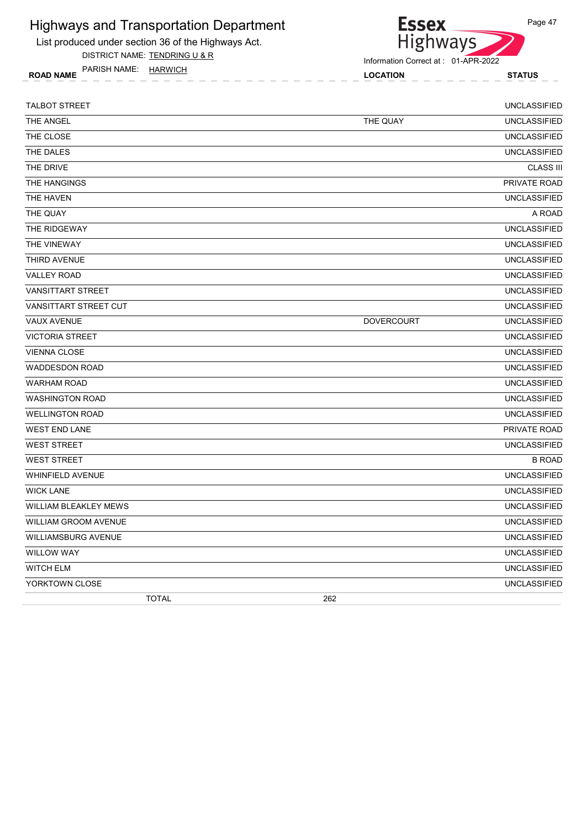

List produced under section 36 of the Highways Act.

DISTRICT NAME: TENDRING U & R

ROAD NAME LOCATION STATUS PARISH NAME: HARWICH

| <b>TALBOT STREET</b>         |                   | <b>UNCLASSIFIED</b> |
|------------------------------|-------------------|---------------------|
| THE ANGEL                    | THE QUAY          | <b>UNCLASSIFIED</b> |
| THE CLOSE                    |                   | <b>UNCLASSIFIED</b> |
| THE DALES                    |                   | <b>UNCLASSIFIED</b> |
| THE DRIVE                    |                   | <b>CLASS III</b>    |
| THE HANGINGS                 |                   | PRIVATE ROAD        |
| THE HAVEN                    |                   | <b>UNCLASSIFIED</b> |
| THE QUAY                     |                   | A ROAD              |
| THE RIDGEWAY                 |                   | <b>UNCLASSIFIED</b> |
| THE VINEWAY                  |                   | <b>UNCLASSIFIED</b> |
| THIRD AVENUE                 |                   | <b>UNCLASSIFIED</b> |
| <b>VALLEY ROAD</b>           |                   | <b>UNCLASSIFIED</b> |
| <b>VANSITTART STREET</b>     |                   | <b>UNCLASSIFIED</b> |
| VANSITTART STREET CUT        |                   | <b>UNCLASSIFIED</b> |
| <b>VAUX AVENUE</b>           | <b>DOVERCOURT</b> | <b>UNCLASSIFIED</b> |
| <b>VICTORIA STREET</b>       |                   | <b>UNCLASSIFIED</b> |
| <b>VIENNA CLOSE</b>          |                   | <b>UNCLASSIFIED</b> |
| <b>WADDESDON ROAD</b>        |                   | <b>UNCLASSIFIED</b> |
| <b>WARHAM ROAD</b>           |                   | <b>UNCLASSIFIED</b> |
| <b>WASHINGTON ROAD</b>       |                   | <b>UNCLASSIFIED</b> |
| <b>WELLINGTON ROAD</b>       |                   | <b>UNCLASSIFIED</b> |
| <b>WEST END LANE</b>         |                   | PRIVATE ROAD        |
| <b>WEST STREET</b>           |                   | <b>UNCLASSIFIED</b> |
| <b>WEST STREET</b>           |                   | <b>B ROAD</b>       |
| <b>WHINFIELD AVENUE</b>      |                   | <b>UNCLASSIFIED</b> |
| <b>WICK LANE</b>             |                   | <b>UNCLASSIFIED</b> |
| <b>WILLIAM BLEAKLEY MEWS</b> |                   | <b>UNCLASSIFIED</b> |
| <b>WILLIAM GROOM AVENUE</b>  |                   | <b>UNCLASSIFIED</b> |
| <b>WILLIAMSBURG AVENUE</b>   |                   | <b>UNCLASSIFIED</b> |
| <b>WILLOW WAY</b>            |                   | <b>UNCLASSIFIED</b> |
| <b>WITCH ELM</b>             |                   | <b>UNCLASSIFIED</b> |
| YORKTOWN CLOSE               |                   | <b>UNCLASSIFIED</b> |
| <b>TOTAL</b>                 | 262               |                     |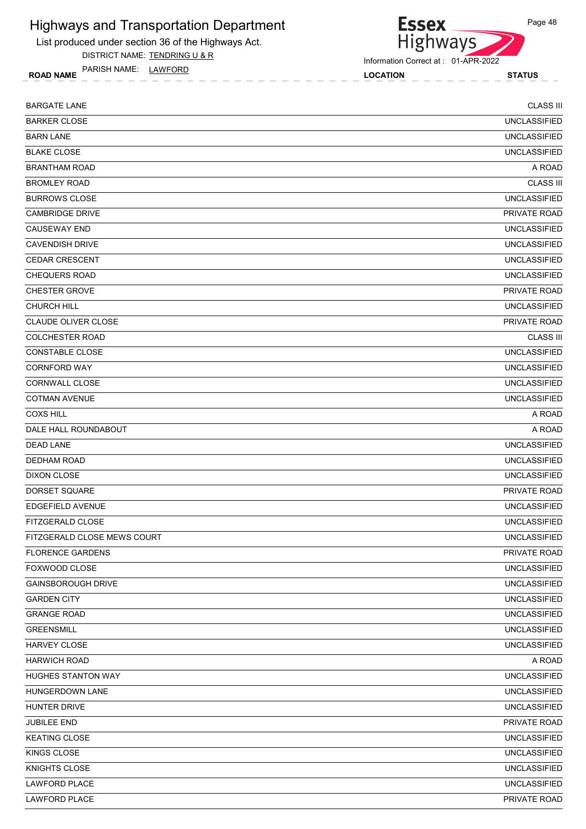

DISTRICT NAME: TENDRING U & R

ROAD NAME LOCATION STATUS PARISH NAME: LAWFORD



Information Correct at : 01-APR-2022

| <b>BARGATE LANE</b>         | <b>CLASS III</b>    |
|-----------------------------|---------------------|
| <b>BARKER CLOSE</b>         | <b>UNCLASSIFIED</b> |
| <b>BARN LANE</b>            | <b>UNCLASSIFIED</b> |
| <b>BLAKE CLOSE</b>          | <b>UNCLASSIFIED</b> |
| <b>BRANTHAM ROAD</b>        | A ROAD              |
| <b>BROMLEY ROAD</b>         | <b>CLASS III</b>    |
| <b>BURROWS CLOSE</b>        | <b>UNCLASSIFIED</b> |
| <b>CAMBRIDGE DRIVE</b>      | <b>PRIVATE ROAD</b> |
| <b>CAUSEWAY END</b>         | <b>UNCLASSIFIED</b> |
| CAVENDISH DRIVE             | <b>UNCLASSIFIED</b> |
| <b>CEDAR CRESCENT</b>       | <b>UNCLASSIFIED</b> |
| <b>CHEQUERS ROAD</b>        | <b>UNCLASSIFIED</b> |
| <b>CHESTER GROVE</b>        | <b>PRIVATE ROAD</b> |
| <b>CHURCH HILL</b>          | <b>UNCLASSIFIED</b> |
| CLAUDE OLIVER CLOSE         | PRIVATE ROAD        |
| <b>COLCHESTER ROAD</b>      | <b>CLASS III</b>    |
| <b>CONSTABLE CLOSE</b>      | <b>UNCLASSIFIED</b> |
| <b>CORNFORD WAY</b>         | <b>UNCLASSIFIED</b> |
| <b>CORNWALL CLOSE</b>       | <b>UNCLASSIFIED</b> |
| <b>COTMAN AVENUE</b>        | <b>UNCLASSIFIED</b> |
| <b>COXS HILL</b>            | A ROAD              |
| DALE HALL ROUNDABOUT        | A ROAD              |
| <b>DEAD LANE</b>            | <b>UNCLASSIFIED</b> |
| <b>DEDHAM ROAD</b>          | <b>UNCLASSIFIED</b> |
| <b>DIXON CLOSE</b>          | <b>UNCLASSIFIED</b> |
| DORSET SQUARE               | PRIVATE ROAD        |
| <b>EDGEFIELD AVENUE</b>     | <b>UNCLASSIFIED</b> |
| FITZGERALD CLOSE            | <b>UNCLASSIFIED</b> |
| FITZGERALD CLOSE MEWS COURT | UNCLASSIFIED        |
| <b>FLORENCE GARDENS</b>     | PRIVATE ROAD        |
| FOXWOOD CLOSE               | <b>UNCLASSIFIED</b> |
| <b>GAINSBOROUGH DRIVE</b>   | <b>UNCLASSIFIED</b> |
| <b>GARDEN CITY</b>          | <b>UNCLASSIFIED</b> |
| <b>GRANGE ROAD</b>          | <b>UNCLASSIFIED</b> |
| <b>GREENSMILL</b>           | <b>UNCLASSIFIED</b> |
| HARVEY CLOSE                | <b>UNCLASSIFIED</b> |
| <b>HARWICH ROAD</b>         | A ROAD              |
| <b>HUGHES STANTON WAY</b>   | <b>UNCLASSIFIED</b> |
| HUNGERDOWN LANE             | <b>UNCLASSIFIED</b> |
| HUNTER DRIVE                | <b>UNCLASSIFIED</b> |
| JUBILEE END                 | PRIVATE ROAD        |
| <b>KEATING CLOSE</b>        | <b>UNCLASSIFIED</b> |
| KINGS CLOSE                 | <b>UNCLASSIFIED</b> |
| KNIGHTS CLOSE               | <b>UNCLASSIFIED</b> |
| LAWFORD PLACE               | <b>UNCLASSIFIED</b> |
| LAWFORD PLACE               | PRIVATE ROAD        |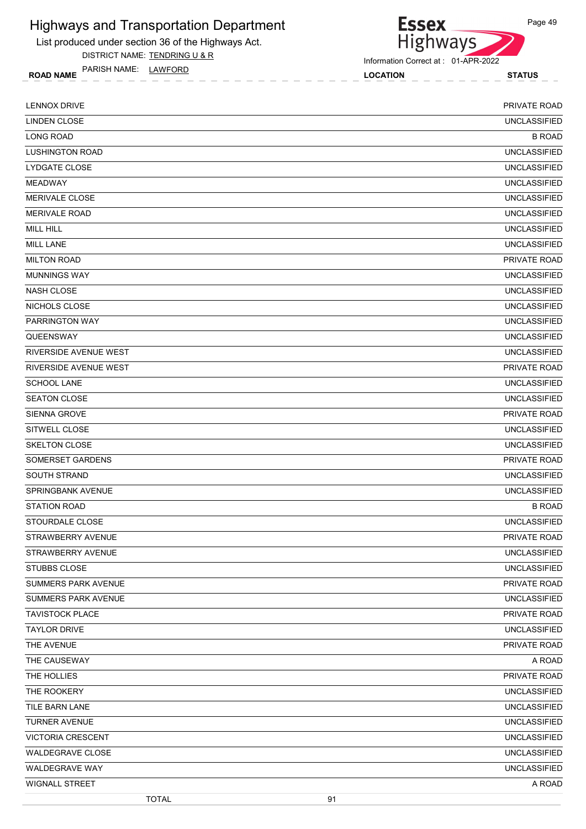

DISTRICT NAME: TENDRING U & R

PARISH NAME: LAWFORD

**Essex Highways** 

Information Correct at : 01-APR-2022

ROAD NAME TANISH IVAIVIE. **LAVIFURD Example 19** 2004 10 2005 LOCATION **STATUS** 

Page 49

LENNOX DRIVE PRIVATE ROAD LINDEN CLOSE UNCLASSIFIED LONG ROAD B ROAD LUSHINGTON ROAD UNCLASSIFIED LYDGATE CLOSE UNCLASSIFIED MEADWAY UNCLASSIFIED MERIVALE CLOSE UNCLASSIFIED MERIVALE ROAD UNCLASSIFIED will hill with the control of the control of the control of the control of the control of the control of the control of the control of the control of the control of the control of the control of the control of the control MILL LANE UNCLASSIFIED MILTON ROAD PRIVATE ROAD AND THE SERVICE OF THE SERVICE OF THE SERVICE OF THE SERVICE OF THE SERVICE OF THE SERVICE OF THE SERVICE OF THE SERVICE OF THE SERVICE OF THE SERVICE OF THE SERVICE OF THE SERVICE OF THE SERVICE O MUNNINGS WAY UNCLASSIFIED NASH CLOSE UNCLASSIFIED NICHOLS CLOSE UNCLASSIFIED PARRINGTON WAY UNCLASSIFIED QUEENSWAY UNCLASSIFIED RIVERSIDE AVENUE WEST UNCLASSIFIED RIVERSIDE AVENUE WEST PRIVATE ROAD SCHOOL LANE UNCLASSIFIED SEATON CLOSE UNCLASSIFIED SIENNA GROVE PRIVATE ROAD AND SIENNA GROVE PRIVATE ROAD AND SIENNA GROVE PRIVATE ROAD AND SIENNA GROVE PRIVATE ROAD SITWELL CLOSE UNCLASSIFIED SKELTON CLOSE UNCLASSIFIED SOMERSET GARDENS PRIVATE ROAD AND A SOMERSET GARDENS PRIVATE ROAD AND A SOMERSET GARDENS PRIVATE ROAD AND A SOMERO ADDITIONAL SOMEROAD AND A SOMERO ADDITIONAL SOMEROAD AND A SOMEROAD AND A SOMEROAD AND A SOMEROAD AND A SOM SOUTH STRAND UNCLASSIFIED **SPRINGBANK AVENUE** UNCLASSIFIED STATION ROAD B ROAD STOURDALE CLOSE UNCLASSIFIED STRAWBERRY AVENUE PRIVATE ROAD STRAWBERRY AVENUE UNCLASSIFIED STUBBS CLOSE UNCLASSIFIED SUMMERS PARK AVENUE TRANSMISSION OF THE SUMMERS PARK AVENUE TO A PRIVATE ROAD PRIVATE ROAD SUMMERS PARK AVENUE UNCLASSIFIED TAVISTOCK PLACE PRIVATE ROAD PRIVATE ROAD PRIVATE ROAD PRIVATE ROAD PRIVATE ROAD TAYLOR DRIVE UNCLASSIFIED THE AVENUE AND THE SALE ROAD AND THE SALE ROAD AND THE AVENUE THE SALE ROAD AND THE SALE ROAD AND THE SALE ROAD THE CAUSEWAY A ROAD A ROAD AND A ROAD A ROAD AND A ROAD A ROAD A ROAD A ROAD A ROAD A ROAD A ROAD A ROAD A ROAD THE HOLLIES PRIVATE ROAD THE ROOKERY **UNCLASSIFIED** TILE BARN LANE UNCLASSIFIED TURNER AVENUE UNCLASSIFIED VICTORIA CRESCENT UNCLASSIFIED WALDEGRAVE CLOSE **The CLOSE CLOSE CLOSE CLOSE CLOSE CLOSE CLOSE CLOSE CLOSE CLOSE CLOSE CLOSE** WALDEGRAVE WAY UNCLASSIFIED wignall street the control of the control of the control of the control of the control of the control of the control of the control of the control of the control of the control of the control of the control of the control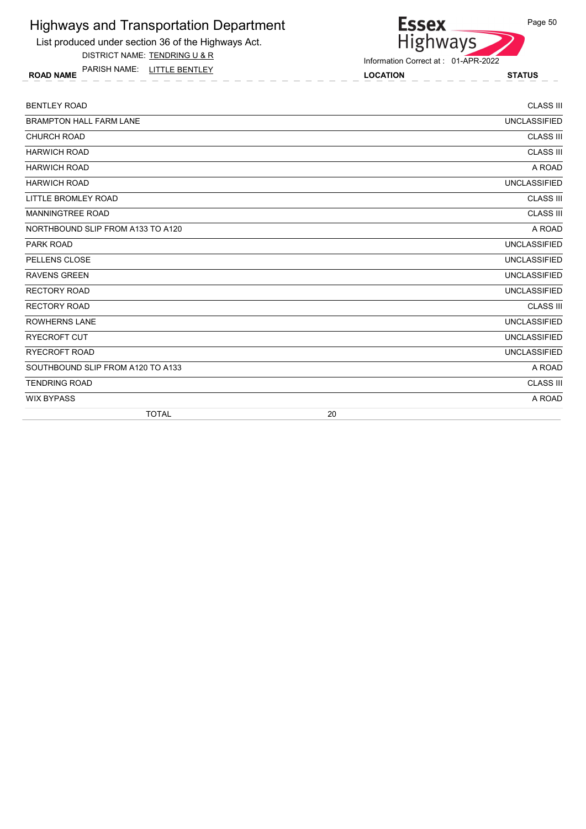List produced under section 36 of the Highways Act.

DISTRICT NAME: TENDRING U & R

ROAD NAME LOCATION STATUS PARISH NAME: LITTLE BENTLEY



Information Correct at : 01-APR-2022

| <b>BENTLEY ROAD</b>               |    | <b>CLASS III</b>    |
|-----------------------------------|----|---------------------|
| <b>BRAMPTON HALL FARM LANE</b>    |    | <b>UNCLASSIFIED</b> |
| <b>CHURCH ROAD</b>                |    | <b>CLASS III</b>    |
| <b>HARWICH ROAD</b>               |    | <b>CLASS III</b>    |
| <b>HARWICH ROAD</b>               |    | A ROAD              |
| <b>HARWICH ROAD</b>               |    | <b>UNCLASSIFIED</b> |
| LITTLE BROMLEY ROAD               |    | <b>CLASS III</b>    |
| <b>MANNINGTREE ROAD</b>           |    | <b>CLASS III</b>    |
| NORTHBOUND SLIP FROM A133 TO A120 |    | A ROAD              |
| <b>PARK ROAD</b>                  |    | <b>UNCLASSIFIED</b> |
| PELLENS CLOSE                     |    | <b>UNCLASSIFIED</b> |
| <b>RAVENS GREEN</b>               |    | <b>UNCLASSIFIED</b> |
| <b>RECTORY ROAD</b>               |    | <b>UNCLASSIFIED</b> |
| <b>RECTORY ROAD</b>               |    | <b>CLASS III</b>    |
| <b>ROWHERNS LANE</b>              |    | <b>UNCLASSIFIED</b> |
| <b>RYECROFT CUT</b>               |    | <b>UNCLASSIFIED</b> |
| <b>RYECROFT ROAD</b>              |    | <b>UNCLASSIFIED</b> |
| SOUTHBOUND SLIP FROM A120 TO A133 |    | A ROAD              |
| <b>TENDRING ROAD</b>              |    | <b>CLASS III</b>    |
| <b>WIX BYPASS</b>                 |    | A ROAD              |
| <b>TOTAL</b>                      | 20 |                     |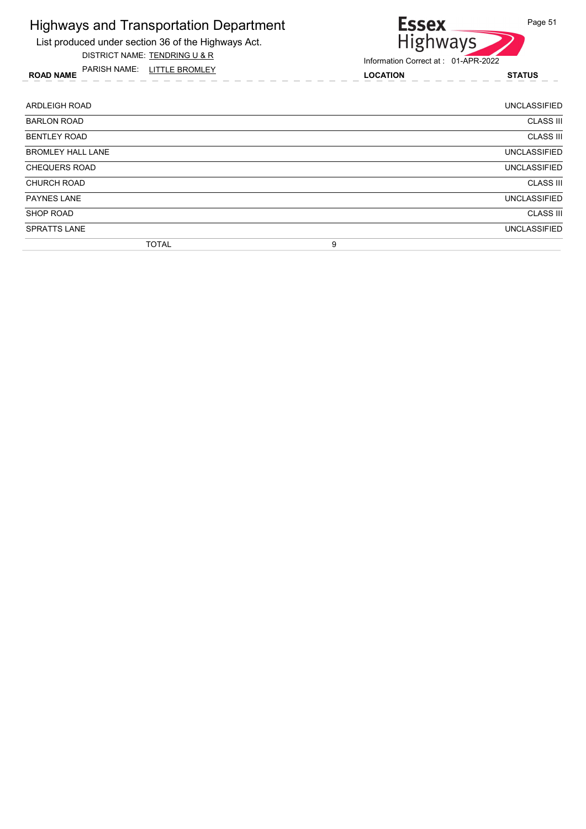List produced under section 36 of the Highways Act. DISTRICT NAME: TENDRING U & R

ROAD NAME LOCATION STATUS PARISH NAME: LITTLE BROMLEY

# Essex<br>Highways Information Correct at : 01-APR-2022

| <b>ARDLEIGH ROAD</b>     | <b>UNCLASSIFIED</b> |
|--------------------------|---------------------|
| <b>BARLON ROAD</b>       | <b>CLASS III</b>    |
| <b>BENTLEY ROAD</b>      | <b>CLASS III</b>    |
| <b>BROMLEY HALL LANE</b> | <b>UNCLASSIFIED</b> |
| <b>CHEQUERS ROAD</b>     | <b>UNCLASSIFIED</b> |
| <b>CHURCH ROAD</b>       | <b>CLASS III</b>    |
| <b>PAYNES LANE</b>       | <b>UNCLASSIFIED</b> |
| <b>SHOP ROAD</b>         | <b>CLASS III</b>    |
| <b>SPRATTS LANE</b>      | <b>UNCLASSIFIED</b> |
| <b>TOTAL</b>             | 9                   |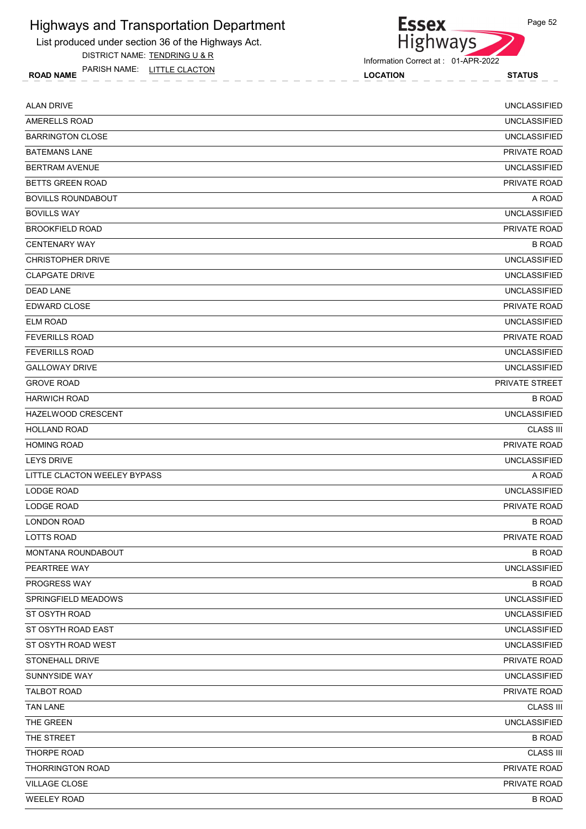List produced under section 36 of the Highways Act.

DISTRICT NAME: TENDRING U & R

ROAD NAME LOCATION STATUS PARISH NAME: LITTLE CLACTON



Information Correct at : 01-APR-2022

| <b>ALAN DRIVE</b>            | <b>UNCLASSIFIED</b> |
|------------------------------|---------------------|
| AMERELLS ROAD                | <b>UNCLASSIFIED</b> |
| <b>BARRINGTON CLOSE</b>      | <b>UNCLASSIFIED</b> |
| <b>BATEMANS LANE</b>         | PRIVATE ROAD        |
| <b>BERTRAM AVENUE</b>        | <b>UNCLASSIFIED</b> |
| <b>BETTS GREEN ROAD</b>      | PRIVATE ROAD        |
| <b>BOVILLS ROUNDABOUT</b>    | A ROAD              |
| <b>BOVILLS WAY</b>           | <b>UNCLASSIFIED</b> |
| <b>BROOKFIELD ROAD</b>       | PRIVATE ROAD        |
| <b>CENTENARY WAY</b>         | <b>B ROAD</b>       |
| <b>CHRISTOPHER DRIVE</b>     | <b>UNCLASSIFIED</b> |
| <b>CLAPGATE DRIVE</b>        | <b>UNCLASSIFIED</b> |
| <b>DEAD LANE</b>             | <b>UNCLASSIFIED</b> |
| EDWARD CLOSE                 | PRIVATE ROAD        |
| <b>ELM ROAD</b>              | <b>UNCLASSIFIED</b> |
| <b>FEVERILLS ROAD</b>        | PRIVATE ROAD        |
| <b>FEVERILLS ROAD</b>        | <b>UNCLASSIFIED</b> |
| <b>GALLOWAY DRIVE</b>        | <b>UNCLASSIFIED</b> |
| <b>GROVE ROAD</b>            | PRIVATE STREET      |
| <b>HARWICH ROAD</b>          | <b>B ROAD</b>       |
| HAZELWOOD CRESCENT           | <b>UNCLASSIFIED</b> |
| <b>HOLLAND ROAD</b>          | <b>CLASS III</b>    |
| <b>HOMING ROAD</b>           | PRIVATE ROAD        |
| <b>LEYS DRIVE</b>            | <b>UNCLASSIFIED</b> |
| LITTLE CLACTON WEELEY BYPASS | A ROAD              |
| LODGE ROAD                   | <b>UNCLASSIFIED</b> |
| LODGE ROAD                   | PRIVATE ROAD        |
| <b>LONDON ROAD</b>           | <b>B ROAD</b>       |
| <b>LOTTS ROAD</b>            | PRIVATE ROAD        |
| MONTANA ROUNDABOUT           | <b>B ROAD</b>       |
| PEARTREE WAY                 | <b>UNCLASSIFIED</b> |
| PROGRESS WAY                 | <b>B ROAD</b>       |
| SPRINGFIELD MEADOWS          | <b>UNCLASSIFIED</b> |
| ST OSYTH ROAD                | <b>UNCLASSIFIED</b> |
| ST OSYTH ROAD EAST           | <b>UNCLASSIFIED</b> |
| ST OSYTH ROAD WEST           | <b>UNCLASSIFIED</b> |
| STONEHALL DRIVE              | PRIVATE ROAD        |
| SUNNYSIDE WAY                | <b>UNCLASSIFIED</b> |
| <b>TALBOT ROAD</b>           | PRIVATE ROAD        |
| <b>TAN LANE</b>              | <b>CLASS III</b>    |
| THE GREEN                    | <b>UNCLASSIFIED</b> |
| THE STREET                   | <b>B ROAD</b>       |
| THORPE ROAD                  | <b>CLASS III</b>    |
| THORRINGTON ROAD             | PRIVATE ROAD        |
| VILLAGE CLOSE                | PRIVATE ROAD        |
| <b>WEELEY ROAD</b>           | <b>B ROAD</b>       |
|                              |                     |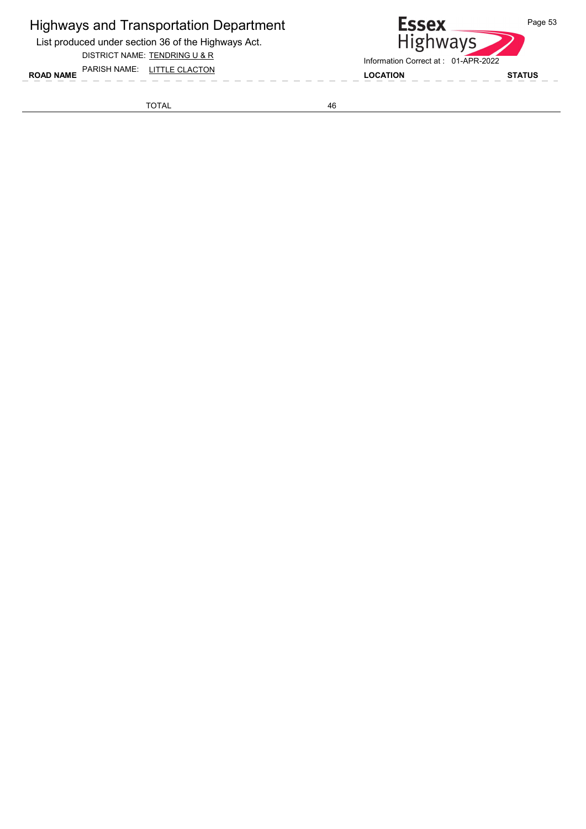List produced under section 36 of the Highways Act.

DISTRICT NAME: TENDRING U & R

ROAD NAME LOCATION STATUS PARISH NAME: LITTLE CLACTON

TOTAL 46

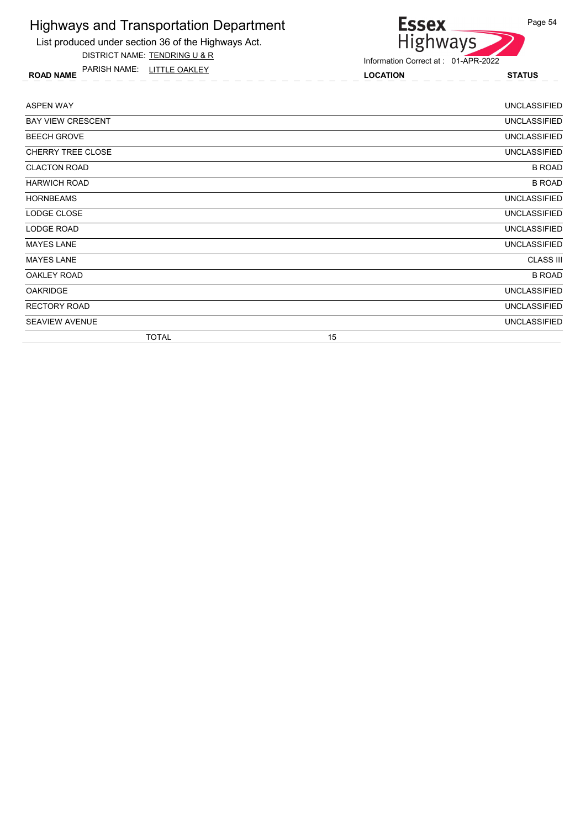

ROAD NAME LOCATION STATUS PARISH NAME: LITTLE OAKLEY



| <b>ASPEN WAY</b>         |              |    | <b>UNCLASSIFIED</b> |
|--------------------------|--------------|----|---------------------|
| <b>BAY VIEW CRESCENT</b> |              |    | <b>UNCLASSIFIED</b> |
| <b>BEECH GROVE</b>       |              |    | <b>UNCLASSIFIED</b> |
| CHERRY TREE CLOSE        |              |    | <b>UNCLASSIFIED</b> |
| <b>CLACTON ROAD</b>      |              |    | <b>B ROAD</b>       |
| <b>HARWICH ROAD</b>      |              |    | <b>B ROAD</b>       |
| <b>HORNBEAMS</b>         |              |    | <b>UNCLASSIFIED</b> |
| LODGE CLOSE              |              |    | <b>UNCLASSIFIED</b> |
| LODGE ROAD               |              |    | <b>UNCLASSIFIED</b> |
| <b>MAYES LANE</b>        |              |    | <b>UNCLASSIFIED</b> |
| <b>MAYES LANE</b>        |              |    | <b>CLASS III</b>    |
| OAKLEY ROAD              |              |    | <b>B ROAD</b>       |
| <b>OAKRIDGE</b>          |              |    | <b>UNCLASSIFIED</b> |
| <b>RECTORY ROAD</b>      |              |    | <b>UNCLASSIFIED</b> |
| <b>SEAVIEW AVENUE</b>    |              |    | <b>UNCLASSIFIED</b> |
|                          | <b>TOTAL</b> | 15 |                     |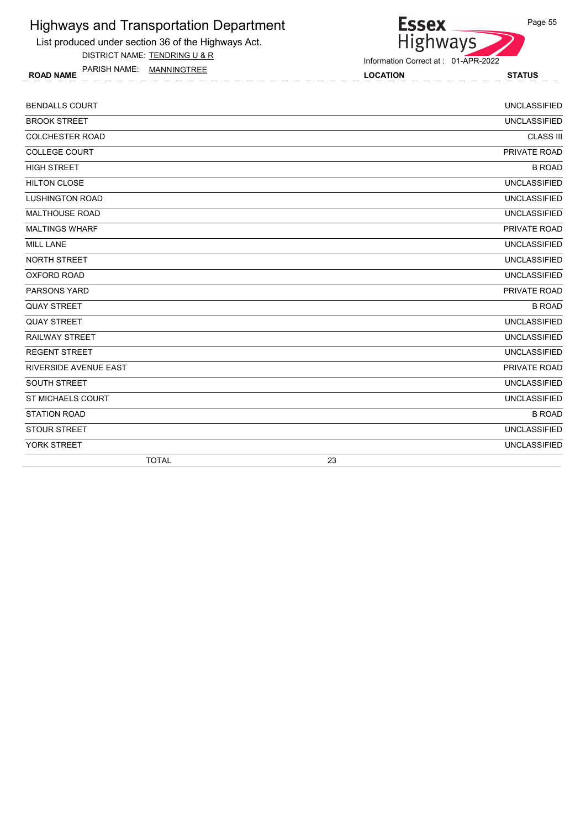List produced under section 36 of the Highways Act.

DISTRICT NAME: TENDRING U & R

ROAD NAME LOCATION STATUS PARISH NAME: MANNINGTREE

Information Correct at : 01-APR-2022

| <b>BENDALLS COURT</b>  | <b>UNCLASSIFIED</b> |
|------------------------|---------------------|
| <b>BROOK STREET</b>    | <b>UNCLASSIFIED</b> |
| <b>COLCHESTER ROAD</b> | <b>CLASS III</b>    |
| <b>COLLEGE COURT</b>   | PRIVATE ROAD        |
| <b>HIGH STREET</b>     | <b>B ROAD</b>       |
| <b>HILTON CLOSE</b>    | <b>UNCLASSIFIED</b> |
| <b>LUSHINGTON ROAD</b> | <b>UNCLASSIFIED</b> |
| <b>MALTHOUSE ROAD</b>  | <b>UNCLASSIFIED</b> |
| <b>MALTINGS WHARF</b>  | PRIVATE ROAD        |
| <b>MILL LANE</b>       | <b>UNCLASSIFIED</b> |
| <b>NORTH STREET</b>    | <b>UNCLASSIFIED</b> |
| <b>OXFORD ROAD</b>     | <b>UNCLASSIFIED</b> |
| <b>PARSONS YARD</b>    | PRIVATE ROAD        |
| <b>QUAY STREET</b>     | <b>B ROAD</b>       |
| <b>QUAY STREET</b>     | <b>UNCLASSIFIED</b> |
| <b>RAILWAY STREET</b>  | <b>UNCLASSIFIED</b> |
| <b>REGENT STREET</b>   | <b>UNCLASSIFIED</b> |
| RIVERSIDE AVENUE EAST  | PRIVATE ROAD        |
| <b>SOUTH STREET</b>    | <b>UNCLASSIFIED</b> |
| ST MICHAELS COURT      | <b>UNCLASSIFIED</b> |
| <b>STATION ROAD</b>    | <b>B ROAD</b>       |
| <b>STOUR STREET</b>    | <b>UNCLASSIFIED</b> |
| YORK STREET            | <b>UNCLASSIFIED</b> |
| <b>TOTAL</b>           | 23                  |

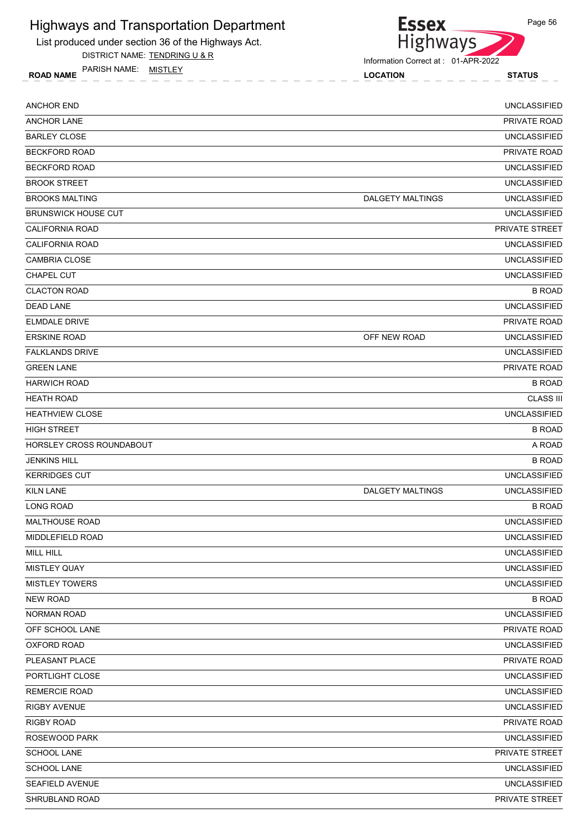

DISTRICT NAME: TENDRING U & R

ROAD NAME LOCATION STATUS PARISH NAME: MISTLEY



Information Correct at : 01-APR-2022

| <b>ANCHOR END</b>               |                         | <b>UNCLASSIFIED</b> |
|---------------------------------|-------------------------|---------------------|
| <b>ANCHOR LANE</b>              |                         | PRIVATE ROAD        |
| <b>BARLEY CLOSE</b>             |                         | <b>UNCLASSIFIED</b> |
| <b>BECKFORD ROAD</b>            |                         | PRIVATE ROAD        |
| <b>BECKFORD ROAD</b>            |                         | <b>UNCLASSIFIED</b> |
| <b>BROOK STREET</b>             |                         | <b>UNCLASSIFIED</b> |
| <b>BROOKS MALTING</b>           | <b>DALGETY MALTINGS</b> | <b>UNCLASSIFIED</b> |
| <b>BRUNSWICK HOUSE CUT</b>      |                         | <b>UNCLASSIFIED</b> |
| <b>CALIFORNIA ROAD</b>          |                         | PRIVATE STREET      |
| <b>CALIFORNIA ROAD</b>          |                         | <b>UNCLASSIFIED</b> |
| <b>CAMBRIA CLOSE</b>            |                         | <b>UNCLASSIFIED</b> |
| <b>CHAPEL CUT</b>               |                         | <b>UNCLASSIFIED</b> |
| <b>CLACTON ROAD</b>             |                         | <b>B ROAD</b>       |
| <b>DEAD LANE</b>                |                         | <b>UNCLASSIFIED</b> |
| <b>ELMDALE DRIVE</b>            |                         | <b>PRIVATE ROAD</b> |
| <b>ERSKINE ROAD</b>             | OFF NEW ROAD            | <b>UNCLASSIFIED</b> |
| <b>FALKLANDS DRIVE</b>          |                         | <b>UNCLASSIFIED</b> |
| <b>GREEN LANE</b>               |                         | <b>PRIVATE ROAD</b> |
| <b>HARWICH ROAD</b>             |                         | <b>B ROAD</b>       |
| <b>HEATH ROAD</b>               |                         | <b>CLASS III</b>    |
| <b>HEATHVIEW CLOSE</b>          |                         | <b>UNCLASSIFIED</b> |
| <b>HIGH STREET</b>              |                         | <b>B ROAD</b>       |
| <b>HORSLEY CROSS ROUNDABOUT</b> |                         | A ROAD              |
| <b>JENKINS HILL</b>             |                         | <b>B ROAD</b>       |
| <b>KERRIDGES CUT</b>            |                         | <b>UNCLASSIFIED</b> |
| <b>KILN LANE</b>                | <b>DALGETY MALTINGS</b> | <b>UNCLASSIFIED</b> |
| <b>LONG ROAD</b>                |                         | <b>B ROAD</b>       |
| <b>MALTHOUSE ROAD</b>           |                         | <b>UNCLASSIFIED</b> |
| MIDDLEFIELD ROAD                |                         | <b>UNCLASSIFIED</b> |
| MILL HILL                       |                         | <b>UNCLASSIFIED</b> |
| MISTLEY QUAY                    |                         | <b>UNCLASSIFIED</b> |
| <b>MISTLEY TOWERS</b>           |                         | UNCLASSIFIED        |
| <b>NEW ROAD</b>                 |                         | <b>B ROAD</b>       |
| <b>NORMAN ROAD</b>              |                         | <b>UNCLASSIFIED</b> |
| OFF SCHOOL LANE                 |                         | PRIVATE ROAD        |
| <b>OXFORD ROAD</b>              |                         | UNCLASSIFIED        |
| PLEASANT PLACE                  |                         | PRIVATE ROAD        |
| PORTLIGHT CLOSE                 |                         | <b>UNCLASSIFIED</b> |
| <b>REMERCIE ROAD</b>            |                         | <b>UNCLASSIFIED</b> |
| RIGBY AVENUE                    |                         | <b>UNCLASSIFIED</b> |
| <b>RIGBY ROAD</b>               |                         | PRIVATE ROAD        |
| ROSEWOOD PARK                   |                         | <b>UNCLASSIFIED</b> |
| <b>SCHOOL LANE</b>              |                         | PRIVATE STREET      |
| <b>SCHOOL LANE</b>              |                         | <b>UNCLASSIFIED</b> |
| SEAFIELD AVENUE                 |                         | <b>UNCLASSIFIED</b> |
| SHRUBLAND ROAD                  |                         | PRIVATE STREET      |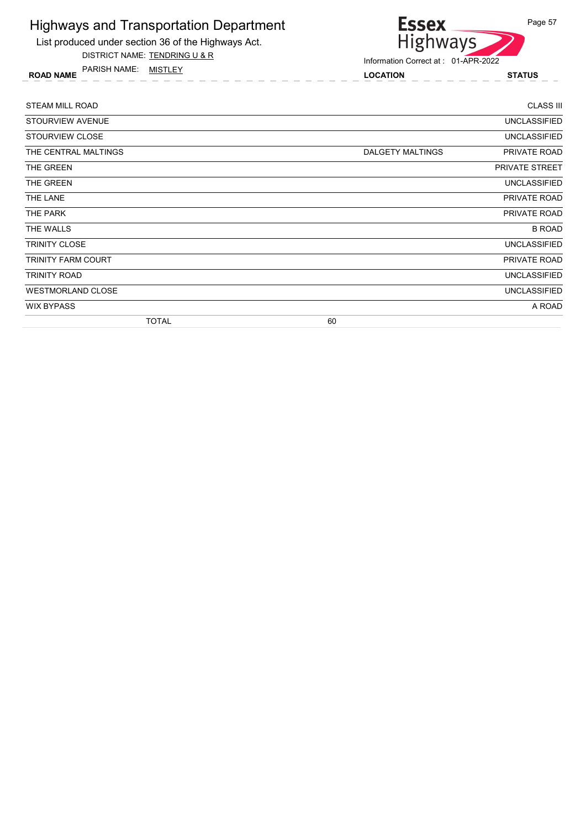

DISTRICT NAME: TENDRING U & R

ROAD NAME LOCATION STATUS PARISH NAME: MISTLEY



| <b>STEAM MILL ROAD</b>   | <b>CLASS III</b>                 |
|--------------------------|----------------------------------|
| STOURVIEW AVENUE         | <b>UNCLASSIFIED</b>              |
| STOURVIEW CLOSE          | <b>UNCLASSIFIED</b>              |
| THE CENTRAL MALTINGS     | DALGETY MALTINGS<br>PRIVATE ROAD |
| THE GREEN                | <b>PRIVATE STREET</b>            |
| THE GREEN                | <b>UNCLASSIFIED</b>              |
| THE LANE                 | PRIVATE ROAD                     |
| THE PARK                 | PRIVATE ROAD                     |
| THE WALLS                | <b>B ROAD</b>                    |
| <b>TRINITY CLOSE</b>     | <b>UNCLASSIFIED</b>              |
| TRINITY FARM COURT       | PRIVATE ROAD                     |
| TRINITY ROAD             | <b>UNCLASSIFIED</b>              |
| <b>WESTMORLAND CLOSE</b> | <b>UNCLASSIFIED</b>              |
| <b>WIX BYPASS</b>        | A ROAD                           |
| <b>TOTAL</b>             | 60                               |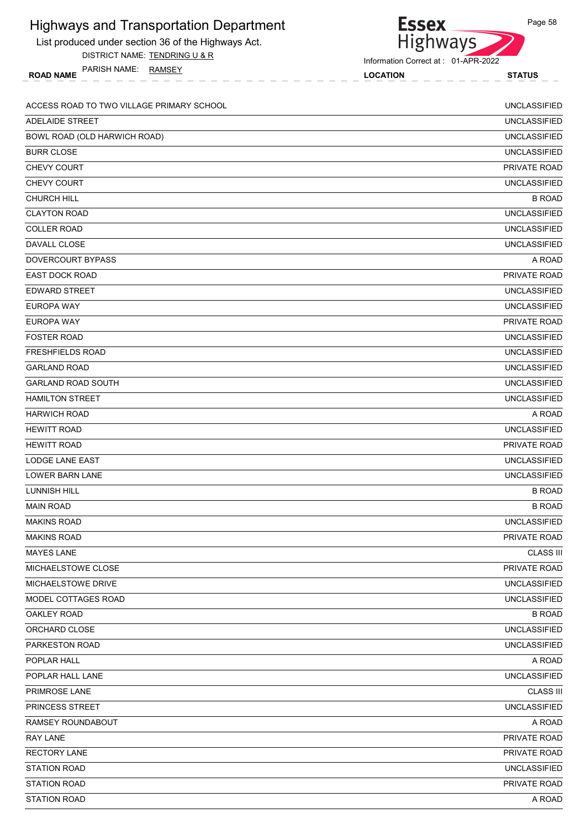| <b>Highways and Transportation Department</b>       | <b>Essex</b>                        | Page 58             |
|-----------------------------------------------------|-------------------------------------|---------------------|
| List produced under section 36 of the Highways Act. | <b>Highways</b>                     |                     |
| DISTRICT NAME: TENDRING U & R                       | Information Correct at: 01-APR-2022 |                     |
| PARISH NAME: RAMSEY<br><b>ROAD NAME</b>             | <b>LOCATION</b>                     | <b>STATUS</b>       |
|                                                     |                                     |                     |
| ACCESS ROAD TO TWO VILLAGE PRIMARY SCHOOL           |                                     | <b>UNCLASSIFIED</b> |
| <b>ADELAIDE STREET</b>                              |                                     | <b>UNCLASSIFIED</b> |
| BOWL ROAD (OLD HARWICH ROAD)                        |                                     | <b>UNCLASSIFIED</b> |
| <b>BURR CLOSE</b>                                   |                                     | <b>UNCLASSIFIED</b> |
| CHEVY COURT                                         |                                     | PRIVATE ROAD        |
| CHEVY COURT                                         |                                     | <b>UNCLASSIFIED</b> |
| <b>CHURCH HILL</b>                                  |                                     | <b>B ROAD</b>       |
| <b>CLAYTON ROAD</b>                                 |                                     | <b>UNCLASSIFIED</b> |
| <b>COLLER ROAD</b>                                  |                                     | <b>UNCLASSIFIED</b> |
| <b>DAVALL CLOSE</b>                                 |                                     | <b>UNCLASSIFIED</b> |
| DOVERCOURT BYPASS                                   |                                     | A ROAD              |
| <b>EAST DOCK ROAD</b>                               |                                     | PRIVATE ROAD        |
| <b>EDWARD STREET</b>                                |                                     | <b>UNCLASSIFIED</b> |
| <b>EUROPA WAY</b>                                   |                                     | <b>UNCLASSIFIED</b> |
| <b>EUROPA WAY</b>                                   |                                     | PRIVATE ROAD        |
| <b>FOSTER ROAD</b>                                  |                                     | <b>UNCLASSIFIED</b> |
| <b>FRESHFIELDS ROAD</b>                             |                                     | <b>UNCLASSIFIED</b> |
| <b>GARLAND ROAD</b>                                 |                                     | <b>UNCLASSIFIED</b> |
| <b>GARLAND ROAD SOUTH</b>                           |                                     | <b>UNCLASSIFIED</b> |
| <b>HAMILTON STREET</b>                              |                                     | <b>UNCLASSIFIED</b> |
| <b>HARWICH ROAD</b>                                 |                                     | A ROAD              |
| <b>HEWITT ROAD</b>                                  |                                     | <b>UNCLASSIFIED</b> |
| <b>HEWITT ROAD</b>                                  |                                     | PRIVATE ROAD        |
| LODGE LANE EAST                                     |                                     | <b>UNCLASSIFIED</b> |
| <b>LOWER BARN LANE</b>                              |                                     | <b>UNCLASSIFIED</b> |
| LUNNISH HILL                                        |                                     | <b>B ROAD</b>       |
| <b>MAIN ROAD</b>                                    |                                     | <b>B ROAD</b>       |
| <b>MAKINS ROAD</b>                                  |                                     | <b>UNCLASSIFIED</b> |
| <b>MAKINS ROAD</b>                                  |                                     | PRIVATE ROAD        |
| <b>MAYES LANE</b>                                   |                                     | <b>CLASS III</b>    |
| MICHAELSTOWE CLOSE                                  |                                     | PRIVATE ROAD        |
| <b>MICHAELSTOWE DRIVE</b>                           |                                     | <b>UNCLASSIFIED</b> |
| MODEL COTTAGES ROAD                                 |                                     | <b>UNCLASSIFIED</b> |
| OAKLEY ROAD                                         |                                     | <b>B ROAD</b>       |
| ORCHARD CLOSE                                       |                                     | <b>UNCLASSIFIED</b> |
| <b>PARKESTON ROAD</b>                               |                                     | <b>UNCLASSIFIED</b> |
| POPLAR HALL                                         |                                     | A ROAD              |
| POPLAR HALL LANE                                    |                                     | <b>UNCLASSIFIED</b> |
| PRIMROSE LANE                                       |                                     | <b>CLASS III</b>    |
| <b>PRINCESS STREET</b>                              |                                     | <b>UNCLASSIFIED</b> |
|                                                     |                                     |                     |
| RAMSEY ROUNDABOUT                                   |                                     | A ROAD              |
| <b>RAY LANE</b>                                     |                                     | PRIVATE ROAD        |
| <b>RECTORY LANE</b>                                 |                                     | PRIVATE ROAD        |
| <b>STATION ROAD</b>                                 |                                     | <b>UNCLASSIFIED</b> |
| <b>STATION ROAD</b>                                 |                                     | PRIVATE ROAD        |
| <b>STATION ROAD</b>                                 |                                     | A ROAD              |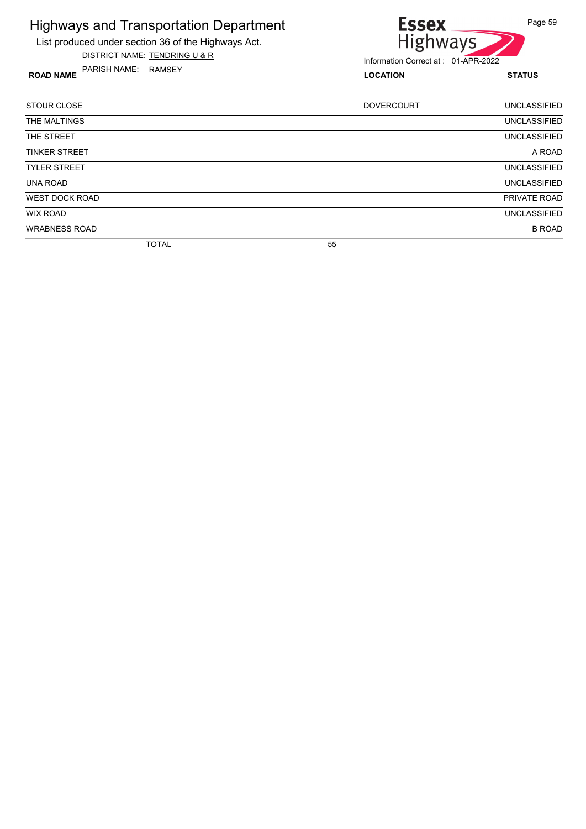

List produced under section 36 of the Highways Act. DISTRICT NAME: TENDRING U & R

Information Correct at : 01-APR-2022

ROAD NAME LOCATION STATUS PARISH NAME: RAMSEY

| <b>STOUR CLOSE</b>    |              |    | <b>DOVERCOURT</b> | <b>UNCLASSIFIED</b> |
|-----------------------|--------------|----|-------------------|---------------------|
| THE MALTINGS          |              |    |                   | <b>UNCLASSIFIED</b> |
| THE STREET            |              |    |                   | <b>UNCLASSIFIED</b> |
| <b>TINKER STREET</b>  |              |    |                   | A ROAD              |
| <b>TYLER STREET</b>   |              |    |                   | <b>UNCLASSIFIED</b> |
| <b>UNA ROAD</b>       |              |    |                   | <b>UNCLASSIFIED</b> |
| <b>WEST DOCK ROAD</b> |              |    |                   | PRIVATE ROAD        |
| <b>WIX ROAD</b>       |              |    |                   | <b>UNCLASSIFIED</b> |
| <b>WRABNESS ROAD</b>  |              |    |                   | <b>B ROAD</b>       |
|                       | <b>TOTAL</b> | 55 |                   |                     |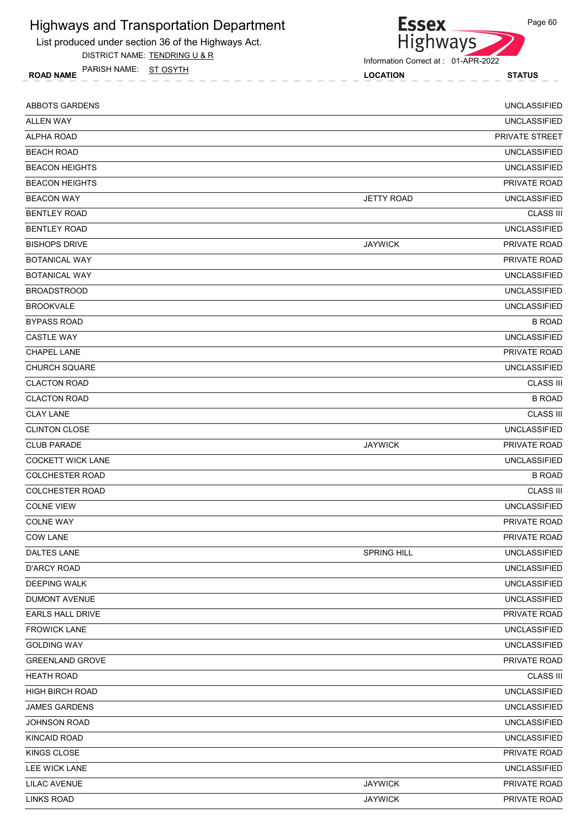

DISTRICT NAME: TENDRING U & R

ROAD NAME LOCATION STATUS PARISH NAME: ST OSYTH



Information Correct at : 01-APR-2022

| <b>ABBOTS GARDENS</b>    |                   | <b>UNCLASSIFIED</b> |
|--------------------------|-------------------|---------------------|
| <b>ALLEN WAY</b>         |                   | <b>UNCLASSIFIED</b> |
| ALPHA ROAD               |                   | PRIVATE STREET      |
| <b>BEACH ROAD</b>        |                   | <b>UNCLASSIFIED</b> |
| <b>BEACON HEIGHTS</b>    |                   | <b>UNCLASSIFIED</b> |
| <b>BEACON HEIGHTS</b>    |                   | PRIVATE ROAD        |
| <b>BEACON WAY</b>        | <b>JETTY ROAD</b> | <b>UNCLASSIFIED</b> |
| <b>BENTLEY ROAD</b>      |                   | <b>CLASS III</b>    |
| <b>BENTLEY ROAD</b>      |                   | <b>UNCLASSIFIED</b> |
| <b>BISHOPS DRIVE</b>     | <b>JAYWICK</b>    | <b>PRIVATE ROAD</b> |
| <b>BOTANICAL WAY</b>     |                   | PRIVATE ROAD        |
| <b>BOTANICAL WAY</b>     |                   | <b>UNCLASSIFIED</b> |
| <b>BROADSTROOD</b>       |                   | <b>UNCLASSIFIED</b> |
| <b>BROOKVALE</b>         |                   | <b>UNCLASSIFIED</b> |
| <b>BYPASS ROAD</b>       |                   | <b>B ROAD</b>       |
| <b>CASTLE WAY</b>        |                   | <b>UNCLASSIFIED</b> |
| <b>CHAPEL LANE</b>       |                   | PRIVATE ROAD        |
| <b>CHURCH SQUARE</b>     |                   | <b>UNCLASSIFIED</b> |
| <b>CLACTON ROAD</b>      |                   | <b>CLASS III</b>    |
| <b>CLACTON ROAD</b>      |                   | <b>B ROAD</b>       |
| <b>CLAY LANE</b>         |                   | <b>CLASS III</b>    |
| <b>CLINTON CLOSE</b>     |                   | <b>UNCLASSIFIED</b> |
| <b>CLUB PARADE</b>       | <b>JAYWICK</b>    | PRIVATE ROAD        |
| <b>COCKETT WICK LANE</b> |                   | <b>UNCLASSIFIED</b> |
| <b>COLCHESTER ROAD</b>   |                   | <b>B ROAD</b>       |
| <b>COLCHESTER ROAD</b>   |                   | <b>CLASS III</b>    |
| <b>COLNE VIEW</b>        |                   | <b>UNCLASSIFIED</b> |
| <b>COLNE WAY</b>         |                   | PRIVATE ROAD        |
| <b>COW LANE</b>          |                   | <b>PRIVATE ROAD</b> |
| DALTES LANE              | SPRING HILL       | <b>UNCLASSIFIED</b> |
| <b>D'ARCY ROAD</b>       |                   | <b>UNCLASSIFIED</b> |
| <b>DEEPING WALK</b>      |                   | <b>UNCLASSIFIED</b> |
| <b>DUMONT AVENUE</b>     |                   | <b>UNCLASSIFIED</b> |
| EARLS HALL DRIVE         |                   | PRIVATE ROAD        |
| <b>FROWICK LANE</b>      |                   | <b>UNCLASSIFIED</b> |
| <b>GOLDING WAY</b>       |                   | <b>UNCLASSIFIED</b> |
| <b>GREENLAND GROVE</b>   |                   | PRIVATE ROAD        |
| <b>HEATH ROAD</b>        |                   | <b>CLASS III</b>    |
| <b>HIGH BIRCH ROAD</b>   |                   | <b>UNCLASSIFIED</b> |
| <b>JAMES GARDENS</b>     |                   | <b>UNCLASSIFIED</b> |
| <b>JOHNSON ROAD</b>      |                   | <b>UNCLASSIFIED</b> |
| KINCAID ROAD             |                   | <b>UNCLASSIFIED</b> |
| KINGS CLOSE              |                   | PRIVATE ROAD        |
| LEE WICK LANE            |                   | <b>UNCLASSIFIED</b> |
| <b>LILAC AVENUE</b>      | <b>JAYWICK</b>    | PRIVATE ROAD        |
| <b>LINKS ROAD</b>        | <b>JAYWICK</b>    | PRIVATE ROAD        |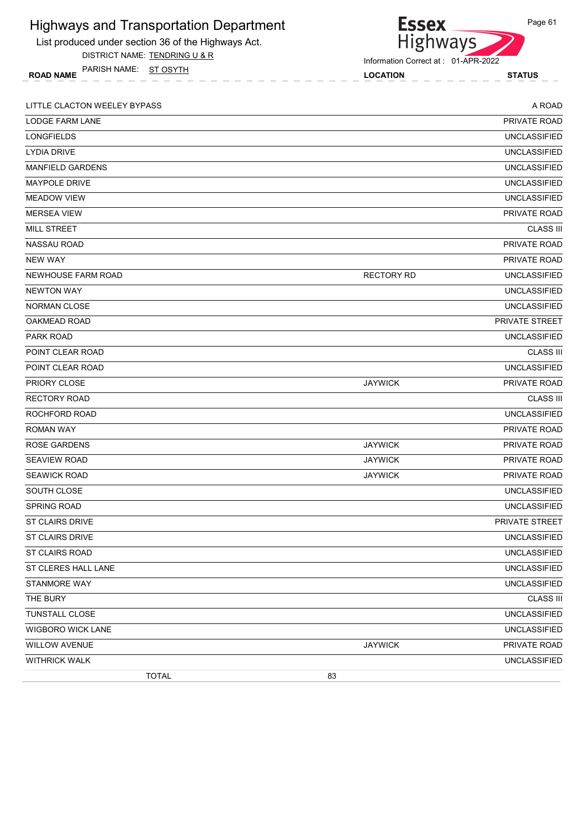| <b>Highways and Transportation Department</b>       | <b>Essex</b>                        | Page 61             |
|-----------------------------------------------------|-------------------------------------|---------------------|
| List produced under section 36 of the Highways Act. | <b>Highways</b>                     |                     |
| DISTRICT NAME: TENDRING U & R                       | Information Correct at: 01-APR-2022 |                     |
| PARISH NAME: ST OSYTH<br><b>ROAD NAME</b>           | <b>LOCATION</b>                     | <b>STATUS</b>       |
| LITTLE CLACTON WEELEY BYPASS                        |                                     | A ROAD              |
| LODGE FARM LANE                                     |                                     | PRIVATE ROAD        |
| <b>LONGFIELDS</b>                                   |                                     | <b>UNCLASSIFIED</b> |
| <b>LYDIA DRIVE</b>                                  |                                     | <b>UNCLASSIFIED</b> |
| <b>MANFIELD GARDENS</b>                             |                                     | <b>UNCLASSIFIED</b> |
| <b>MAYPOLE DRIVE</b>                                |                                     | <b>UNCLASSIFIED</b> |
| <b>MEADOW VIEW</b>                                  |                                     | <b>UNCLASSIFIED</b> |
| <b>MERSEA VIEW</b>                                  |                                     | PRIVATE ROAD        |
| <b>MILL STREET</b>                                  |                                     | <b>CLASS III</b>    |
| NASSAU ROAD                                         |                                     | PRIVATE ROAD        |
| <b>NEW WAY</b>                                      |                                     | PRIVATE ROAD        |
| NEWHOUSE FARM ROAD                                  | <b>RECTORY RD</b>                   | <b>UNCLASSIFIED</b> |
| <b>NEWTON WAY</b>                                   |                                     | <b>UNCLASSIFIED</b> |
| <b>NORMAN CLOSE</b>                                 |                                     | <b>UNCLASSIFIED</b> |
| OAKMEAD ROAD                                        |                                     | PRIVATE STREET      |
| <b>PARK ROAD</b>                                    |                                     | <b>UNCLASSIFIED</b> |
| POINT CLEAR ROAD                                    |                                     | <b>CLASS III</b>    |
| POINT CLEAR ROAD                                    |                                     | <b>UNCLASSIFIED</b> |
| PRIORY CLOSE                                        | <b>JAYWICK</b>                      | PRIVATE ROAD        |
| <b>RECTORY ROAD</b>                                 |                                     | <b>CLASS III</b>    |
| ROCHFORD ROAD                                       |                                     | <b>UNCLASSIFIED</b> |
| <b>ROMAN WAY</b>                                    |                                     | PRIVATE ROAD        |
| <b>ROSE GARDENS</b>                                 | <b>JAYWICK</b>                      | PRIVATE ROAD        |
| <b>SEAVIEW ROAD</b>                                 | <b>JAYWICK</b>                      | PRIVATE ROAD        |
| <b>SEAWICK ROAD</b>                                 | <b>JAYWICK</b>                      | PRIVATE ROAD        |
| SOUTH CLOSE                                         |                                     | <b>UNCLASSIFIED</b> |
| <b>SPRING ROAD</b>                                  |                                     | <b>UNCLASSIFIED</b> |
| <b>ST CLAIRS DRIVE</b>                              |                                     | PRIVATE STREET      |
| <b>ST CLAIRS DRIVE</b>                              |                                     | <b>UNCLASSIFIED</b> |
| <b>ST CLAIRS ROAD</b>                               |                                     | <b>UNCLASSIFIED</b> |
| ST CLERES HALL LANE                                 |                                     | <b>UNCLASSIFIED</b> |
| STANMORE WAY                                        |                                     | <b>UNCLASSIFIED</b> |
| THE BURY                                            |                                     | <b>CLASS III</b>    |
| TUNSTALL CLOSE                                      |                                     | <b>UNCLASSIFIED</b> |
| <b>WIGBORO WICK LANE</b>                            |                                     | <b>UNCLASSIFIED</b> |
| <b>WILLOW AVENUE</b>                                | <b>JAYWICK</b>                      | PRIVATE ROAD        |
| <b>WITHRICK WALK</b>                                |                                     | <b>UNCLASSIFIED</b> |
| <b>TOTAL</b>                                        | 83                                  |                     |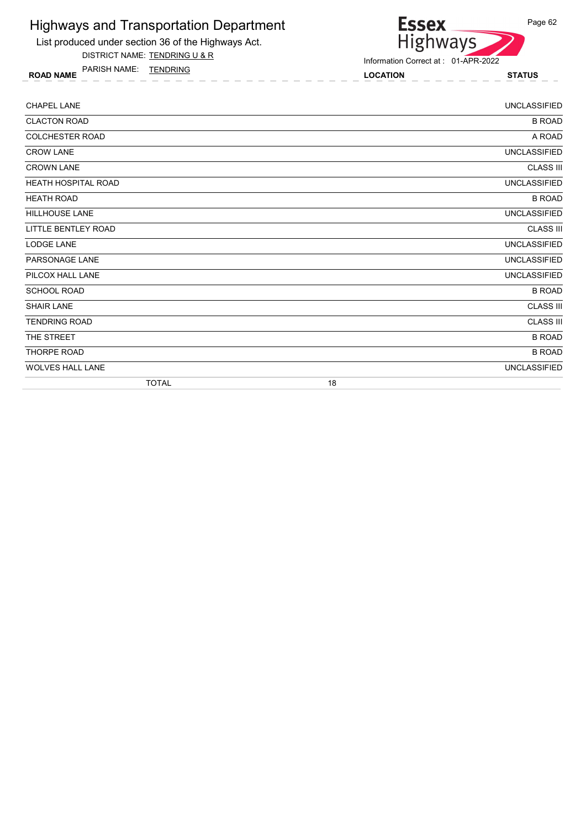

List produced under section 36 of the Highways Act. DISTRICT NAME: TENDRING U & R

Information Correct at : 01-APR-2022

ROAD NAME LOCATION STATUS PARISH NAME: TENDRING

| <b>CHAPEL LANE</b>         |    | <b>UNCLASSIFIED</b> |
|----------------------------|----|---------------------|
| <b>CLACTON ROAD</b>        |    | <b>B ROAD</b>       |
| COLCHESTER ROAD            |    | A ROAD              |
| <b>CROW LANE</b>           |    | <b>UNCLASSIFIED</b> |
| <b>CROWN LANE</b>          |    | <b>CLASS III</b>    |
| <b>HEATH HOSPITAL ROAD</b> |    | <b>UNCLASSIFIED</b> |
| <b>HEATH ROAD</b>          |    | <b>B ROAD</b>       |
| <b>HILLHOUSE LANE</b>      |    | <b>UNCLASSIFIED</b> |
| <b>LITTLE BENTLEY ROAD</b> |    | <b>CLASS III</b>    |
| <b>LODGE LANE</b>          |    | <b>UNCLASSIFIED</b> |
| PARSONAGE LANE             |    | <b>UNCLASSIFIED</b> |
| PILCOX HALL LANE           |    | <b>UNCLASSIFIED</b> |
| <b>SCHOOL ROAD</b>         |    | <b>B ROAD</b>       |
| <b>SHAIR LANE</b>          |    | <b>CLASS III</b>    |
| <b>TENDRING ROAD</b>       |    | <b>CLASS III</b>    |
| THE STREET                 |    | <b>B ROAD</b>       |
| <b>THORPE ROAD</b>         |    | <b>B ROAD</b>       |
| <b>WOLVES HALL LANE</b>    |    | <b>UNCLASSIFIED</b> |
| <b>TOTAL</b>               | 18 |                     |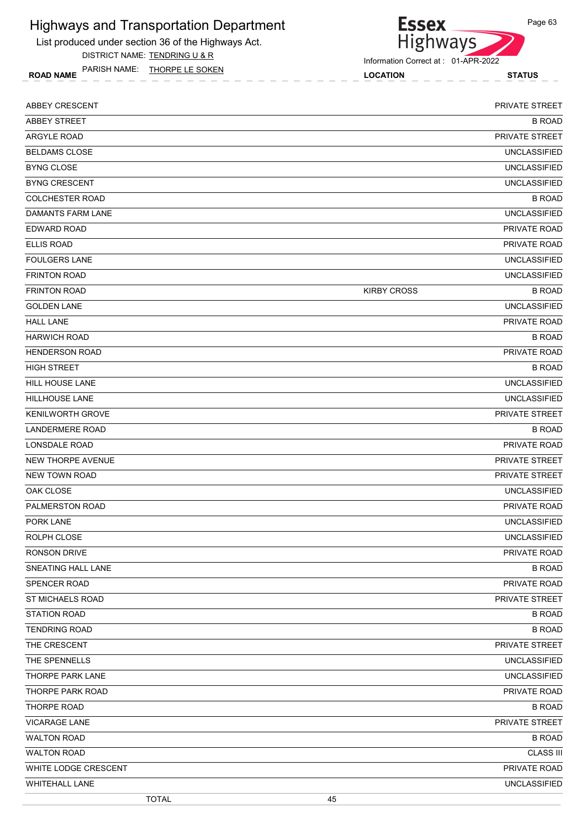List produced under section 36 of the Highways Act. DISTRICT NAME: TENDRING U & R

ROAD NAME LOCATION STATUS PARISH NAME: THORPE LE SOKEN



Information Correct at : 01-APR-2022

| <b>ABBEY CRESCENT</b>   | PRIVATE STREET                      |
|-------------------------|-------------------------------------|
| <b>ABBEY STREET</b>     | <b>B ROAD</b>                       |
| <b>ARGYLE ROAD</b>      | PRIVATE STREET                      |
| <b>BELDAMS CLOSE</b>    | <b>UNCLASSIFIED</b>                 |
| <b>BYNG CLOSE</b>       | <b>UNCLASSIFIED</b>                 |
| <b>BYNG CRESCENT</b>    | <b>UNCLASSIFIED</b>                 |
| <b>COLCHESTER ROAD</b>  | <b>B ROAD</b>                       |
| DAMANTS FARM LANE       | <b>UNCLASSIFIED</b>                 |
| EDWARD ROAD             | <b>PRIVATE ROAD</b>                 |
| <b>ELLIS ROAD</b>       | PRIVATE ROAD                        |
| <b>FOULGERS LANE</b>    | <b>UNCLASSIFIED</b>                 |
| <b>FRINTON ROAD</b>     | <b>UNCLASSIFIED</b>                 |
| <b>FRINTON ROAD</b>     | <b>KIRBY CROSS</b><br><b>B ROAD</b> |
| <b>GOLDEN LANE</b>      | <b>UNCLASSIFIED</b>                 |
| <b>HALL LANE</b>        | PRIVATE ROAD                        |
| <b>HARWICH ROAD</b>     | <b>B ROAD</b>                       |
| <b>HENDERSON ROAD</b>   | PRIVATE ROAD                        |
| <b>HIGH STREET</b>      | <b>B ROAD</b>                       |
| <b>HILL HOUSE LANE</b>  | <b>UNCLASSIFIED</b>                 |
| <b>HILLHOUSE LANE</b>   | <b>UNCLASSIFIED</b>                 |
| <b>KENILWORTH GROVE</b> | PRIVATE STREET                      |
| <b>LANDERMERE ROAD</b>  | <b>B ROAD</b>                       |
| LONSDALE ROAD           | PRIVATE ROAD                        |
| NEW THORPE AVENUE       | PRIVATE STREET                      |
| <b>NEW TOWN ROAD</b>    | PRIVATE STREET                      |
| OAK CLOSE               | <b>UNCLASSIFIED</b>                 |
| PALMERSTON ROAD         | PRIVATE ROAD                        |
| PORK LANE               | <b>UNCLASSIFIED</b>                 |
| ROLPH CLOSE             | <b>UNCLASSIFIED</b>                 |
| RONSON DRIVE            | <b>PRIVATE ROAD</b>                 |
| SNEATING HALL LANE      | <b>B ROAD</b>                       |
| SPENCER ROAD            | PRIVATE ROAD                        |
| <b>ST MICHAELS ROAD</b> | PRIVATE STREET                      |
| <b>STATION ROAD</b>     | <b>B ROAD</b>                       |
| <b>TENDRING ROAD</b>    | <b>B ROAD</b>                       |
| THE CRESCENT            | PRIVATE STREET                      |
| THE SPENNELLS           | <b>UNCLASSIFIED</b>                 |
| THORPE PARK LANE        | <b>UNCLASSIFIED</b>                 |
| THORPE PARK ROAD        | PRIVATE ROAD                        |
| THORPE ROAD             | <b>B ROAD</b>                       |
| <b>VICARAGE LANE</b>    | PRIVATE STREET                      |
| <b>WALTON ROAD</b>      | <b>B ROAD</b>                       |
| <b>WALTON ROAD</b>      | <b>CLASS III</b>                    |
| WHITE LODGE CRESCENT    | PRIVATE ROAD                        |
| <b>WHITEHALL LANE</b>   | <b>UNCLASSIFIED</b>                 |
| <b>TOTAL</b>            | 45                                  |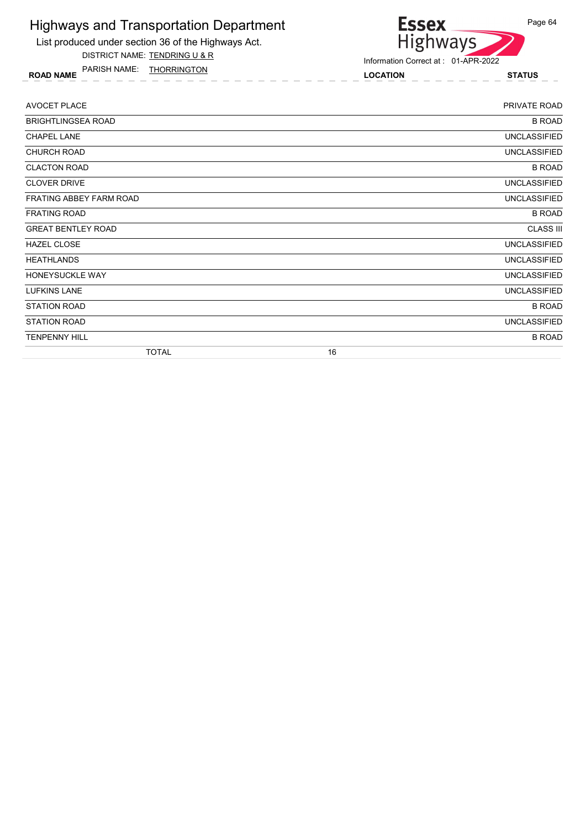

DISTRICT NAME: TENDRING U & R

ROAD NAME LOCATION STATUS PARISH NAME: THORRINGTON



| AVOCET PLACE              | PRIVATE ROAD        |
|---------------------------|---------------------|
| <b>BRIGHTLINGSEA ROAD</b> | <b>B ROAD</b>       |
| <b>CHAPEL LANE</b>        | <b>UNCLASSIFIED</b> |
| <b>CHURCH ROAD</b>        | <b>UNCLASSIFIED</b> |
| <b>CLACTON ROAD</b>       | <b>B ROAD</b>       |
| <b>CLOVER DRIVE</b>       | <b>UNCLASSIFIED</b> |
| FRATING ABBEY FARM ROAD   | <b>UNCLASSIFIED</b> |
| <b>FRATING ROAD</b>       | <b>B ROAD</b>       |
| <b>GREAT BENTLEY ROAD</b> | <b>CLASS III</b>    |
| <b>HAZEL CLOSE</b>        | <b>UNCLASSIFIED</b> |
| <b>HEATHLANDS</b>         | <b>UNCLASSIFIED</b> |
| HONEYSUCKLE WAY           | <b>UNCLASSIFIED</b> |
| <b>LUFKINS LANE</b>       | <b>UNCLASSIFIED</b> |
| <b>STATION ROAD</b>       | <b>B ROAD</b>       |
| <b>STATION ROAD</b>       | <b>UNCLASSIFIED</b> |
| <b>TENPENNY HILL</b>      | <b>B ROAD</b>       |
| <b>TOTAL</b>              | 16                  |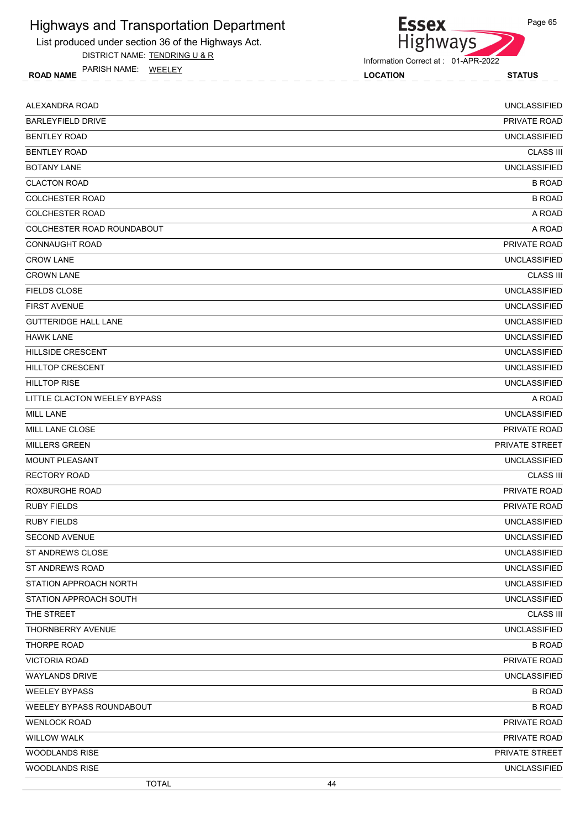

DISTRICT NAME: TENDRING U & R

ROAD NAME LOCATION STATUS PARISH NAME: WEELEY

Information Correct at : 01-APR-2022

**Essex** 

Highways

| ALEXANDRA ROAD               | <b>UNCLASSIFIED</b> |
|------------------------------|---------------------|
| <b>BARLEYFIELD DRIVE</b>     | PRIVATE ROAD        |
| <b>BENTLEY ROAD</b>          | <b>UNCLASSIFIED</b> |
| <b>BENTLEY ROAD</b>          | <b>CLASS III</b>    |
| <b>BOTANY LANE</b>           | <b>UNCLASSIFIED</b> |
| <b>CLACTON ROAD</b>          | <b>B ROAD</b>       |
| <b>COLCHESTER ROAD</b>       | <b>B ROAD</b>       |
| <b>COLCHESTER ROAD</b>       | A ROAD              |
| COLCHESTER ROAD ROUNDABOUT   | A ROAD              |
| <b>CONNAUGHT ROAD</b>        | PRIVATE ROAD        |
| <b>CROW LANE</b>             | <b>UNCLASSIFIED</b> |
| <b>CROWN LANE</b>            | <b>CLASS III</b>    |
| <b>FIELDS CLOSE</b>          | <b>UNCLASSIFIED</b> |
| <b>FIRST AVENUE</b>          | <b>UNCLASSIFIED</b> |
| <b>GUTTERIDGE HALL LANE</b>  | <b>UNCLASSIFIED</b> |
| <b>HAWK LANE</b>             | <b>UNCLASSIFIED</b> |
| <b>HILLSIDE CRESCENT</b>     | <b>UNCLASSIFIED</b> |
| <b>HILLTOP CRESCENT</b>      | <b>UNCLASSIFIED</b> |
| <b>HILLTOP RISE</b>          | <b>UNCLASSIFIED</b> |
| LITTLE CLACTON WEELEY BYPASS | A ROAD              |
| <b>MILL LANE</b>             | <b>UNCLASSIFIED</b> |
| MILL LANE CLOSE              | PRIVATE ROAD        |
| <b>MILLERS GREEN</b>         | PRIVATE STREET      |
| <b>MOUNT PLEASANT</b>        | <b>UNCLASSIFIED</b> |
| <b>RECTORY ROAD</b>          | <b>CLASS III</b>    |
| ROXBURGHE ROAD               | PRIVATE ROAD        |
| <b>RUBY FIELDS</b>           | <b>PRIVATE ROAD</b> |
| <b>RUBY FIELDS</b>           | <b>UNCLASSIFIED</b> |
| <b>SECOND AVENUE</b>         | <b>UNCLASSIFIED</b> |
| ST ANDREWS CLOSE             | UNCLASSIFIED        |
| ST ANDREWS ROAD              | <b>UNCLASSIFIED</b> |
| STATION APPROACH NORTH       | <b>UNCLASSIFIED</b> |
| STATION APPROACH SOUTH       | <b>UNCLASSIFIED</b> |
| THE STREET                   | <b>CLASS III</b>    |
| THORNBERRY AVENUE            | <b>UNCLASSIFIED</b> |
| THORPE ROAD                  | <b>B ROAD</b>       |
| <b>VICTORIA ROAD</b>         | PRIVATE ROAD        |
| <b>WAYLANDS DRIVE</b>        | <b>UNCLASSIFIED</b> |
| <b>WEELEY BYPASS</b>         | <b>B ROAD</b>       |
| WEELEY BYPASS ROUNDABOUT     | <b>B ROAD</b>       |
| <b>WENLOCK ROAD</b>          | PRIVATE ROAD        |
| <b>WILLOW WALK</b>           | PRIVATE ROAD        |
| <b>WOODLANDS RISE</b>        | PRIVATE STREET      |
| WOODLANDS RISE               | <b>UNCLASSIFIED</b> |
| <b>TOTAL</b>                 | 44                  |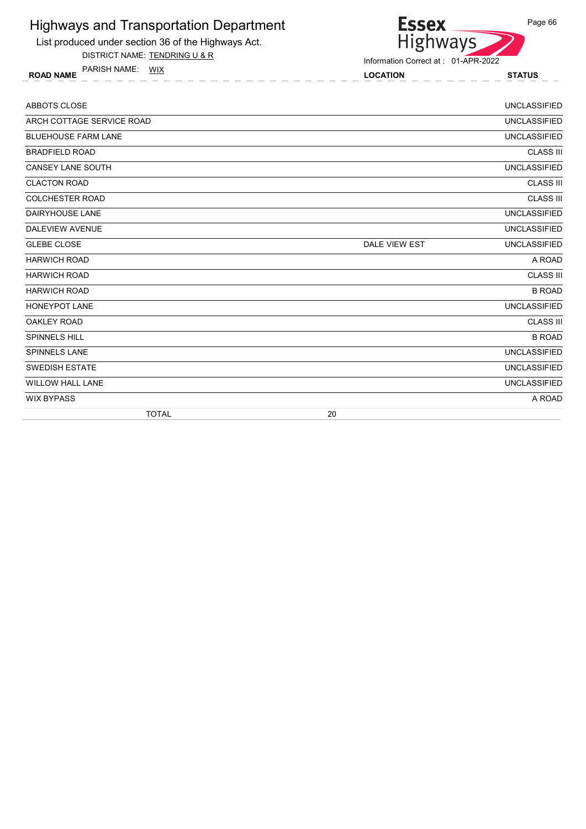

List produced under section 36 of the Highways Act. DISTRICT NAME: TENDRING U & R

ROAD NAME LOCATION STATUS PARISH NAME: WIX

Information Correct at : 01-APR-2022

| <b>ABBOTS CLOSE</b>        |               | <b>UNCLASSIFIED</b> |
|----------------------------|---------------|---------------------|
| ARCH COTTAGE SERVICE ROAD  |               | <b>UNCLASSIFIED</b> |
| <b>BLUEHOUSE FARM LANE</b> |               | <b>UNCLASSIFIED</b> |
| <b>BRADFIELD ROAD</b>      |               | <b>CLASS III</b>    |
| <b>CANSEY LANE SOUTH</b>   |               | <b>UNCLASSIFIED</b> |
| <b>CLACTON ROAD</b>        |               | <b>CLASS III</b>    |
| <b>COLCHESTER ROAD</b>     |               | <b>CLASS III</b>    |
| <b>DAIRYHOUSE LANE</b>     |               | <b>UNCLASSIFIED</b> |
| <b>DALEVIEW AVENUE</b>     |               | <b>UNCLASSIFIED</b> |
| <b>GLEBE CLOSE</b>         | DALE VIEW EST | <b>UNCLASSIFIED</b> |
| <b>HARWICH ROAD</b>        |               | A ROAD              |
| <b>HARWICH ROAD</b>        |               | <b>CLASS III</b>    |
| <b>HARWICH ROAD</b>        |               | <b>B ROAD</b>       |
| <b>HONEYPOT LANE</b>       |               | <b>UNCLASSIFIED</b> |
| OAKLEY ROAD                |               | <b>CLASS III</b>    |
| <b>SPINNELS HILL</b>       |               | <b>B ROAD</b>       |
| <b>SPINNELS LANE</b>       |               | <b>UNCLASSIFIED</b> |
| <b>SWEDISH ESTATE</b>      |               | <b>UNCLASSIFIED</b> |
| <b>WILLOW HALL LANE</b>    |               | <b>UNCLASSIFIED</b> |
| <b>WIX BYPASS</b>          |               | A ROAD              |
| <b>TOTAL</b>               | 20            |                     |